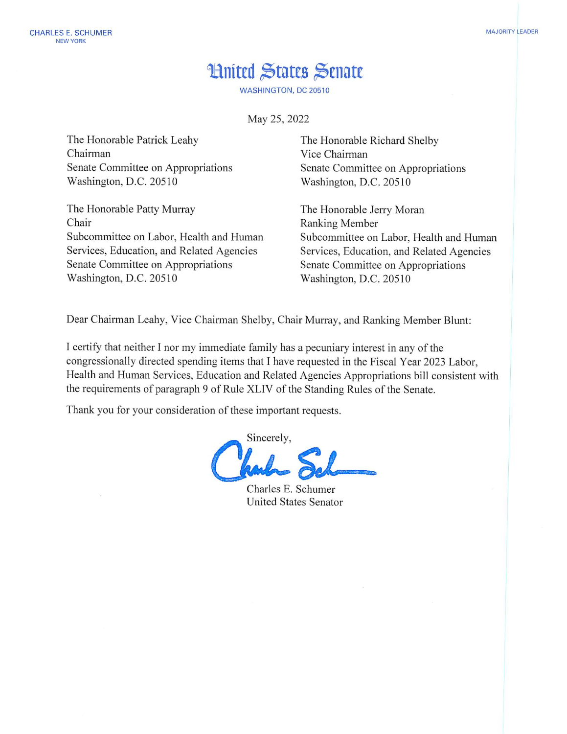## **Hnited States Senate**

**WASHINGTON, DC 20510** 

May 25, 2022

The Honorable Patrick Leahy Chairman Senate Committee on Appropriations Washington, D.C. 20510

The Honorable Patty Murray Chair Subcommittee on Labor, Health and Human Services, Education, and Related Agencies Senate Committee on Appropriations Washington, D.C. 20510

The Honorable Richard Shelby Vice Chairman Senate Committee on Appropriations Washington, D.C. 20510

The Honorable Jerry Moran Ranking Member Subcommittee on Labor, Health and Human Services, Education, and Related Agencies Senate Committee on Appropriations Washington, D.C. 20510

Dear Chairman Leahy, Vice Chairman Shelby, Chair Murray, and Ranking Member Blunt:

I certify that neither I nor my immediate family has a pecuniary interest in any of the congressionally directed spending items that I have requested in the Fiscal Year 2023 Labor, Health and Human Services, Education and Related Agencies Appropriations bill consistent with the requirements of paragraph 9 of Rule XLIV of the Standing Rules of the Senate.

Thank you for your consideration of these important requests.

Sincerely,

Charles E. Schumer **United States Senator**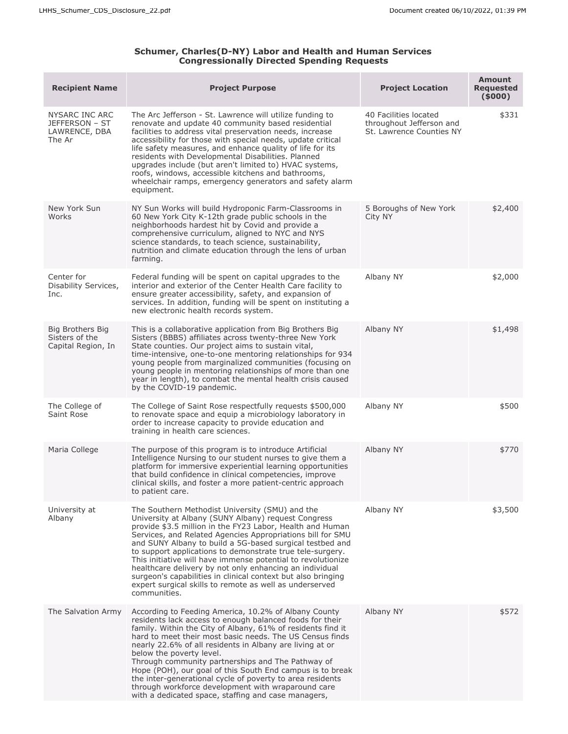## **Schumer, Charles(D-NY) Labor and Health and Human Services Congressionally Directed Spending Requests**

| <b>Recipient Name</b>                                           | <b>Project Purpose</b>                                                                                                                                                                                                                                                                                                                                                                                                                                                                                                                                                                                                           | <b>Project Location</b>                                                       | <b>Amount</b><br><b>Requested</b><br>(5000) |
|-----------------------------------------------------------------|----------------------------------------------------------------------------------------------------------------------------------------------------------------------------------------------------------------------------------------------------------------------------------------------------------------------------------------------------------------------------------------------------------------------------------------------------------------------------------------------------------------------------------------------------------------------------------------------------------------------------------|-------------------------------------------------------------------------------|---------------------------------------------|
| NYSARC INC ARC<br>JEFFERSON - ST<br>LAWRENCE, DBA<br>The Ar     | The Arc Jefferson - St. Lawrence will utilize funding to<br>renovate and update 40 community based residential<br>facilities to address vital preservation needs, increase<br>accessibility for those with special needs, update critical<br>life safety measures, and enhance quality of life for its<br>residents with Developmental Disabilities. Planned<br>upgrades include (but aren't limited to) HVAC systems,<br>roofs, windows, accessible kitchens and bathrooms,<br>wheelchair ramps, emergency generators and safety alarm<br>equipment.                                                                            | 40 Facilities located<br>throughout Jefferson and<br>St. Lawrence Counties NY | \$331                                       |
| New York Sun<br>Works                                           | NY Sun Works will build Hydroponic Farm-Classrooms in<br>60 New York City K-12th grade public schools in the<br>neighborhoods hardest hit by Covid and provide a<br>comprehensive curriculum, aligned to NYC and NYS<br>science standards, to teach science, sustainability,<br>nutrition and climate education through the lens of urban<br>farming.                                                                                                                                                                                                                                                                            | 5 Boroughs of New York<br>City NY                                             | \$2,400                                     |
| Center for<br>Disability Services,<br>Inc.                      | Federal funding will be spent on capital upgrades to the<br>interior and exterior of the Center Health Care facility to<br>ensure greater accessibility, safety, and expansion of<br>services. In addition, funding will be spent on instituting a<br>new electronic health records system.                                                                                                                                                                                                                                                                                                                                      | Albany NY                                                                     | \$2,000                                     |
| <b>Big Brothers Big</b><br>Sisters of the<br>Capital Region, In | This is a collaborative application from Big Brothers Big<br>Sisters (BBBS) affiliates across twenty-three New York<br>State counties. Our project aims to sustain vital,<br>time-intensive, one-to-one mentoring relationships for 934<br>young people from marginalized communities (focusing on<br>young people in mentoring relationships of more than one<br>year in length), to combat the mental health crisis caused<br>by the COVID-19 pandemic.                                                                                                                                                                        | Albany NY                                                                     | \$1,498                                     |
| The College of<br>Saint Rose                                    | The College of Saint Rose respectfully requests \$500,000<br>to renovate space and equip a microbiology laboratory in<br>order to increase capacity to provide education and<br>training in health care sciences.                                                                                                                                                                                                                                                                                                                                                                                                                | Albany NY                                                                     | \$500                                       |
| Maria College                                                   | The purpose of this program is to introduce Artificial<br>Intelligence Nursing to our student nurses to give them a<br>platform for immersive experiential learning opportunities<br>that build confidence in clinical competencies, improve<br>clinical skills, and foster a more patient-centric approach<br>to patient care.                                                                                                                                                                                                                                                                                                  | Albany NY                                                                     | \$770                                       |
| University at<br>Albany                                         | The Southern Methodist University (SMU) and the<br>University at Albany (SUNY Albany) request Congress<br>provide \$3.5 million in the FY23 Labor, Health and Human<br>Services, and Related Agencies Appropriations bill for SMU<br>and SUNY Albany to build a 5G-based surgical testbed and<br>to support applications to demonstrate true tele-surgery.<br>This initiative will have immense potential to revolutionize<br>healthcare delivery by not only enhancing an individual<br>surgeon's capabilities in clinical context but also bringing<br>expert surgical skills to remote as well as underserved<br>communities. | Albany NY                                                                     | \$3,500                                     |
| The Salvation Army                                              | According to Feeding America, 10.2% of Albany County<br>residents lack access to enough balanced foods for their<br>family. Within the City of Albany, 61% of residents find it<br>hard to meet their most basic needs. The US Census finds<br>nearly 22.6% of all residents in Albany are living at or<br>below the poverty level.<br>Through community partnerships and The Pathway of<br>Hope (POH), our goal of this South End campus is to break<br>the inter-generational cycle of poverty to area residents<br>through workforce development with wraparound care<br>with a dedicated space, staffing and case managers,  | Albany NY                                                                     | \$572                                       |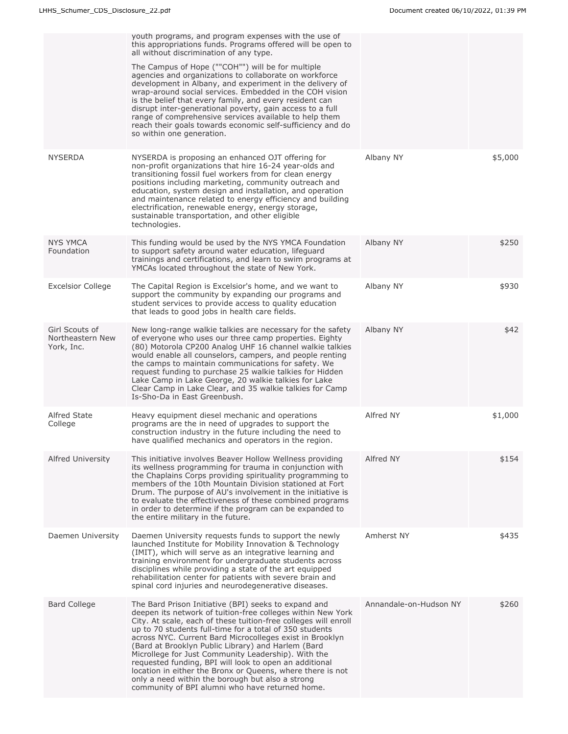|                                                  | youth programs, and program expenses with the use of<br>this appropriations funds. Programs offered will be open to<br>all without discrimination of any type.<br>The Campus of Hope (""COH"") will be for multiple<br>agencies and organizations to collaborate on workforce<br>development in Albany, and experiment in the delivery of<br>wrap-around social services. Embedded in the COH vision<br>is the belief that every family, and every resident can<br>disrupt inter-generational poverty, gain access to a full<br>range of comprehensive services available to help them<br>reach their goals towards economic self-sufficiency and do<br>so within one generation. |                        |         |
|--------------------------------------------------|-----------------------------------------------------------------------------------------------------------------------------------------------------------------------------------------------------------------------------------------------------------------------------------------------------------------------------------------------------------------------------------------------------------------------------------------------------------------------------------------------------------------------------------------------------------------------------------------------------------------------------------------------------------------------------------|------------------------|---------|
| <b>NYSERDA</b>                                   | NYSERDA is proposing an enhanced OJT offering for<br>non-profit organizations that hire 16-24 year-olds and<br>transitioning fossil fuel workers from for clean energy<br>positions including marketing, community outreach and<br>education, system design and installation, and operation<br>and maintenance related to energy efficiency and building<br>electrification, renewable energy, energy storage,<br>sustainable transportation, and other eligible<br>technologies.                                                                                                                                                                                                 | Albany NY              | \$5,000 |
| <b>NYS YMCA</b><br>Foundation                    | This funding would be used by the NYS YMCA Foundation<br>to support safety around water education, lifeguard<br>trainings and certifications, and learn to swim programs at<br>YMCAs located throughout the state of New York.                                                                                                                                                                                                                                                                                                                                                                                                                                                    | Albany NY              | \$250   |
| <b>Excelsior College</b>                         | The Capital Region is Excelsior's home, and we want to<br>support the community by expanding our programs and<br>student services to provide access to quality education<br>that leads to good jobs in health care fields.                                                                                                                                                                                                                                                                                                                                                                                                                                                        | Albany NY              | \$930   |
| Girl Scouts of<br>Northeastern New<br>York, Inc. | New long-range walkie talkies are necessary for the safety<br>of everyone who uses our three camp properties. Eighty<br>(80) Motorola CP200 Analog UHF 16 channel walkie talkies<br>would enable all counselors, campers, and people renting<br>the camps to maintain communications for safety. We<br>request funding to purchase 25 walkie talkies for Hidden<br>Lake Camp in Lake George, 20 walkie talkies for Lake<br>Clear Camp in Lake Clear, and 35 walkie talkies for Camp<br>Is-Sho-Da in East Greenbush.                                                                                                                                                               | Albany NY              | \$42    |
| <b>Alfred State</b><br>College                   | Heavy equipment diesel mechanic and operations<br>programs are the in need of upgrades to support the<br>construction industry in the future including the need to<br>have qualified mechanics and operators in the region.                                                                                                                                                                                                                                                                                                                                                                                                                                                       | Alfred NY              | \$1,000 |
| <b>Alfred University</b>                         | This initiative involves Beaver Hollow Wellness providing<br>its wellness programming for trauma in conjunction with<br>the Chaplains Corps providing spirituality programming to<br>members of the 10th Mountain Division stationed at Fort<br>Drum. The purpose of AU's involvement in the initiative is<br>to evaluate the effectiveness of these combined programs<br>in order to determine if the program can be expanded to<br>the entire military in the future.                                                                                                                                                                                                           | Alfred NY              | \$154   |
| Daemen University                                | Daemen University requests funds to support the newly<br>launched Institute for Mobility Innovation & Technology<br>(IMIT), which will serve as an integrative learning and<br>training environment for undergraduate students across<br>disciplines while providing a state of the art equipped<br>rehabilitation center for patients with severe brain and<br>spinal cord injuries and neurodegenerative diseases.                                                                                                                                                                                                                                                              | Amherst NY             | \$435   |
| <b>Bard College</b>                              | The Bard Prison Initiative (BPI) seeks to expand and<br>deepen its network of tuition-free colleges within New York<br>City. At scale, each of these tuition-free colleges will enroll<br>up to 70 students full-time for a total of 350 students<br>across NYC. Current Bard Microcolleges exist in Brooklyn<br>(Bard at Brooklyn Public Library) and Harlem (Bard<br>Microllege for Just Community Leadership). With the<br>requested funding, BPI will look to open an additional<br>location in either the Bronx or Queens, where there is not<br>only a need within the borough but also a strong<br>community of BPI alumni who have returned home.                         | Annandale-on-Hudson NY | \$260   |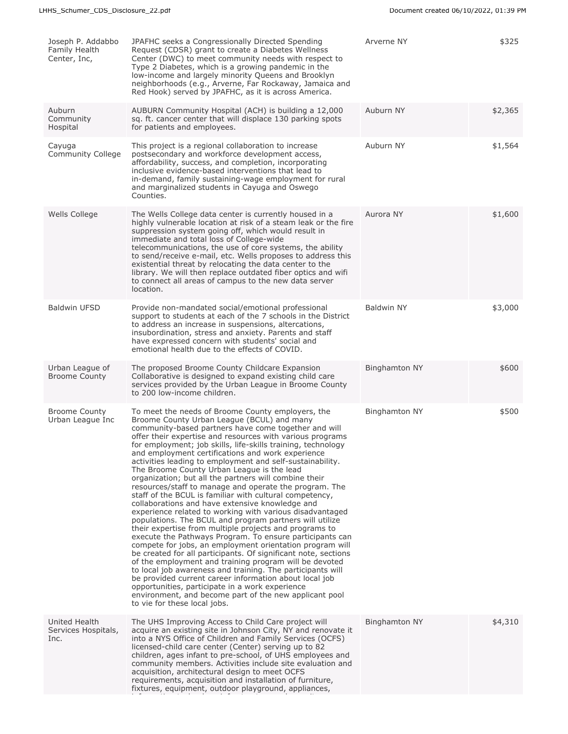| Joseph P. Addabbo<br>Family Health<br>Center, Inc, | JPAFHC seeks a Congressionally Directed Spending<br>Request (CDSR) grant to create a Diabetes Wellness<br>Center (DWC) to meet community needs with respect to<br>Type 2 Diabetes, which is a growing pandemic in the<br>low-income and largely minority Queens and Brooklyn<br>neighborhoods (e.g., Arverne, Far Rockaway, Jamaica and<br>Red Hook) served by JPAFHC, as it is across America.                                                                                                                                                                                                                                                                                                                                                                                                                                                                                                                                                                                                                                                                                                                                                                                                                                                                                                                                                                                                 | Arverne NY           | \$325   |
|----------------------------------------------------|-------------------------------------------------------------------------------------------------------------------------------------------------------------------------------------------------------------------------------------------------------------------------------------------------------------------------------------------------------------------------------------------------------------------------------------------------------------------------------------------------------------------------------------------------------------------------------------------------------------------------------------------------------------------------------------------------------------------------------------------------------------------------------------------------------------------------------------------------------------------------------------------------------------------------------------------------------------------------------------------------------------------------------------------------------------------------------------------------------------------------------------------------------------------------------------------------------------------------------------------------------------------------------------------------------------------------------------------------------------------------------------------------|----------------------|---------|
| Auburn<br>Community<br>Hospital                    | AUBURN Community Hospital (ACH) is building a 12,000<br>sq. ft. cancer center that will displace 130 parking spots<br>for patients and employees.                                                                                                                                                                                                                                                                                                                                                                                                                                                                                                                                                                                                                                                                                                                                                                                                                                                                                                                                                                                                                                                                                                                                                                                                                                               | Auburn NY            | \$2,365 |
| Cayuga<br>Community College                        | This project is a regional collaboration to increase<br>postsecondary and workforce development access,<br>affordability, success, and completion, incorporating<br>inclusive evidence-based interventions that lead to<br>in-demand, family sustaining-wage employment for rural<br>and marginalized students in Cayuga and Oswego<br>Counties.                                                                                                                                                                                                                                                                                                                                                                                                                                                                                                                                                                                                                                                                                                                                                                                                                                                                                                                                                                                                                                                | Auburn NY            | \$1,564 |
| Wells College                                      | The Wells College data center is currently housed in a<br>highly vulnerable location at risk of a steam leak or the fire<br>suppression system going off, which would result in<br>immediate and total loss of College-wide<br>telecommunications, the use of core systems, the ability<br>to send/receive e-mail, etc. Wells proposes to address this<br>existential threat by relocating the data center to the<br>library. We will then replace outdated fiber optics and wifi<br>to connect all areas of campus to the new data server<br>location.                                                                                                                                                                                                                                                                                                                                                                                                                                                                                                                                                                                                                                                                                                                                                                                                                                         | Aurora NY            | \$1,600 |
| <b>Baldwin UFSD</b>                                | Provide non-mandated social/emotional professional<br>support to students at each of the 7 schools in the District<br>to address an increase in suspensions, altercations,<br>insubordination, stress and anxiety. Parents and staff<br>have expressed concern with students' social and<br>emotional health due to the effects of COVID.                                                                                                                                                                                                                                                                                                                                                                                                                                                                                                                                                                                                                                                                                                                                                                                                                                                                                                                                                                                                                                                       | <b>Baldwin NY</b>    | \$3,000 |
| Urban League of<br><b>Broome County</b>            | The proposed Broome County Childcare Expansion<br>Collaborative is designed to expand existing child care<br>services provided by the Urban League in Broome County<br>to 200 low-income children.                                                                                                                                                                                                                                                                                                                                                                                                                                                                                                                                                                                                                                                                                                                                                                                                                                                                                                                                                                                                                                                                                                                                                                                              | <b>Binghamton NY</b> | \$600   |
| <b>Broome County</b><br>Urban League Inc           | To meet the needs of Broome County employers, the<br>Broome County Urban League (BCUL) and many<br>community-based partners have come together and will<br>offer their expertise and resources with various programs<br>for employment; job skills, life-skills training, technology<br>and employment certifications and work experience<br>activities leading to employment and self-sustainability.<br>The Broome County Urban League is the lead<br>organization; but all the partners will combine their<br>resources/staff to manage and operate the program. The<br>staff of the BCUL is familiar with cultural competency,<br>collaborations and have extensive knowledge and<br>experience related to working with various disadvantaged<br>populations. The BCUL and program partners will utilize<br>their expertise from multiple projects and programs to<br>execute the Pathways Program. To ensure participants can<br>compete for jobs, an employment orientation program will<br>be created for all participants. Of significant note, sections<br>of the employment and training program will be devoted<br>to local job awareness and training. The participants will<br>be provided current career information about local job<br>opportunities, participate in a work experience<br>environment, and become part of the new applicant pool<br>to vie for these local jobs. | <b>Binghamton NY</b> | \$500   |
| United Health<br>Services Hospitals,<br>Inc.       | The UHS Improving Access to Child Care project will<br>acquire an existing site in Johnson City, NY and renovate it<br>into a NYS Office of Children and Family Services (OCFS)<br>licensed-child care center (Center) serving up to 82<br>children, ages infant to pre-school, of UHS employees and<br>community members. Activities include site evaluation and<br>acquisition, architectural design to meet OCFS<br>requirements, acquisition and installation of furniture,<br>fixtures, equipment, outdoor playground, appliances,                                                                                                                                                                                                                                                                                                                                                                                                                                                                                                                                                                                                                                                                                                                                                                                                                                                         | <b>Binghamton NY</b> | \$4,310 |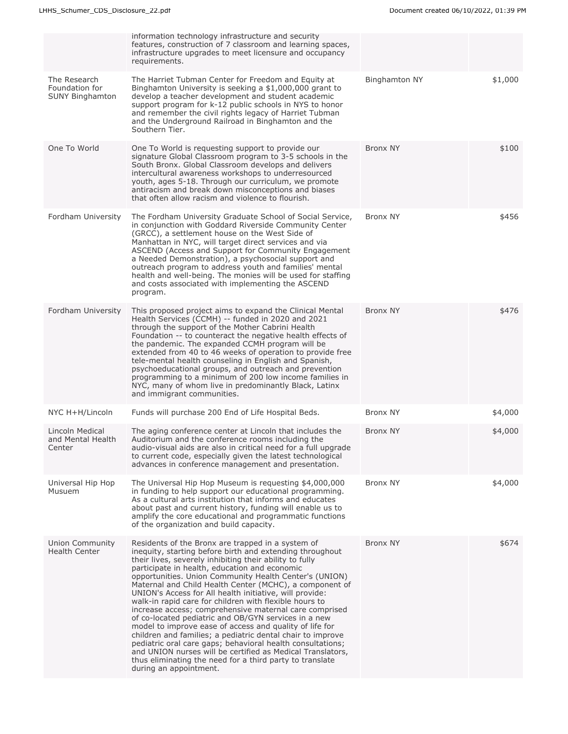|                                                   | information technology infrastructure and security                                                                                                                                                                                                                                                                                                                                                                                                                                                                                                                                                                                                                                                                                                                                                                                                                                                                               |                      |         |
|---------------------------------------------------|----------------------------------------------------------------------------------------------------------------------------------------------------------------------------------------------------------------------------------------------------------------------------------------------------------------------------------------------------------------------------------------------------------------------------------------------------------------------------------------------------------------------------------------------------------------------------------------------------------------------------------------------------------------------------------------------------------------------------------------------------------------------------------------------------------------------------------------------------------------------------------------------------------------------------------|----------------------|---------|
|                                                   | features, construction of 7 classroom and learning spaces,<br>infrastructure upgrades to meet licensure and occupancy<br>requirements.                                                                                                                                                                                                                                                                                                                                                                                                                                                                                                                                                                                                                                                                                                                                                                                           |                      |         |
| The Research<br>Foundation for<br>SUNY Binghamton | The Harriet Tubman Center for Freedom and Equity at<br>Binghamton University is seeking a \$1,000,000 grant to<br>develop a teacher development and student academic<br>support program for k-12 public schools in NYS to honor<br>and remember the civil rights legacy of Harriet Tubman<br>and the Underground Railroad in Binghamton and the<br>Southern Tier.                                                                                                                                                                                                                                                                                                                                                                                                                                                                                                                                                                | <b>Binghamton NY</b> | \$1,000 |
| One To World                                      | One To World is requesting support to provide our<br>signature Global Classroom program to 3-5 schools in the<br>South Bronx. Global Classroom develops and delivers<br>intercultural awareness workshops to underresourced<br>youth, ages 5-18. Through our curriculum, we promote<br>antiracism and break down misconceptions and biases<br>that often allow racism and violence to flourish.                                                                                                                                                                                                                                                                                                                                                                                                                                                                                                                                  | Bronx NY             | \$100   |
| Fordham University                                | The Fordham University Graduate School of Social Service,<br>in conjunction with Goddard Riverside Community Center<br>(GRCC), a settlement house on the West Side of<br>Manhattan in NYC, will target direct services and via<br>ASCEND (Access and Support for Community Engagement<br>a Needed Demonstration), a psychosocial support and<br>outreach program to address youth and families' mental<br>health and well-being. The monies will be used for staffing<br>and costs associated with implementing the ASCEND<br>program.                                                                                                                                                                                                                                                                                                                                                                                           | Bronx NY             | \$456   |
| Fordham University                                | This proposed project aims to expand the Clinical Mental<br>Health Services (CCMH) -- funded in 2020 and 2021<br>through the support of the Mother Cabrini Health<br>Foundation -- to counteract the negative health effects of<br>the pandemic. The expanded CCMH program will be<br>extended from 40 to 46 weeks of operation to provide free<br>tele-mental health counseling in English and Spanish,<br>psychoeducational groups, and outreach and prevention<br>programming to a minimum of 200 low income families in<br>NYC, many of whom live in predominantly Black, Latinx<br>and immigrant communities.                                                                                                                                                                                                                                                                                                               | <b>Bronx NY</b>      | \$476   |
| NYC H+H/Lincoln                                   | Funds will purchase 200 End of Life Hospital Beds.                                                                                                                                                                                                                                                                                                                                                                                                                                                                                                                                                                                                                                                                                                                                                                                                                                                                               | Bronx NY             | \$4,000 |
| Lincoln Medical<br>and Mental Health<br>Center    | The aging conference center at Lincoln that includes the<br>Auditorium and the conference rooms including the<br>audio-visual aids are also in critical need for a full upgrade<br>to current code, especially given the latest technological<br>advances in conference management and presentation.                                                                                                                                                                                                                                                                                                                                                                                                                                                                                                                                                                                                                             | Bronx NY             | \$4,000 |
| Universal Hip Hop<br>Musuem                       | The Universal Hip Hop Museum is requesting \$4,000,000<br>in funding to help support our educational programming.<br>As a cultural arts institution that informs and educates<br>about past and current history, funding will enable us to<br>amplify the core educational and programmatic functions<br>of the organization and build capacity.                                                                                                                                                                                                                                                                                                                                                                                                                                                                                                                                                                                 | Bronx NY             | \$4,000 |
| <b>Union Community</b><br><b>Health Center</b>    | Residents of the Bronx are trapped in a system of<br>inequity, starting before birth and extending throughout<br>their lives, severely inhibiting their ability to fully<br>participate in health, education and economic<br>opportunities. Union Community Health Center's (UNION)<br>Maternal and Child Health Center (MCHC), a component of<br>UNION's Access for All health initiative, will provide:<br>walk-in rapid care for children with flexible hours to<br>increase access; comprehensive maternal care comprised<br>of co-located pediatric and OB/GYN services in a new<br>model to improve ease of access and quality of life for<br>children and families; a pediatric dental chair to improve<br>pediatric oral care gaps; behavioral health consultations;<br>and UNION nurses will be certified as Medical Translators,<br>thus eliminating the need for a third party to translate<br>during an appointment. | Bronx NY             | \$674   |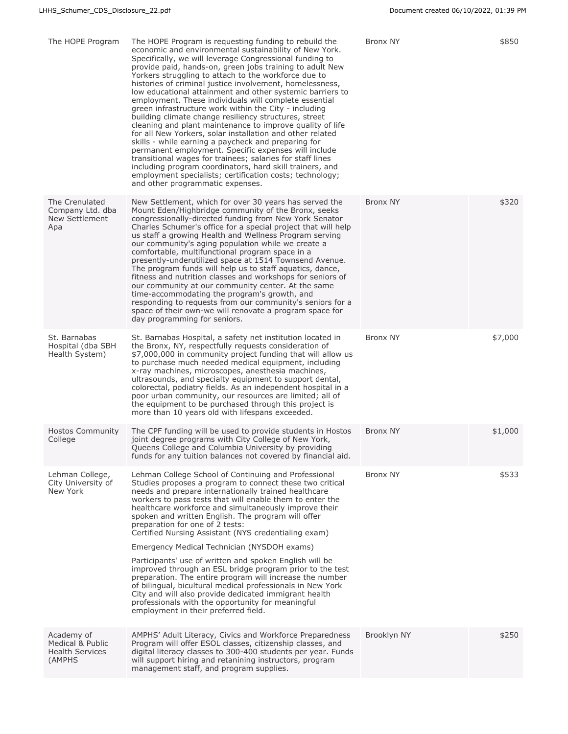| The HOPE Program                                                   | The HOPE Program is requesting funding to rebuild the<br>economic and environmental sustainability of New York.<br>Specifically, we will leverage Congressional funding to<br>provide paid, hands-on, green jobs training to adult New<br>Yorkers struggling to attach to the workforce due to<br>histories of criminal justice involvement, homelessness,<br>low educational attainment and other systemic barriers to<br>employment. These individuals will complete essential<br>green infrastructure work within the City - including<br>building climate change resiliency structures, street<br>cleaning and plant maintenance to improve quality of life<br>for all New Yorkers, solar installation and other related<br>skills - while earning a paycheck and preparing for<br>permanent employment. Specific expenses will include<br>transitional wages for trainees; salaries for staff lines<br>including program coordinators, hard skill trainers, and<br>employment specialists; certification costs; technology;<br>and other programmatic expenses. | Bronx NY        | \$850   |
|--------------------------------------------------------------------|----------------------------------------------------------------------------------------------------------------------------------------------------------------------------------------------------------------------------------------------------------------------------------------------------------------------------------------------------------------------------------------------------------------------------------------------------------------------------------------------------------------------------------------------------------------------------------------------------------------------------------------------------------------------------------------------------------------------------------------------------------------------------------------------------------------------------------------------------------------------------------------------------------------------------------------------------------------------------------------------------------------------------------------------------------------------|-----------------|---------|
| The Crenulated<br>Company Ltd. dba<br>New Settlement<br>Apa        | New Settlement, which for over 30 years has served the<br>Mount Eden/Highbridge community of the Bronx, seeks<br>congressionally-directed funding from New York Senator<br>Charles Schumer's office for a special project that will help<br>us staff a growing Health and Wellness Program serving<br>our community's aging population while we create a<br>comfortable, multifunctional program space in a<br>presently-underutilized space at 1514 Townsend Avenue.<br>The program funds will help us to staff aquatics, dance,<br>fitness and nutrition classes and workshops for seniors of<br>our community at our community center. At the same<br>time-accommodating the program's growth, and<br>responding to requests from our community's seniors for a<br>space of their own-we will renovate a program space for<br>day programming for seniors.                                                                                                                                                                                                        | <b>Bronx NY</b> | \$320   |
| St. Barnabas<br>Hospital (dba SBH<br>Health System)                | St. Barnabas Hospital, a safety net institution located in<br>the Bronx, NY, respectfully requests consideration of<br>\$7,000,000 in community project funding that will allow us<br>to purchase much needed medical equipment, including<br>x-ray machines, microscopes, anesthesia machines,<br>ultrasounds, and specialty equipment to support dental,<br>colorectal, podiatry fields. As an independent hospital in a<br>poor urban community, our resources are limited; all of<br>the equipment to be purchased through this project is<br>more than 10 years old with lifespans exceeded.                                                                                                                                                                                                                                                                                                                                                                                                                                                                    | <b>Bronx NY</b> | \$7,000 |
| <b>Hostos Community</b><br>College                                 | The CPF funding will be used to provide students in Hostos<br>joint degree programs with City College of New York,<br>Queens College and Columbia University by providing<br>funds for any tuition balances not covered by financial aid.                                                                                                                                                                                                                                                                                                                                                                                                                                                                                                                                                                                                                                                                                                                                                                                                                            | <b>Bronx NY</b> | \$1,000 |
| Lehman College,<br>City University of<br>New York                  | Lehman College School of Continuing and Professional<br>Studies proposes a program to connect these two critical<br>needs and prepare internationally trained healthcare<br>workers to pass tests that will enable them to enter the<br>healthcare workforce and simultaneously improve their<br>spoken and written English. The program will offer<br>preparation for one of 2 tests:<br>Certified Nursing Assistant (NYS credentialing exam)<br>Emergency Medical Technician (NYSDOH exams)                                                                                                                                                                                                                                                                                                                                                                                                                                                                                                                                                                        | Bronx NY        | \$533   |
|                                                                    | Participants' use of written and spoken English will be<br>improved through an ESL bridge program prior to the test<br>preparation. The entire program will increase the number<br>of bilingual, bicultural medical professionals in New York<br>City and will also provide dedicated immigrant health<br>professionals with the opportunity for meaningful<br>employment in their preferred field.                                                                                                                                                                                                                                                                                                                                                                                                                                                                                                                                                                                                                                                                  |                 |         |
| Academy of<br>Medical & Public<br><b>Health Services</b><br>(AMPHS | AMPHS' Adult Literacy, Civics and Workforce Preparedness<br>Program will offer ESOL classes, citizenship classes, and<br>digital literacy classes to 300-400 students per year. Funds<br>will support hiring and retanining instructors, program<br>management staff, and program supplies.                                                                                                                                                                                                                                                                                                                                                                                                                                                                                                                                                                                                                                                                                                                                                                          | Brooklyn NY     | \$250   |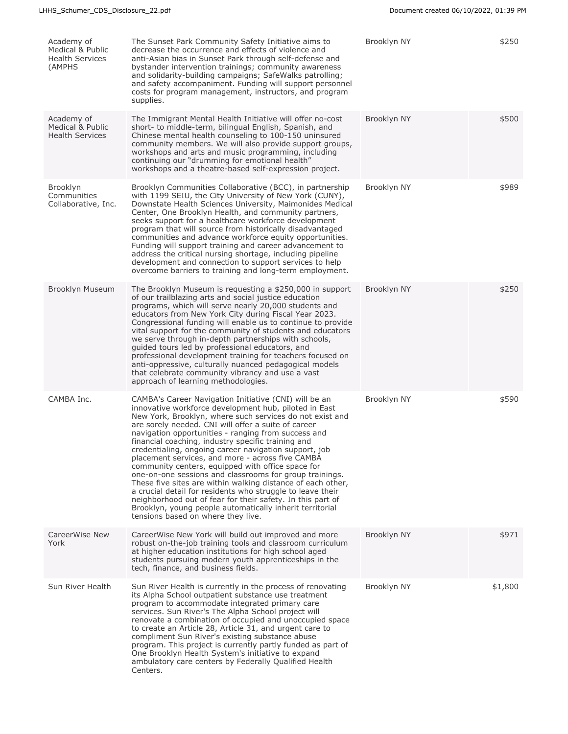| Academy of<br>Medical & Public<br><b>Health Services</b><br>(AMPHS | The Sunset Park Community Safety Initiative aims to<br>decrease the occurrence and effects of violence and<br>anti-Asian bias in Sunset Park through self-defense and<br>bystander intervention trainings; community awareness<br>and solidarity-building campaigns; SafeWalks patrolling;<br>and safety accompaniment. Funding will support personnel<br>costs for program management, instructors, and program<br>supplies.                                                                                                                                                                                                                                                                                                                                                                                                                                            | Brooklyn NY | \$250   |
|--------------------------------------------------------------------|--------------------------------------------------------------------------------------------------------------------------------------------------------------------------------------------------------------------------------------------------------------------------------------------------------------------------------------------------------------------------------------------------------------------------------------------------------------------------------------------------------------------------------------------------------------------------------------------------------------------------------------------------------------------------------------------------------------------------------------------------------------------------------------------------------------------------------------------------------------------------|-------------|---------|
| Academy of<br>Medical & Public<br><b>Health Services</b>           | The Immigrant Mental Health Initiative will offer no-cost<br>short- to middle-term, bilingual English, Spanish, and<br>Chinese mental health counseling to 100-150 uninsured<br>community members. We will also provide support groups,<br>workshops and arts and music programming, including<br>continuing our "drumming for emotional health"<br>workshops and a theatre-based self-expression project.                                                                                                                                                                                                                                                                                                                                                                                                                                                               | Brooklyn NY | \$500   |
| <b>Brooklyn</b><br>Communities<br>Collaborative, Inc.              | Brooklyn Communities Collaborative (BCC), in partnership<br>with 1199 SEIU, the City University of New York (CUNY),<br>Downstate Health Sciences University, Maimonides Medical<br>Center, One Brooklyn Health, and community partners,<br>seeks support for a healthcare workforce development<br>program that will source from historically disadvantaged<br>communities and advance workforce equity opportunities.<br>Funding will support training and career advancement to<br>address the critical nursing shortage, including pipeline<br>development and connection to support services to help<br>overcome barriers to training and long-term employment.                                                                                                                                                                                                      | Brooklyn NY | \$989   |
| Brooklyn Museum                                                    | The Brooklyn Museum is requesting a \$250,000 in support<br>of our trailblazing arts and social justice education<br>programs, which will serve nearly 20,000 students and<br>educators from New York City during Fiscal Year 2023.<br>Congressional funding will enable us to continue to provide<br>vital support for the community of students and educators<br>we serve through in-depth partnerships with schools,<br>guided tours led by professional educators, and<br>professional development training for teachers focused on<br>anti-oppressive, culturally nuanced pedagogical models<br>that celebrate community vibrancy and use a vast<br>approach of learning methodologies.                                                                                                                                                                             | Brooklyn NY | \$250   |
| CAMBA Inc.                                                         | CAMBA's Career Navigation Initiative (CNI) will be an<br>innovative workforce development hub, piloted in East<br>New York, Brooklyn, where such services do not exist and<br>are sorely needed. CNI will offer a suite of career<br>navigation opportunities - ranging from success and<br>financial coaching, industry specific training and<br>credentialing, ongoing career navigation support, job<br>placement services, and more - across five CAMBA<br>community centers, equipped with office space for<br>one-on-one sessions and classrooms for group trainings.<br>These five sites are within walking distance of each other,<br>a crucial detail for residents who struggle to leave their<br>neighborhood out of fear for their safety. In this part of<br>Brooklyn, young people automatically inherit territorial<br>tensions based on where they live. | Brooklyn NY | \$590   |
| CareerWise New<br>York                                             | CareerWise New York will build out improved and more<br>robust on-the-job training tools and classroom curriculum<br>at higher education institutions for high school aged<br>students pursuing modern youth apprenticeships in the<br>tech, finance, and business fields.                                                                                                                                                                                                                                                                                                                                                                                                                                                                                                                                                                                               | Brooklyn NY | \$971   |
| Sun River Health                                                   | Sun River Health is currently in the process of renovating<br>its Alpha School outpatient substance use treatment<br>program to accommodate integrated primary care<br>services. Sun River's The Alpha School project will<br>renovate a combination of occupied and unoccupied space<br>to create an Article 28, Article 31, and urgent care to<br>compliment Sun River's existing substance abuse<br>program. This project is currently partly funded as part of<br>One Brooklyn Health System's initiative to expand<br>ambulatory care centers by Federally Qualified Health<br>Centers.                                                                                                                                                                                                                                                                             | Brooklyn NY | \$1,800 |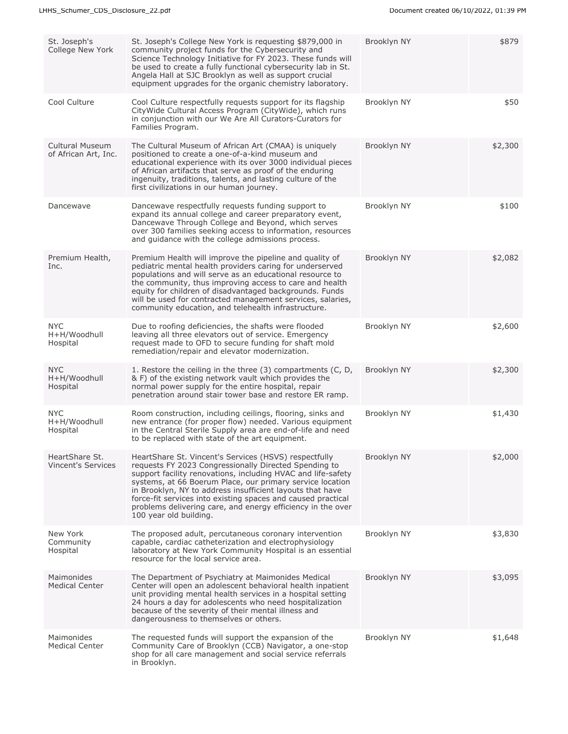| St. Joseph's<br>College New York               | St. Joseph's College New York is requesting \$879,000 in<br>community project funds for the Cybersecurity and<br>Science Technology Initiative for FY 2023. These funds will<br>be used to create a fully functional cybersecurity lab in St.<br>Angela Hall at SJC Brooklyn as well as support crucial<br>equipment upgrades for the organic chemistry laboratory.                                                                                               | Brooklyn NY | \$879   |
|------------------------------------------------|-------------------------------------------------------------------------------------------------------------------------------------------------------------------------------------------------------------------------------------------------------------------------------------------------------------------------------------------------------------------------------------------------------------------------------------------------------------------|-------------|---------|
| Cool Culture                                   | Cool Culture respectfully requests support for its flagship<br>CityWide Cultural Access Program (CityWide), which runs<br>in conjunction with our We Are All Curators-Curators for<br>Families Program.                                                                                                                                                                                                                                                           | Brooklyn NY | \$50    |
| <b>Cultural Museum</b><br>of African Art, Inc. | The Cultural Museum of African Art (CMAA) is uniquely<br>positioned to create a one-of-a-kind museum and<br>educational experience with its over 3000 individual pieces<br>of African artifacts that serve as proof of the enduring<br>ingenuity, traditions, talents, and lasting culture of the<br>first civilizations in our human journey.                                                                                                                    | Brooklyn NY | \$2,300 |
| Dancewave                                      | Dancewave respectfully requests funding support to<br>expand its annual college and career preparatory event,<br>Dancewave Through College and Beyond, which serves<br>over 300 families seeking access to information, resources<br>and quidance with the college admissions process.                                                                                                                                                                            | Brooklyn NY | \$100   |
| Premium Health,<br>Inc.                        | Premium Health will improve the pipeline and quality of<br>pediatric mental health providers caring for underserved<br>populations and will serve as an educational resource to<br>the community, thus improving access to care and health<br>equity for children of disadvantaged backgrounds. Funds<br>will be used for contracted management services, salaries,<br>community education, and telehealth infrastructure.                                        | Brooklyn NY | \$2,082 |
| <b>NYC</b><br>H+H/Woodhull<br>Hospital         | Due to roofing deficiencies, the shafts were flooded<br>leaving all three elevators out of service. Emergency<br>request made to OFD to secure funding for shaft mold<br>remediation/repair and elevator modernization.                                                                                                                                                                                                                                           | Brooklyn NY | \$2,600 |
| <b>NYC</b><br>H+H/Woodhull<br>Hospital         | 1. Restore the ceiling in the three (3) compartments (C, D,<br>& F) of the existing network vault which provides the<br>normal power supply for the entire hospital, repair<br>penetration around stair tower base and restore ER ramp.                                                                                                                                                                                                                           | Brooklyn NY | \$2,300 |
| <b>NYC</b><br>H+H/Woodhull<br>Hospital         | Room construction, including ceilings, flooring, sinks and<br>new entrance (for proper flow) needed. Various equipment<br>in the Central Sterile Supply area are end-of-life and need<br>to be replaced with state of the art equipment.                                                                                                                                                                                                                          | Brooklyn NY | \$1,430 |
| HeartShare St.<br><b>Vincent's Services</b>    | HeartShare St. Vincent's Services (HSVS) respectfully<br>requests FY 2023 Congressionally Directed Spending to<br>support facility renovations, including HVAC and life-safety<br>systems, at 66 Boerum Place, our primary service location<br>in Brooklyn, NY to address insufficient layouts that have<br>force-fit services into existing spaces and caused practical<br>problems delivering care, and energy efficiency in the over<br>100 year old building. | Brooklyn NY | \$2,000 |
| New York<br>Community<br>Hospital              | The proposed adult, percutaneous coronary intervention<br>capable, cardiac catheterization and electrophysiology<br>laboratory at New York Community Hospital is an essential<br>resource for the local service area.                                                                                                                                                                                                                                             | Brooklyn NY | \$3,830 |
| Maimonides<br><b>Medical Center</b>            | The Department of Psychiatry at Maimonides Medical<br>Center will open an adolescent behavioral health inpatient<br>unit providing mental health services in a hospital setting<br>24 hours a day for adolescents who need hospitalization<br>because of the severity of their mental illness and<br>dangerousness to themselves or others.                                                                                                                       | Brooklyn NY | \$3,095 |
| Maimonides<br><b>Medical Center</b>            | The requested funds will support the expansion of the<br>Community Care of Brooklyn (CCB) Navigator, a one-stop<br>shop for all care management and social service referrals<br>in Brooklyn.                                                                                                                                                                                                                                                                      | Brooklyn NY | \$1,648 |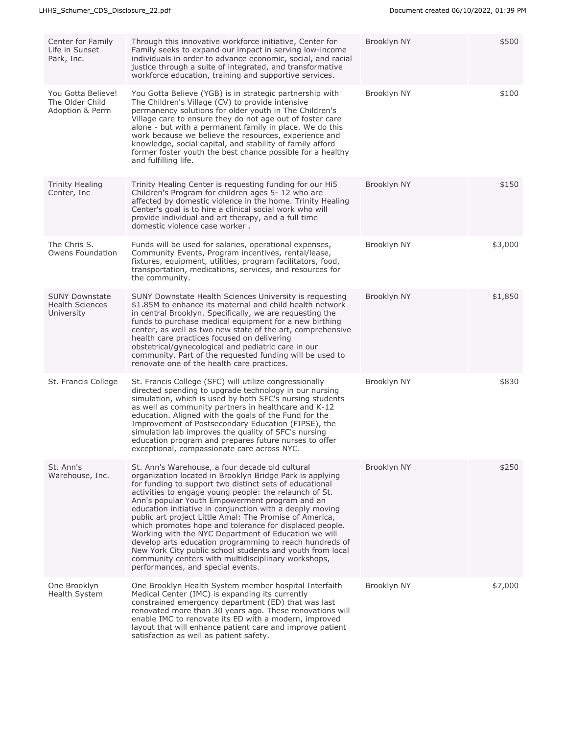| Center for Family<br>Life in Sunset<br>Park, Inc.             | Through this innovative workforce initiative, Center for<br>Family seeks to expand our impact in serving low-income<br>individuals in order to advance economic, social, and racial<br>justice through a suite of integrated, and transformative<br>workforce education, training and supportive services.                                                                                                                                                                                                                                                                                                                                                                                                                                       | Brooklyn NY | \$500   |
|---------------------------------------------------------------|--------------------------------------------------------------------------------------------------------------------------------------------------------------------------------------------------------------------------------------------------------------------------------------------------------------------------------------------------------------------------------------------------------------------------------------------------------------------------------------------------------------------------------------------------------------------------------------------------------------------------------------------------------------------------------------------------------------------------------------------------|-------------|---------|
| You Gotta Believe!<br>The Older Child<br>Adoption & Perm      | You Gotta Believe (YGB) is in strategic partnership with<br>The Children's Village (CV) to provide intensive<br>permanency solutions for older youth in The Children's<br>Village care to ensure they do not age out of foster care<br>alone - but with a permanent family in place. We do this<br>work because we believe the resources, experience and<br>knowledge, social capital, and stability of family afford<br>former foster youth the best chance possible for a healthy<br>and fulfilling life.                                                                                                                                                                                                                                      | Brooklyn NY | \$100   |
| Trinity Healing<br>Center, Inc.                               | Trinity Healing Center is requesting funding for our Hi5<br>Children's Program for children ages 5-12 who are<br>affected by domestic violence in the home. Trinity Healing<br>Center's goal is to hire a clinical social work who will<br>provide individual and art therapy, and a full time<br>domestic violence case worker.                                                                                                                                                                                                                                                                                                                                                                                                                 | Brooklyn NY | \$150   |
| The Chris S.<br>Owens Foundation                              | Funds will be used for salaries, operational expenses,<br>Community Events, Program incentives, rental/lease,<br>fixtures, equipment, utilities, program facilitators, food,<br>transportation, medications, services, and resources for<br>the community.                                                                                                                                                                                                                                                                                                                                                                                                                                                                                       | Brooklyn NY | \$3,000 |
| <b>SUNY Downstate</b><br><b>Health Sciences</b><br>University | SUNY Downstate Health Sciences University is requesting<br>\$1.85M to enhance its maternal and child health network<br>in central Brooklyn. Specifically, we are requesting the<br>funds to purchase medical equipment for a new birthing<br>center, as well as two new state of the art, comprehensive<br>health care practices focused on delivering<br>obstetrical/gynecological and pediatric care in our<br>community. Part of the requested funding will be used to<br>renovate one of the health care practices.                                                                                                                                                                                                                          | Brooklyn NY | \$1,850 |
| St. Francis College                                           | St. Francis College (SFC) will utilize congressionally<br>directed spending to upgrade technology in our nursing<br>simulation, which is used by both SFC's nursing students<br>as well as community partners in healthcare and K-12<br>education. Aligned with the goals of the Fund for the<br>Improvement of Postsecondary Education (FIPSE), the<br>simulation lab improves the quality of SFC's nursing<br>education program and prepares future nurses to offer<br>exceptional, compassionate care across NYC.                                                                                                                                                                                                                             | Brooklyn NY | \$830   |
| St. Ann's<br>Warehouse, Inc.                                  | St. Ann's Warehouse, a four decade old cultural<br>organization located in Brooklyn Bridge Park is applying<br>for funding to support two distinct sets of educational<br>activities to engage young people: the relaunch of St.<br>Ann's popular Youth Empowerment program and an<br>education initiative in conjunction with a deeply moving<br>public art project Little Amal: The Promise of America,<br>which promotes hope and tolerance for displaced people.<br>Working with the NYC Department of Education we will<br>develop arts education programming to reach hundreds of<br>New York City public school students and youth from local<br>community centers with multidisciplinary workshops,<br>performances, and special events. | Brooklyn NY | \$250   |
| One Brooklyn<br>Health System                                 | One Brooklyn Health System member hospital Interfaith<br>Medical Center (IMC) is expanding its currently<br>constrained emergency department (ED) that was last<br>renovated more than 30 years ago. These renovations will<br>enable IMC to renovate its ED with a modern, improved<br>layout that will enhance patient care and improve patient<br>satisfaction as well as patient safety.                                                                                                                                                                                                                                                                                                                                                     | Brooklyn NY | \$7,000 |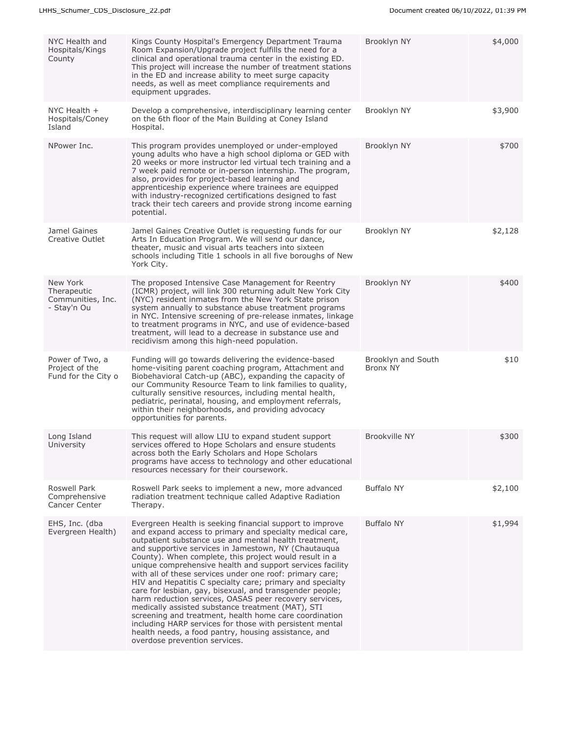| NYC Health and<br>Hospitals/Kings<br>County                 | Kings County Hospital's Emergency Department Trauma<br>Room Expansion/Upgrade project fulfills the need for a<br>clinical and operational trauma center in the existing ED.<br>This project will increase the number of treatment stations<br>in the ED and increase ability to meet surge capacity<br>needs, as well as meet compliance requirements and<br>equipment upgrades.                                                                                                                                                                                                                                                                                                                                                                                                                                                                                                | Brooklyn NY                    | \$4,000 |
|-------------------------------------------------------------|---------------------------------------------------------------------------------------------------------------------------------------------------------------------------------------------------------------------------------------------------------------------------------------------------------------------------------------------------------------------------------------------------------------------------------------------------------------------------------------------------------------------------------------------------------------------------------------------------------------------------------------------------------------------------------------------------------------------------------------------------------------------------------------------------------------------------------------------------------------------------------|--------------------------------|---------|
| NYC Health $+$<br>Hospitals/Coney<br>Island                 | Develop a comprehensive, interdisciplinary learning center<br>on the 6th floor of the Main Building at Coney Island<br>Hospital.                                                                                                                                                                                                                                                                                                                                                                                                                                                                                                                                                                                                                                                                                                                                                | Brooklyn NY                    | \$3,900 |
| NPower Inc.                                                 | This program provides unemployed or under-employed<br>young adults who have a high school diploma or GED with<br>20 weeks or more instructor led virtual tech training and a<br>7 week paid remote or in-person internship. The program,<br>also, provides for project-based learning and<br>apprenticeship experience where trainees are equipped<br>with industry-recognized certifications designed to fast<br>track their tech careers and provide strong income earning<br>potential.                                                                                                                                                                                                                                                                                                                                                                                      | Brooklyn NY                    | \$700   |
| Jamel Gaines<br>Creative Outlet                             | Jamel Gaines Creative Outlet is requesting funds for our<br>Arts In Education Program. We will send our dance,<br>theater, music and visual arts teachers into sixteen<br>schools including Title 1 schools in all five boroughs of New<br>York City.                                                                                                                                                                                                                                                                                                                                                                                                                                                                                                                                                                                                                           | Brooklyn NY                    | \$2,128 |
| New York<br>Therapeutic<br>Communities, Inc.<br>- Stay'n Ou | The proposed Intensive Case Management for Reentry<br>(ICMR) project, will link 300 returning adult New York City<br>(NYC) resident inmates from the New York State prison<br>system annually to substance abuse treatment programs<br>in NYC. Intensive screening of pre-release inmates, linkage<br>to treatment programs in NYC, and use of evidence-based<br>treatment, will lead to a decrease in substance use and<br>recidivism among this high-need population.                                                                                                                                                                                                                                                                                                                                                                                                         | Brooklyn NY                    | \$400   |
| Power of Two, a<br>Project of the<br>Fund for the City o    | Funding will go towards delivering the evidence-based<br>home-visiting parent coaching program, Attachment and<br>Biobehavioral Catch-up (ABC), expanding the capacity of<br>our Community Resource Team to link families to quality,<br>culturally sensitive resources, including mental health,<br>pediatric, perinatal, housing, and employment referrals,<br>within their neighborhoods, and providing advocacy<br>opportunities for parents.                                                                                                                                                                                                                                                                                                                                                                                                                               | Brooklyn and South<br>Bronx NY | \$10    |
| Long Island<br>University                                   | This request will allow LIU to expand student support<br>services offered to Hope Scholars and ensure students<br>across both the Early Scholars and Hope Scholars<br>programs have access to technology and other educational<br>resources necessary for their coursework.                                                                                                                                                                                                                                                                                                                                                                                                                                                                                                                                                                                                     | <b>Brookville NY</b>           | \$300   |
| Roswell Park<br>Comprehensive<br>Cancer Center              | Roswell Park seeks to implement a new, more advanced<br>radiation treatment technique called Adaptive Radiation<br>Therapy.                                                                                                                                                                                                                                                                                                                                                                                                                                                                                                                                                                                                                                                                                                                                                     | <b>Buffalo NY</b>              | \$2,100 |
| EHS, Inc. (dba<br>Evergreen Health)                         | Evergreen Health is seeking financial support to improve<br>and expand access to primary and specialty medical care,<br>outpatient substance use and mental health treatment,<br>and supportive services in Jamestown, NY (Chautauqua<br>County). When complete, this project would result in a<br>unique comprehensive health and support services facility<br>with all of these services under one roof: primary care;<br>HIV and Hepatitis C specialty care; primary and specialty<br>care for lesbian, gay, bisexual, and transgender people;<br>harm reduction services, OASAS peer recovery services,<br>medically assisted substance treatment (MAT), STI<br>screening and treatment, health home care coordination<br>including HARP services for those with persistent mental<br>health needs, a food pantry, housing assistance, and<br>overdose prevention services. | <b>Buffalo NY</b>              | \$1,994 |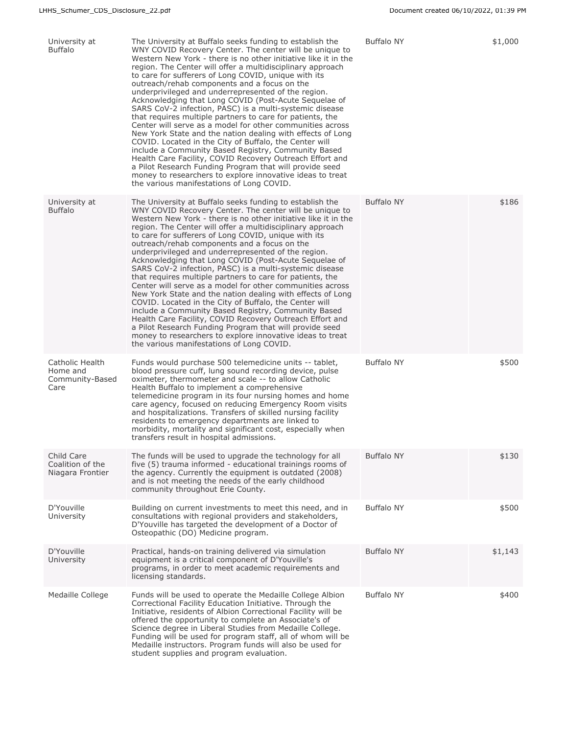| University at<br><b>Buffalo</b>                        | The University at Buffalo seeks funding to establish the<br>WNY COVID Recovery Center. The center will be unique to<br>Western New York - there is no other initiative like it in the<br>region. The Center will offer a multidisciplinary approach<br>to care for sufferers of Long COVID, unique with its<br>outreach/rehab components and a focus on the<br>underprivileged and underrepresented of the region.<br>Acknowledging that Long COVID (Post-Acute Sequelae of<br>SARS CoV-2 infection, PASC) is a multi-systemic disease<br>that requires multiple partners to care for patients, the<br>Center will serve as a model for other communities across<br>New York State and the nation dealing with effects of Long<br>COVID. Located in the City of Buffalo, the Center will<br>include a Community Based Registry, Community Based<br>Health Care Facility, COVID Recovery Outreach Effort and<br>a Pilot Research Funding Program that will provide seed<br>money to researchers to explore innovative ideas to treat<br>the various manifestations of Long COVID. | <b>Buffalo NY</b> | \$1,000 |
|--------------------------------------------------------|----------------------------------------------------------------------------------------------------------------------------------------------------------------------------------------------------------------------------------------------------------------------------------------------------------------------------------------------------------------------------------------------------------------------------------------------------------------------------------------------------------------------------------------------------------------------------------------------------------------------------------------------------------------------------------------------------------------------------------------------------------------------------------------------------------------------------------------------------------------------------------------------------------------------------------------------------------------------------------------------------------------------------------------------------------------------------------|-------------------|---------|
| University at<br><b>Buffalo</b>                        | The University at Buffalo seeks funding to establish the<br>WNY COVID Recovery Center. The center will be unique to<br>Western New York - there is no other initiative like it in the<br>region. The Center will offer a multidisciplinary approach<br>to care for sufferers of Long COVID, unique with its<br>outreach/rehab components and a focus on the<br>underprivileged and underrepresented of the region.<br>Acknowledging that Long COVID (Post-Acute Sequelae of<br>SARS CoV-2 infection, PASC) is a multi-systemic disease<br>that requires multiple partners to care for patients, the<br>Center will serve as a model for other communities across<br>New York State and the nation dealing with effects of Long<br>COVID. Located in the City of Buffalo, the Center will<br>include a Community Based Registry, Community Based<br>Health Care Facility, COVID Recovery Outreach Effort and<br>a Pilot Research Funding Program that will provide seed<br>money to researchers to explore innovative ideas to treat<br>the various manifestations of Long COVID. | <b>Buffalo NY</b> | \$186   |
| Catholic Health<br>Home and<br>Community-Based<br>Care | Funds would purchase 500 telemedicine units -- tablet,<br>blood pressure cuff, lung sound recording device, pulse<br>oximeter, thermometer and scale -- to allow Catholic<br>Health Buffalo to implement a comprehensive<br>telemedicine program in its four nursing homes and home<br>care agency, focused on reducing Emergency Room visits<br>and hospitalizations. Transfers of skilled nursing facility<br>residents to emergency departments are linked to<br>morbidity, mortality and significant cost, especially when<br>transfers result in hospital admissions.                                                                                                                                                                                                                                                                                                                                                                                                                                                                                                       | <b>Buffalo NY</b> | \$500   |
| Child Care<br>Coalition of the<br>Niagara Frontier     | The funds will be used to upgrade the technology for all<br>five (5) trauma informed - educational trainings rooms of<br>the agency. Currently the equipment is outdated (2008)<br>and is not meeting the needs of the early childhood<br>community throughout Erie County.                                                                                                                                                                                                                                                                                                                                                                                                                                                                                                                                                                                                                                                                                                                                                                                                      | <b>Buffalo NY</b> | \$130   |
| D'Youville<br>University                               | Building on current investments to meet this need, and in<br>consultations with regional providers and stakeholders,<br>D'Youville has targeted the development of a Doctor of<br>Osteopathic (DO) Medicine program.                                                                                                                                                                                                                                                                                                                                                                                                                                                                                                                                                                                                                                                                                                                                                                                                                                                             | <b>Buffalo NY</b> | \$500   |
| D'Youville<br>University                               | Practical, hands-on training delivered via simulation<br>equipment is a critical component of D'Youville's<br>programs, in order to meet academic requirements and<br>licensing standards.                                                                                                                                                                                                                                                                                                                                                                                                                                                                                                                                                                                                                                                                                                                                                                                                                                                                                       | <b>Buffalo NY</b> | \$1,143 |
| Medaille College                                       | Funds will be used to operate the Medaille College Albion<br>Correctional Facility Education Initiative. Through the<br>Initiative, residents of Albion Correctional Facility will be<br>offered the opportunity to complete an Associate's of<br>Science degree in Liberal Studies from Medaille College.<br>Funding will be used for program staff, all of whom will be<br>Medaille instructors. Program funds will also be used for<br>student supplies and program evaluation.                                                                                                                                                                                                                                                                                                                                                                                                                                                                                                                                                                                               | <b>Buffalo NY</b> | \$400   |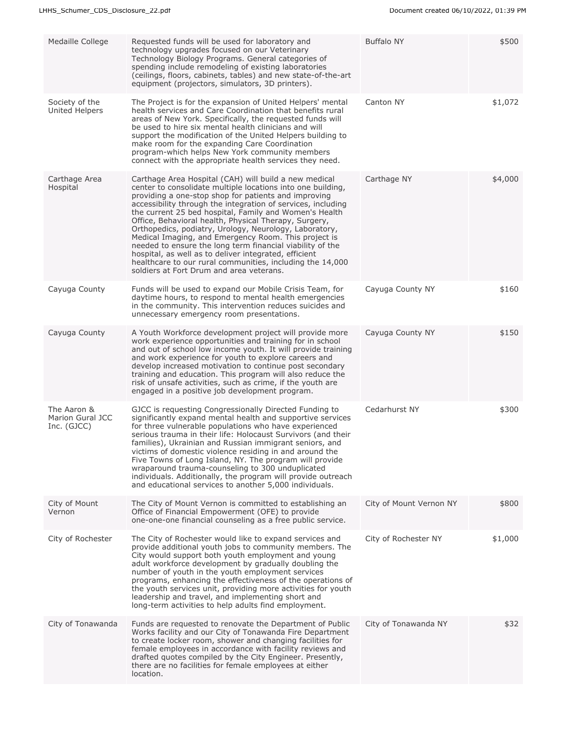| Medaille College                               | Requested funds will be used for laboratory and<br>technology upgrades focused on our Veterinary<br>Technology Biology Programs. General categories of<br>spending include remodeling of existing laboratories<br>(ceilings, floors, cabinets, tables) and new state-of-the-art<br>equipment (projectors, simulators, 3D printers).                                                                                                                                                                                                                                                                                                                                                                              | <b>Buffalo NY</b>       | \$500   |
|------------------------------------------------|------------------------------------------------------------------------------------------------------------------------------------------------------------------------------------------------------------------------------------------------------------------------------------------------------------------------------------------------------------------------------------------------------------------------------------------------------------------------------------------------------------------------------------------------------------------------------------------------------------------------------------------------------------------------------------------------------------------|-------------------------|---------|
| Society of the<br><b>United Helpers</b>        | The Project is for the expansion of United Helpers' mental<br>health services and Care Coordination that benefits rural<br>areas of New York. Specifically, the requested funds will<br>be used to hire six mental health clinicians and will<br>support the modification of the United Helpers building to<br>make room for the expanding Care Coordination<br>program-which helps New York community members<br>connect with the appropriate health services they need.                                                                                                                                                                                                                                        | Canton NY               | \$1,072 |
| Carthage Area<br>Hospital                      | Carthage Area Hospital (CAH) will build a new medical<br>center to consolidate multiple locations into one building,<br>providing a one-stop shop for patients and improving<br>accessibility through the integration of services, including<br>the current 25 bed hospital, Family and Women's Health<br>Office, Behavioral health, Physical Therapy, Surgery,<br>Orthopedics, podiatry, Urology, Neurology, Laboratory,<br>Medical Imaging, and Emergency Room. This project is<br>needed to ensure the long term financial viability of the<br>hospital, as well as to deliver integrated, efficient<br>healthcare to our rural communities, including the 14,000<br>soldiers at Fort Drum and area veterans. | Carthage NY             | \$4,000 |
| Cayuga County                                  | Funds will be used to expand our Mobile Crisis Team, for<br>daytime hours, to respond to mental health emergencies<br>in the community. This intervention reduces suicides and<br>unnecessary emergency room presentations.                                                                                                                                                                                                                                                                                                                                                                                                                                                                                      | Cayuga County NY        | \$160   |
| Cayuga County                                  | A Youth Workforce development project will provide more<br>work experience opportunities and training for in school<br>and out of school low income youth. It will provide training<br>and work experience for youth to explore careers and<br>develop increased motivation to continue post secondary<br>training and education. This program will also reduce the<br>risk of unsafe activities, such as crime, if the youth are<br>engaged in a positive job development program.                                                                                                                                                                                                                              | Cayuga County NY        | \$150   |
| The Aaron &<br>Marion Gural JCC<br>Inc. (GJCC) | GJCC is requesting Congressionally Directed Funding to<br>significantly expand mental health and supportive services<br>for three vulnerable populations who have experienced<br>serious trauma in their life: Holocaust Survivors (and their<br>families), Ukrainian and Russian immigrant seniors, and<br>victims of domestic violence residing in and around the<br>Five Towns of Long Island, NY. The program will provide<br>wraparound trauma-counseling to 300 unduplicated<br>individuals. Additionally, the program will provide outreach<br>and educational services to another 5,000 individuals.                                                                                                     | Cedarhurst NY           | \$300   |
| City of Mount<br>Vernon                        | The City of Mount Vernon is committed to establishing an<br>Office of Financial Empowerment (OFE) to provide<br>one-one-one financial counseling as a free public service.                                                                                                                                                                                                                                                                                                                                                                                                                                                                                                                                       | City of Mount Vernon NY | \$800   |
| City of Rochester                              | The City of Rochester would like to expand services and<br>provide additional youth jobs to community members. The<br>City would support both youth employment and young<br>adult workforce development by gradually doubling the<br>number of youth in the youth employment services<br>programs, enhancing the effectiveness of the operations of<br>the youth services unit, providing more activities for youth<br>leadership and travel, and implementing short and<br>long-term activities to help adults find employment.                                                                                                                                                                                 | City of Rochester NY    | \$1,000 |
| City of Tonawanda                              | Funds are requested to renovate the Department of Public<br>Works facility and our City of Tonawanda Fire Department<br>to create locker room, shower and changing facilities for<br>female employees in accordance with facility reviews and<br>drafted quotes compiled by the City Engineer. Presently,<br>there are no facilities for female employees at either<br>location.                                                                                                                                                                                                                                                                                                                                 | City of Tonawanda NY    | \$32    |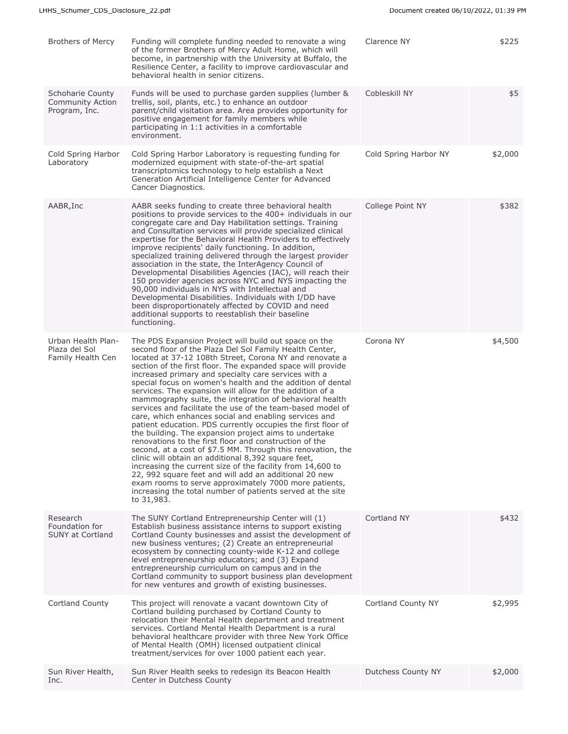| Cobleskill NY<br>Schoharie County<br>Funds will be used to purchase garden supplies (lumber &<br>Community Action<br>trellis, soil, plants, etc.) to enhance an outdoor<br>Program, Inc.<br>parent/child visitation area. Area provides opportunity for<br>positive engagement for family members while<br>participating in 1:1 activities in a comfortable<br>environment.<br>Cold Spring Harbor NY<br>Cold Spring Harbor<br>Cold Spring Harbor Laboratory is requesting funding for<br>Laboratory<br>modernized equipment with state-of-the-art spatial<br>transcriptomics technology to help establish a Next<br>Generation Artificial Intelligence Center for Advanced<br>Cancer Diagnostics.<br>AABR, Inc<br>AABR seeks funding to create three behavioral health<br>College Point NY<br>positions to provide services to the 400+ individuals in our<br>congregate care and Day Habilitation settings. Training<br>and Consultation services will provide specialized clinical<br>expertise for the Behavioral Health Providers to effectively<br>improve recipients' daily functioning. In addition,<br>specialized training delivered through the largest provider<br>association in the state, the InterAgency Council of<br>Developmental Disabilities Agencies (IAC), will reach their<br>150 provider agencies across NYC and NYS impacting the<br>90,000 individuals in NYS with Intellectual and<br>Developmental Disabilities. Individuals with I/DD have<br>been disproportionately affected by COVID and need<br>additional supports to reestablish their baseline<br>functioning.<br>Urban Health Plan-<br>Corona NY<br>The PDS Expansion Project will build out space on the<br>Plaza del Sol<br>second floor of the Plaza Del Sol Family Health Center,<br>located at 37-12 108th Street, Corona NY and renovate a<br>Family Health Cen<br>section of the first floor. The expanded space will provide<br>increased primary and specialty care services with a<br>special focus on women's health and the addition of dental<br>services. The expansion will allow for the addition of a<br>mammography suite, the integration of behavioral health<br>services and facilitate the use of the team-based model of<br>care, which enhances social and enabling services and<br>patient education. PDS currently occupies the first floor of<br>the building. The expansion project aims to undertake<br>renovations to the first floor and construction of the<br>second, at a cost of \$7.5 MM. Through this renovation, the<br>clinic will obtain an additional 8,392 square feet,<br>increasing the current size of the facility from 14,600 to<br>22, 992 square feet and will add an additional 20 new<br>exam rooms to serve approximately 7000 more patients,<br>increasing the total number of patients served at the site<br>to 31,983.<br>Cortland NY<br>Research<br>The SUNY Cortland Entrepreneurship Center will (1)<br>Foundation for<br>Establish business assistance interns to support existing<br><b>SUNY at Cortland</b><br>Cortland County businesses and assist the development of<br>new business ventures; (2) Create an entrepreneurial<br>ecosystem by connecting county-wide K-12 and college<br>level entrepreneurship educators; and (3) Expand<br>entrepreneurship curriculum on campus and in the<br>Cortland community to support business plan development<br>for new ventures and growth of existing businesses.<br>Cortland County<br>This project will renovate a vacant downtown City of<br>Cortland County NY<br>Cortland building purchased by Cortland County to<br>relocation their Mental Health department and treatment<br>services. Cortland Mental Health Department is a rural<br>behavioral healthcare provider with three New York Office<br>of Mental Health (OMH) licensed outpatient clinical<br>treatment/services for over 1000 patient each year. | Brothers of Mercy | Funding will complete funding needed to renovate a wing<br>of the former Brothers of Mercy Adult Home, which will<br>become, in partnership with the University at Buffalo, the<br>Resilience Center, a facility to improve cardiovascular and<br>behavioral health in senior citizens. | Clarence NY | \$225   |
|----------------------------------------------------------------------------------------------------------------------------------------------------------------------------------------------------------------------------------------------------------------------------------------------------------------------------------------------------------------------------------------------------------------------------------------------------------------------------------------------------------------------------------------------------------------------------------------------------------------------------------------------------------------------------------------------------------------------------------------------------------------------------------------------------------------------------------------------------------------------------------------------------------------------------------------------------------------------------------------------------------------------------------------------------------------------------------------------------------------------------------------------------------------------------------------------------------------------------------------------------------------------------------------------------------------------------------------------------------------------------------------------------------------------------------------------------------------------------------------------------------------------------------------------------------------------------------------------------------------------------------------------------------------------------------------------------------------------------------------------------------------------------------------------------------------------------------------------------------------------------------------------------------------------------------------------------------------------------------------------------------------------------------------------------------------------------------------------------------------------------------------------------------------------------------------------------------------------------------------------------------------------------------------------------------------------------------------------------------------------------------------------------------------------------------------------------------------------------------------------------------------------------------------------------------------------------------------------------------------------------------------------------------------------------------------------------------------------------------------------------------------------------------------------------------------------------------------------------------------------------------------------------------------------------------------------------------------------------------------------------------------------------------------------------------------------------------------------------------------------------------------------------------------------------------------------------------------------------------------------------------------------------------------------------------------------------------------------------------------------------------------------------------------------------------------------------------------------------------------------------------------------------------------------------------------------------------------------------------------------------------------------------------------------------------------------------------------------------------------------------------------------------------------------------------------------------------------------------------------------------------------------------------------------------|-------------------|-----------------------------------------------------------------------------------------------------------------------------------------------------------------------------------------------------------------------------------------------------------------------------------------|-------------|---------|
|                                                                                                                                                                                                                                                                                                                                                                                                                                                                                                                                                                                                                                                                                                                                                                                                                                                                                                                                                                                                                                                                                                                                                                                                                                                                                                                                                                                                                                                                                                                                                                                                                                                                                                                                                                                                                                                                                                                                                                                                                                                                                                                                                                                                                                                                                                                                                                                                                                                                                                                                                                                                                                                                                                                                                                                                                                                                                                                                                                                                                                                                                                                                                                                                                                                                                                                                                                                                                                                                                                                                                                                                                                                                                                                                                                                                                                                                                                                            |                   |                                                                                                                                                                                                                                                                                         |             | \$5     |
|                                                                                                                                                                                                                                                                                                                                                                                                                                                                                                                                                                                                                                                                                                                                                                                                                                                                                                                                                                                                                                                                                                                                                                                                                                                                                                                                                                                                                                                                                                                                                                                                                                                                                                                                                                                                                                                                                                                                                                                                                                                                                                                                                                                                                                                                                                                                                                                                                                                                                                                                                                                                                                                                                                                                                                                                                                                                                                                                                                                                                                                                                                                                                                                                                                                                                                                                                                                                                                                                                                                                                                                                                                                                                                                                                                                                                                                                                                                            |                   |                                                                                                                                                                                                                                                                                         |             | \$2,000 |
|                                                                                                                                                                                                                                                                                                                                                                                                                                                                                                                                                                                                                                                                                                                                                                                                                                                                                                                                                                                                                                                                                                                                                                                                                                                                                                                                                                                                                                                                                                                                                                                                                                                                                                                                                                                                                                                                                                                                                                                                                                                                                                                                                                                                                                                                                                                                                                                                                                                                                                                                                                                                                                                                                                                                                                                                                                                                                                                                                                                                                                                                                                                                                                                                                                                                                                                                                                                                                                                                                                                                                                                                                                                                                                                                                                                                                                                                                                                            |                   |                                                                                                                                                                                                                                                                                         |             | \$382   |
|                                                                                                                                                                                                                                                                                                                                                                                                                                                                                                                                                                                                                                                                                                                                                                                                                                                                                                                                                                                                                                                                                                                                                                                                                                                                                                                                                                                                                                                                                                                                                                                                                                                                                                                                                                                                                                                                                                                                                                                                                                                                                                                                                                                                                                                                                                                                                                                                                                                                                                                                                                                                                                                                                                                                                                                                                                                                                                                                                                                                                                                                                                                                                                                                                                                                                                                                                                                                                                                                                                                                                                                                                                                                                                                                                                                                                                                                                                                            |                   |                                                                                                                                                                                                                                                                                         |             | \$4,500 |
|                                                                                                                                                                                                                                                                                                                                                                                                                                                                                                                                                                                                                                                                                                                                                                                                                                                                                                                                                                                                                                                                                                                                                                                                                                                                                                                                                                                                                                                                                                                                                                                                                                                                                                                                                                                                                                                                                                                                                                                                                                                                                                                                                                                                                                                                                                                                                                                                                                                                                                                                                                                                                                                                                                                                                                                                                                                                                                                                                                                                                                                                                                                                                                                                                                                                                                                                                                                                                                                                                                                                                                                                                                                                                                                                                                                                                                                                                                                            |                   |                                                                                                                                                                                                                                                                                         |             | \$432   |
|                                                                                                                                                                                                                                                                                                                                                                                                                                                                                                                                                                                                                                                                                                                                                                                                                                                                                                                                                                                                                                                                                                                                                                                                                                                                                                                                                                                                                                                                                                                                                                                                                                                                                                                                                                                                                                                                                                                                                                                                                                                                                                                                                                                                                                                                                                                                                                                                                                                                                                                                                                                                                                                                                                                                                                                                                                                                                                                                                                                                                                                                                                                                                                                                                                                                                                                                                                                                                                                                                                                                                                                                                                                                                                                                                                                                                                                                                                                            |                   |                                                                                                                                                                                                                                                                                         |             | \$2,995 |
| Sun River Health seeks to redesign its Beacon Health<br>Dutchess County NY<br>Sun River Health,<br>Center in Dutchess County<br>Inc.                                                                                                                                                                                                                                                                                                                                                                                                                                                                                                                                                                                                                                                                                                                                                                                                                                                                                                                                                                                                                                                                                                                                                                                                                                                                                                                                                                                                                                                                                                                                                                                                                                                                                                                                                                                                                                                                                                                                                                                                                                                                                                                                                                                                                                                                                                                                                                                                                                                                                                                                                                                                                                                                                                                                                                                                                                                                                                                                                                                                                                                                                                                                                                                                                                                                                                                                                                                                                                                                                                                                                                                                                                                                                                                                                                                       |                   |                                                                                                                                                                                                                                                                                         |             | \$2,000 |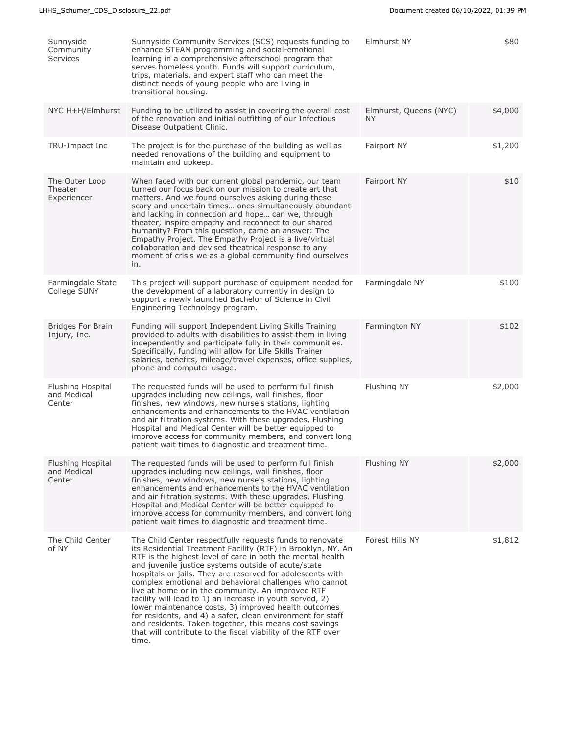| Sunnyside<br>Community<br><b>Services</b>  | Sunnyside Community Services (SCS) requests funding to<br>enhance STEAM programming and social-emotional<br>learning in a comprehensive afterschool program that<br>serves homeless youth. Funds will support curriculum,<br>trips, materials, and expert staff who can meet the<br>distinct needs of young people who are living in<br>transitional housing.                                                                                                                                                                                                                                                                                                                                                                                   | Elmhurst NY                         | \$80    |
|--------------------------------------------|-------------------------------------------------------------------------------------------------------------------------------------------------------------------------------------------------------------------------------------------------------------------------------------------------------------------------------------------------------------------------------------------------------------------------------------------------------------------------------------------------------------------------------------------------------------------------------------------------------------------------------------------------------------------------------------------------------------------------------------------------|-------------------------------------|---------|
| NYC H+H/Elmhurst                           | Funding to be utilized to assist in covering the overall cost<br>of the renovation and initial outfitting of our Infectious<br>Disease Outpatient Clinic.                                                                                                                                                                                                                                                                                                                                                                                                                                                                                                                                                                                       | Elmhurst, Queens (NYC)<br><b>NY</b> | \$4,000 |
| TRU-Impact Inc                             | The project is for the purchase of the building as well as<br>needed renovations of the building and equipment to<br>maintain and upkeep.                                                                                                                                                                                                                                                                                                                                                                                                                                                                                                                                                                                                       | Fairport NY                         | \$1,200 |
| The Outer Loop<br>Theater<br>Experiencer   | When faced with our current global pandemic, our team<br>turned our focus back on our mission to create art that<br>matters. And we found ourselves asking during these<br>scary and uncertain times ones simultaneously abundant<br>and lacking in connection and hope can we, through<br>theater, inspire empathy and reconnect to our shared<br>humanity? From this question, came an answer: The<br>Empathy Project. The Empathy Project is a live/virtual<br>collaboration and devised theatrical response to any<br>moment of crisis we as a global community find ourselves<br>in.                                                                                                                                                       | Fairport NY                         | \$10    |
| Farmingdale State<br>College SUNY          | This project will support purchase of equipment needed for<br>the development of a laboratory currently in design to<br>support a newly launched Bachelor of Science in Civil<br>Engineering Technology program.                                                                                                                                                                                                                                                                                                                                                                                                                                                                                                                                | Farmingdale NY                      | \$100   |
| <b>Bridges For Brain</b><br>Injury, Inc.   | Funding will support Independent Living Skills Training<br>provided to adults with disabilities to assist them in living<br>independently and participate fully in their communities.<br>Specifically, funding will allow for Life Skills Trainer<br>salaries, benefits, mileage/travel expenses, office supplies,<br>phone and computer usage.                                                                                                                                                                                                                                                                                                                                                                                                 | Farmington NY                       | \$102   |
| Flushing Hospital<br>and Medical<br>Center | The requested funds will be used to perform full finish<br>upgrades including new ceilings, wall finishes, floor<br>finishes, new windows, new nurse's stations, lighting<br>enhancements and enhancements to the HVAC ventilation<br>and air filtration systems. With these upgrades, Flushing<br>Hospital and Medical Center will be better equipped to<br>improve access for community members, and convert long<br>patient wait times to diagnostic and treatment time.                                                                                                                                                                                                                                                                     | Flushing NY                         | \$2,000 |
| Flushing Hospital<br>and Medical<br>Center | The requested funds will be used to perform full finish<br>upgrades including new ceilings, wall finishes, floor<br>finishes, new windows, new nurse's stations, lighting<br>enhancements and enhancements to the HVAC ventilation<br>and air filtration systems. With these upgrades, Flushing<br>Hospital and Medical Center will be better equipped to<br>improve access for community members, and convert long<br>patient wait times to diagnostic and treatment time.                                                                                                                                                                                                                                                                     | Flushing NY                         | \$2,000 |
| The Child Center<br>of NY                  | The Child Center respectfully requests funds to renovate<br>its Residential Treatment Facility (RTF) in Brooklyn, NY. An<br>RTF is the highest level of care in both the mental health<br>and juvenile justice systems outside of acute/state<br>hospitals or jails. They are reserved for adolescents with<br>complex emotional and behavioral challenges who cannot<br>live at home or in the community. An improved RTF<br>facility will lead to 1) an increase in youth served, 2)<br>lower maintenance costs, 3) improved health outcomes<br>for residents, and 4) a safer, clean environment for staff<br>and residents. Taken together, this means cost savings<br>that will contribute to the fiscal viability of the RTF over<br>time. | Forest Hills NY                     | \$1,812 |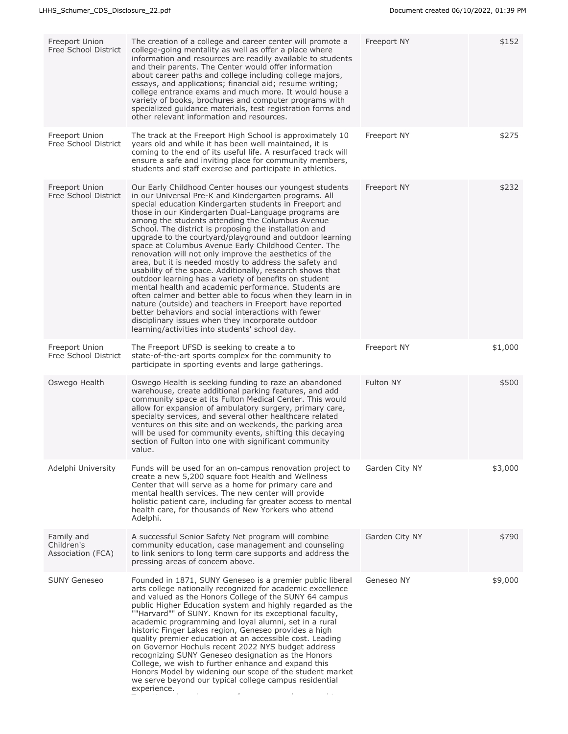| Freeport Union<br>Free School District        | The creation of a college and career center will promote a<br>college-going mentality as well as offer a place where<br>information and resources are readily available to students<br>and their parents. The Center would offer information<br>about career paths and college including college majors,<br>essays, and applications; financial aid; resume writing;<br>college entrance exams and much more. It would house a<br>variety of books, brochures and computer programs with<br>specialized guidance materials, test registration forms and<br>other relevant information and resources.                                                                                                                                                                                                                                                                                                                                                                                                                                                             | Freeport NY      | \$152   |
|-----------------------------------------------|------------------------------------------------------------------------------------------------------------------------------------------------------------------------------------------------------------------------------------------------------------------------------------------------------------------------------------------------------------------------------------------------------------------------------------------------------------------------------------------------------------------------------------------------------------------------------------------------------------------------------------------------------------------------------------------------------------------------------------------------------------------------------------------------------------------------------------------------------------------------------------------------------------------------------------------------------------------------------------------------------------------------------------------------------------------|------------------|---------|
| <b>Freeport Union</b><br>Free School District | The track at the Freeport High School is approximately 10<br>years old and while it has been well maintained, it is<br>coming to the end of its useful life. A resurfaced track will<br>ensure a safe and inviting place for community members,<br>students and staff exercise and participate in athletics.                                                                                                                                                                                                                                                                                                                                                                                                                                                                                                                                                                                                                                                                                                                                                     | Freeport NY      | \$275   |
| Freeport Union<br>Free School District        | Our Early Childhood Center houses our youngest students<br>in our Universal Pre-K and Kindergarten programs. All<br>special education Kindergarten students in Freeport and<br>those in our Kindergarten Dual-Language programs are<br>among the students attending the Columbus Avenue<br>School. The district is proposing the installation and<br>upgrade to the courtyard/playground and outdoor learning<br>space at Columbus Avenue Early Childhood Center. The<br>renovation will not only improve the aesthetics of the<br>area, but it is needed mostly to address the safety and<br>usability of the space. Additionally, research shows that<br>outdoor learning has a variety of benefits on student<br>mental health and academic performance. Students are<br>often calmer and better able to focus when they learn in in<br>nature (outside) and teachers in Freeport have reported<br>better behaviors and social interactions with fewer<br>disciplinary issues when they incorporate outdoor<br>learning/activities into students' school day. | Freeport NY      | \$232   |
| Freeport Union<br>Free School District        | The Freeport UFSD is seeking to create a to<br>state-of-the-art sports complex for the community to<br>participate in sporting events and large gatherings.                                                                                                                                                                                                                                                                                                                                                                                                                                                                                                                                                                                                                                                                                                                                                                                                                                                                                                      | Freeport NY      | \$1,000 |
| Oswego Health                                 | Oswego Health is seeking funding to raze an abandoned<br>warehouse, create additional parking features, and add<br>community space at its Fulton Medical Center. This would<br>allow for expansion of ambulatory surgery, primary care,<br>specialty services, and several other healthcare related<br>ventures on this site and on weekends, the parking area<br>will be used for community events, shifting this decaying<br>section of Fulton into one with significant community<br>value.                                                                                                                                                                                                                                                                                                                                                                                                                                                                                                                                                                   | <b>Fulton NY</b> | \$500   |
| Adelphi University                            | Funds will be used for an on-campus renovation project to<br>create a new 5,200 square foot Health and Wellness<br>Center that will serve as a home for primary care and<br>mental health services. The new center will provide<br>holistic patient care, including far greater access to mental<br>health care, for thousands of New Yorkers who attend<br>Adelphi.                                                                                                                                                                                                                                                                                                                                                                                                                                                                                                                                                                                                                                                                                             | Garden City NY   | \$3,000 |
| Family and<br>Children's<br>Association (FCA) | A successful Senior Safety Net program will combine<br>community education, case management and counseling<br>to link seniors to long term care supports and address the<br>pressing areas of concern above.                                                                                                                                                                                                                                                                                                                                                                                                                                                                                                                                                                                                                                                                                                                                                                                                                                                     | Garden City NY   | \$790   |
| <b>SUNY Geneseo</b>                           | Founded in 1871, SUNY Geneseo is a premier public liberal<br>arts college nationally recognized for academic excellence<br>and valued as the Honors College of the SUNY 64 campus<br>public Higher Education system and highly regarded as the<br>""Harvard"" of SUNY. Known for its exceptional faculty,<br>academic programming and loyal alumni, set in a rural<br>historic Finger Lakes region, Geneseo provides a high<br>quality premier education at an accessible cost. Leading<br>on Governor Hochuls recent 2022 NYS budget address<br>recognizing SUNY Geneseo designation as the Honors<br>College, we wish to further enhance and expand this<br>Honors Model by widening our scope of the student market<br>we serve beyond our typical college campus residential<br>experience.                                                                                                                                                                                                                                                                  | Geneseo NY       | \$9,000 |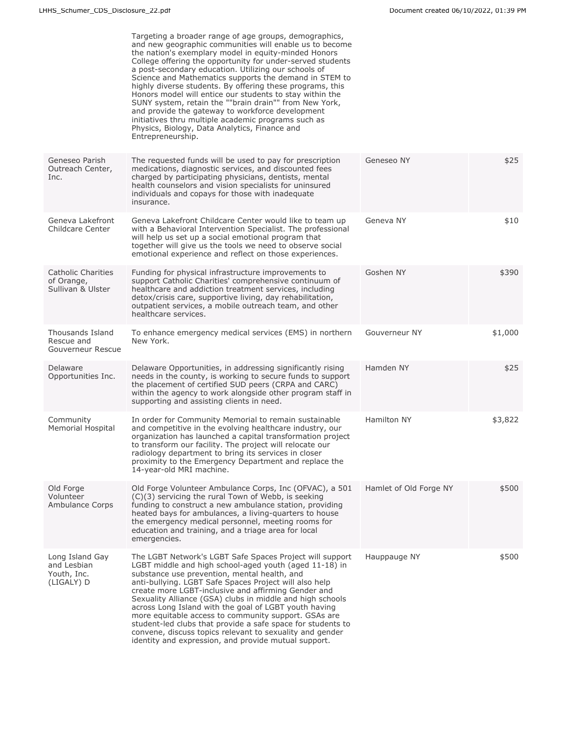|                                                              | Targeting a broader range of age groups, demographics,<br>and new geographic communities will enable us to become<br>the nation's exemplary model in equity-minded Honors<br>College offering the opportunity for under-served students<br>a post-secondary education. Utilizing our schools of<br>Science and Mathematics supports the demand in STEM to<br>highly diverse students. By offering these programs, this<br>Honors model will entice our students to stay within the<br>SUNY system, retain the ""brain drain"" from New York,<br>and provide the gateway to workforce development<br>initiatives thru multiple academic programs such as<br>Physics, Biology, Data Analytics, Finance and<br>Entrepreneurship. |                        |         |
|--------------------------------------------------------------|-------------------------------------------------------------------------------------------------------------------------------------------------------------------------------------------------------------------------------------------------------------------------------------------------------------------------------------------------------------------------------------------------------------------------------------------------------------------------------------------------------------------------------------------------------------------------------------------------------------------------------------------------------------------------------------------------------------------------------|------------------------|---------|
| Geneseo Parish<br>Outreach Center,<br>Inc.                   | The requested funds will be used to pay for prescription<br>medications, diagnostic services, and discounted fees<br>charged by participating physicians, dentists, mental<br>health counselors and vision specialists for uninsured<br>individuals and copays for those with inadequate<br>insurance.                                                                                                                                                                                                                                                                                                                                                                                                                        | Geneseo NY             | \$25    |
| Geneva Lakefront<br>Childcare Center                         | Geneva Lakefront Childcare Center would like to team up<br>with a Behavioral Intervention Specialist. The professional<br>will help us set up a social emotional program that<br>together will give us the tools we need to observe social<br>emotional experience and reflect on those experiences.                                                                                                                                                                                                                                                                                                                                                                                                                          | Geneva NY              | \$10    |
| <b>Catholic Charities</b><br>of Orange,<br>Sullivan & Ulster | Funding for physical infrastructure improvements to<br>support Catholic Charities' comprehensive continuum of<br>healthcare and addiction treatment services, including<br>detox/crisis care, supportive living, day rehabilitation,<br>outpatient services, a mobile outreach team, and other<br>healthcare services.                                                                                                                                                                                                                                                                                                                                                                                                        | Goshen NY              | \$390   |
| Thousands Island<br>Rescue and<br>Gouverneur Rescue          | To enhance emergency medical services (EMS) in northern<br>New York.                                                                                                                                                                                                                                                                                                                                                                                                                                                                                                                                                                                                                                                          | Gouverneur NY          | \$1,000 |
| Delaware<br>Opportunities Inc.                               | Delaware Opportunities, in addressing significantly rising<br>needs in the county, is working to secure funds to support<br>the placement of certified SUD peers (CRPA and CARC)<br>within the agency to work alongside other program staff in<br>supporting and assisting clients in need.                                                                                                                                                                                                                                                                                                                                                                                                                                   | Hamden NY              | \$25    |
| Community<br><b>Memorial Hospital</b>                        | In order for Community Memorial to remain sustainable<br>and competitive in the evolving healthcare industry, our<br>organization has launched a capital transformation project<br>to transform our facility. The project will relocate our<br>radiology department to bring its services in closer<br>proximity to the Emergency Department and replace the<br>14-year-old MRI machine.                                                                                                                                                                                                                                                                                                                                      | Hamilton NY            | \$3,822 |
| Old Forge<br>Volunteer<br>Ambulance Corps                    | Old Forge Volunteer Ambulance Corps, Inc (OFVAC), a 501<br>(C)(3) servicing the rural Town of Webb, is seeking<br>funding to construct a new ambulance station, providing<br>heated bays for ambulances, a living-quarters to house<br>the emergency medical personnel, meeting rooms for<br>education and training, and a triage area for local<br>emergencies.                                                                                                                                                                                                                                                                                                                                                              | Hamlet of Old Forge NY | \$500   |
| Long Island Gay<br>and Lesbian<br>Youth, Inc.<br>(LIGALY) D  | The LGBT Network's LGBT Safe Spaces Project will support<br>LGBT middle and high school-aged youth (aged 11-18) in<br>substance use prevention, mental health, and<br>anti-bullying. LGBT Safe Spaces Project will also help<br>create more LGBT-inclusive and affirming Gender and<br>Sexuality Alliance (GSA) clubs in middle and high schools<br>across Long Island with the goal of LGBT youth having<br>more equitable access to community support. GSAs are<br>student-led clubs that provide a safe space for students to<br>convene, discuss topics relevant to sexuality and gender<br>identity and expression, and provide mutual support.                                                                          | Hauppauge NY           | \$500   |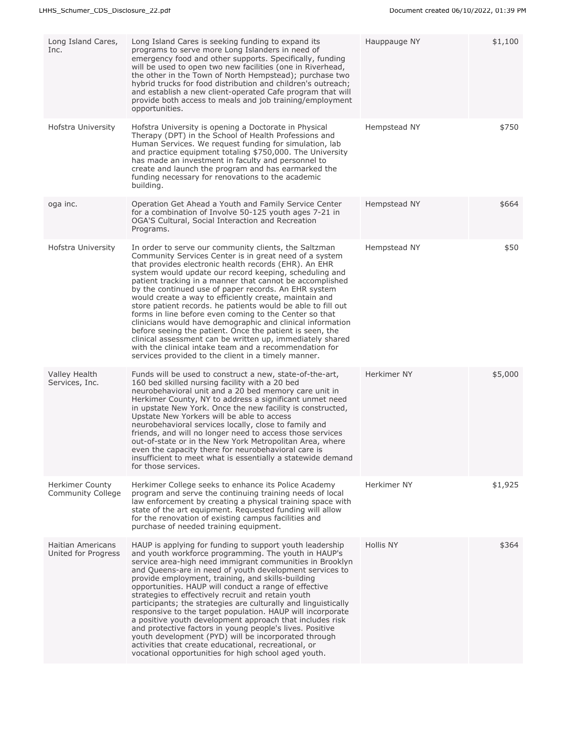| Long Island Cares,<br>Inc.                         | Long Island Cares is seeking funding to expand its<br>programs to serve more Long Islanders in need of<br>emergency food and other supports. Specifically, funding<br>will be used to open two new facilities (one in Riverhead,<br>the other in the Town of North Hempstead); purchase two<br>hybrid trucks for food distribution and children's outreach;<br>and establish a new client-operated Cafe program that will<br>provide both access to meals and job training/employment<br>opportunities.                                                                                                                                                                                                                                                                                                                                            | Hauppauge NY | \$1,100 |
|----------------------------------------------------|----------------------------------------------------------------------------------------------------------------------------------------------------------------------------------------------------------------------------------------------------------------------------------------------------------------------------------------------------------------------------------------------------------------------------------------------------------------------------------------------------------------------------------------------------------------------------------------------------------------------------------------------------------------------------------------------------------------------------------------------------------------------------------------------------------------------------------------------------|--------------|---------|
| Hofstra University                                 | Hofstra University is opening a Doctorate in Physical<br>Therapy (DPT) in the School of Health Professions and<br>Human Services. We request funding for simulation, lab<br>and practice equipment totaling \$750,000. The University<br>has made an investment in faculty and personnel to<br>create and launch the program and has earmarked the<br>funding necessary for renovations to the academic<br>building.                                                                                                                                                                                                                                                                                                                                                                                                                               | Hempstead NY | \$750   |
| oga inc.                                           | Operation Get Ahead a Youth and Family Service Center<br>for a combination of Involve 50-125 youth ages 7-21 in<br>OGA'S Cultural, Social Interaction and Recreation<br>Programs.                                                                                                                                                                                                                                                                                                                                                                                                                                                                                                                                                                                                                                                                  | Hempstead NY | \$664   |
| Hofstra University                                 | In order to serve our community clients, the Saltzman<br>Community Services Center is in great need of a system<br>that provides electronic health records (EHR). An EHR<br>system would update our record keeping, scheduling and<br>patient tracking in a manner that cannot be accomplished<br>by the continued use of paper records. An EHR system<br>would create a way to efficiently create, maintain and<br>store patient records. he patients would be able to fill out<br>forms in line before even coming to the Center so that<br>clinicians would have demographic and clinical information<br>before seeing the patient. Once the patient is seen, the<br>clinical assessment can be written up, immediately shared<br>with the clinical intake team and a recommendation for<br>services provided to the client in a timely manner. | Hempstead NY | \$50    |
| Valley Health<br>Services, Inc.                    | Funds will be used to construct a new, state-of-the-art,<br>160 bed skilled nursing facility with a 20 bed<br>neurobehavioral unit and a 20 bed memory care unit in<br>Herkimer County, NY to address a significant unmet need<br>in upstate New York. Once the new facility is constructed,<br>Upstate New Yorkers will be able to access<br>neurobehavioral services locally, close to family and<br>friends, and will no longer need to access those services<br>out-of-state or in the New York Metropolitan Area, where<br>even the capacity there for neurobehavioral care is<br>insufficient to meet what is essentially a statewide demand<br>for those services.                                                                                                                                                                          | Herkimer NY  | \$5,000 |
| <b>Herkimer County</b><br><b>Community College</b> | Herkimer College seeks to enhance its Police Academy<br>program and serve the continuing training needs of local<br>law enforcement by creating a physical training space with<br>state of the art equipment. Requested funding will allow<br>for the renovation of existing campus facilities and<br>purchase of needed training equipment.                                                                                                                                                                                                                                                                                                                                                                                                                                                                                                       | Herkimer NY  | \$1,925 |
| <b>Haitian Americans</b><br>United for Progress    | HAUP is applying for funding to support youth leadership<br>and youth workforce programming. The youth in HAUP's<br>service area-high need immigrant communities in Brooklyn<br>and Queens-are in need of youth development services to<br>provide employment, training, and skills-building<br>opportunities. HAUP will conduct a range of effective<br>strategies to effectively recruit and retain youth<br>participants; the strategies are culturally and linguistically<br>responsive to the target population. HAUP will incorporate<br>a positive youth development approach that includes risk<br>and protective factors in young people's lives. Positive<br>youth development (PYD) will be incorporated through<br>activities that create educational, recreational, or<br>vocational opportunities for high school aged youth.        | Hollis NY    | \$364   |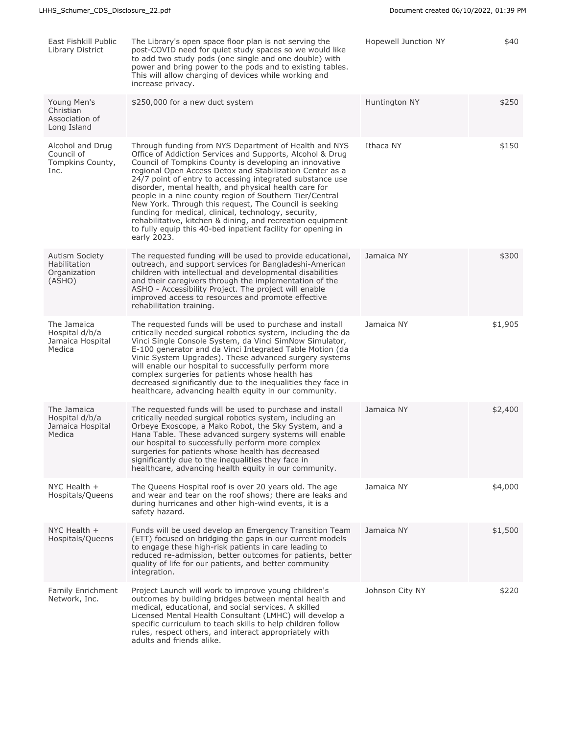| East Fishkill Public<br>Library District                        | The Library's open space floor plan is not serving the<br>post-COVID need for quiet study spaces so we would like<br>to add two study pods (one single and one double) with<br>power and bring power to the pods and to existing tables.<br>This will allow charging of devices while working and<br>increase privacy.                                                                                                                                                                                                                                                                                                                                                                   | Hopewell Junction NY | \$40    |
|-----------------------------------------------------------------|------------------------------------------------------------------------------------------------------------------------------------------------------------------------------------------------------------------------------------------------------------------------------------------------------------------------------------------------------------------------------------------------------------------------------------------------------------------------------------------------------------------------------------------------------------------------------------------------------------------------------------------------------------------------------------------|----------------------|---------|
| Young Men's<br>Christian<br>Association of<br>Long Island       | \$250,000 for a new duct system                                                                                                                                                                                                                                                                                                                                                                                                                                                                                                                                                                                                                                                          | Huntington NY        | \$250   |
| Alcohol and Drug<br>Council of<br>Tompkins County,<br>Inc.      | Through funding from NYS Department of Health and NYS<br>Office of Addiction Services and Supports, Alcohol & Drug<br>Council of Tompkins County is developing an innovative<br>regional Open Access Detox and Stabilization Center as a<br>24/7 point of entry to accessing integrated substance use<br>disorder, mental health, and physical health care for<br>people in a nine county region of Southern Tier/Central<br>New York. Through this request, The Council is seeking<br>funding for medical, clinical, technology, security,<br>rehabilitative, kitchen & dining, and recreation equipment<br>to fully equip this 40-bed inpatient facility for opening in<br>early 2023. | Ithaca NY            | \$150   |
| <b>Autism Society</b><br>Habilitation<br>Organization<br>(ASHO) | The requested funding will be used to provide educational,<br>outreach, and support services for Bangladeshi-American<br>children with intellectual and developmental disabilities<br>and their caregivers through the implementation of the<br>ASHO - Accessibility Project. The project will enable<br>improved access to resources and promote effective<br>rehabilitation training.                                                                                                                                                                                                                                                                                                  | Jamaica NY           | \$300   |
| The Jamaica<br>Hospital d/b/a<br>Jamaica Hospital<br>Medica     | The requested funds will be used to purchase and install<br>critically needed surgical robotics system, including the da<br>Vinci Single Console System, da Vinci SimNow Simulator,<br>E-100 generator and da Vinci Integrated Table Motion (da<br>Vinic System Upgrades). These advanced surgery systems<br>will enable our hospital to successfully perform more<br>complex surgeries for patients whose health has<br>decreased significantly due to the inequalities they face in<br>healthcare, advancing health equity in our community.                                                                                                                                           | Jamaica NY           | \$1,905 |
| The Jamaica<br>Hospital d/b/a<br>Jamaica Hospital<br>Medica     | The requested funds will be used to purchase and install<br>critically needed surgical robotics system, including an<br>Orbeye Exoscope, a Mako Robot, the Sky System, and a<br>Hana Table. These advanced surgery systems will enable<br>our hospital to successfully perform more complex<br>surgeries for patients whose health has decreased<br>significantly due to the inequalities they face in<br>healthcare, advancing health equity in our community.                                                                                                                                                                                                                          | Jamaica NY           | \$2,400 |
| NYC Health $+$<br>Hospitals/Queens                              | The Queens Hospital roof is over 20 years old. The age<br>and wear and tear on the roof shows; there are leaks and<br>during hurricanes and other high-wind events, it is a<br>safety hazard.                                                                                                                                                                                                                                                                                                                                                                                                                                                                                            | Jamaica NY           | \$4,000 |
| NYC Health $+$<br>Hospitals/Queens                              | Funds will be used develop an Emergency Transition Team<br>(ETT) focused on bridging the gaps in our current models<br>to engage these high-risk patients in care leading to<br>reduced re-admission, better outcomes for patients, better<br>quality of life for our patients, and better community<br>integration.                                                                                                                                                                                                                                                                                                                                                                     | Jamaica NY           | \$1,500 |
| Family Enrichment<br>Network, Inc.                              | Project Launch will work to improve young children's<br>outcomes by building bridges between mental health and<br>medical, educational, and social services. A skilled<br>Licensed Mental Health Consultant (LMHC) will develop a<br>specific curriculum to teach skills to help children follow<br>rules, respect others, and interact appropriately with<br>adults and friends alike.                                                                                                                                                                                                                                                                                                  | Johnson City NY      | \$220   |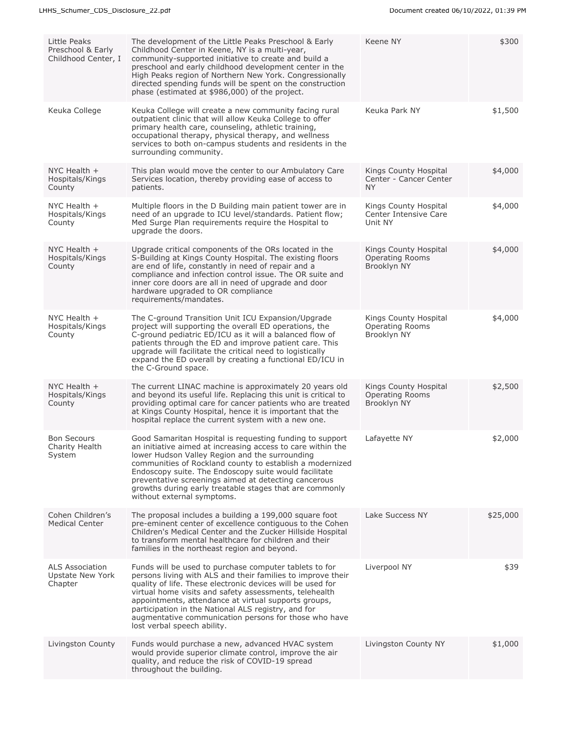| Little Peaks<br>Preschool & Early<br>Childhood Center, I     | The development of the Little Peaks Preschool & Early<br>Childhood Center in Keene, NY is a multi-year,<br>community-supported initiative to create and build a<br>preschool and early childhood development center in the<br>High Peaks region of Northern New York. Congressionally<br>directed spending funds will be spent on the construction<br>phase (estimated at \$986,000) of the project.                                                 | Keene NY                                                       | \$300    |
|--------------------------------------------------------------|------------------------------------------------------------------------------------------------------------------------------------------------------------------------------------------------------------------------------------------------------------------------------------------------------------------------------------------------------------------------------------------------------------------------------------------------------|----------------------------------------------------------------|----------|
| Keuka College                                                | Keuka College will create a new community facing rural<br>outpatient clinic that will allow Keuka College to offer<br>primary health care, counseling, athletic training,<br>occupational therapy, physical therapy, and wellness<br>services to both on-campus students and residents in the<br>surrounding community.                                                                                                                              | Keuka Park NY                                                  | \$1,500  |
| NYC Health $+$<br>Hospitals/Kings<br>County                  | This plan would move the center to our Ambulatory Care<br>Services location, thereby providing ease of access to<br>patients.                                                                                                                                                                                                                                                                                                                        | Kings County Hospital<br>Center - Cancer Center<br><b>NY</b>   | \$4,000  |
| NYC Health $+$<br>Hospitals/Kings<br>County                  | Multiple floors in the D Building main patient tower are in<br>need of an upgrade to ICU level/standards. Patient flow;<br>Med Surge Plan requirements require the Hospital to<br>upgrade the doors.                                                                                                                                                                                                                                                 | Kings County Hospital<br>Center Intensive Care<br>Unit NY      | \$4,000  |
| NYC Health $+$<br>Hospitals/Kings<br>County                  | Upgrade critical components of the ORs located in the<br>S-Building at Kings County Hospital. The existing floors<br>are end of life, constantly in need of repair and a<br>compliance and infection control issue. The OR suite and<br>inner core doors are all in need of upgrade and door<br>hardware upgraded to OR compliance<br>requirements/mandates.                                                                                         | Kings County Hospital<br><b>Operating Rooms</b><br>Brooklyn NY | \$4,000  |
| NYC Health $+$<br>Hospitals/Kings<br>County                  | The C-ground Transition Unit ICU Expansion/Upgrade<br>project will supporting the overall ED operations, the<br>C-ground pediatric ED/ICU as it will a balanced flow of<br>patients through the ED and improve patient care. This<br>upgrade will facilitate the critical need to logistically<br>expand the ED overall by creating a functional ED/ICU in<br>the C-Ground space.                                                                    | Kings County Hospital<br><b>Operating Rooms</b><br>Brooklyn NY | \$4,000  |
| NYC Health $+$<br>Hospitals/Kings<br>County                  | The current LINAC machine is approximately 20 years old<br>and beyond its useful life. Replacing this unit is critical to<br>providing optimal care for cancer patients who are treated<br>at Kings County Hospital, hence it is important that the<br>hospital replace the current system with a new one.                                                                                                                                           | Kings County Hospital<br><b>Operating Rooms</b><br>Brooklyn NY | \$2,500  |
| <b>Bon Secours</b><br>Charity Health<br>System               | Good Samaritan Hospital is requesting funding to support<br>an initiative aimed at increasing access to care within the<br>lower Hudson Valley Region and the surrounding<br>communities of Rockland county to establish a modernized<br>Endoscopy suite. The Endoscopy suite would facilitate<br>preventative screenings aimed at detecting cancerous<br>growths during early treatable stages that are commonly<br>without external symptoms.      | Lafayette NY                                                   | \$2,000  |
| Cohen Children's<br><b>Medical Center</b>                    | The proposal includes a building a 199,000 square foot<br>pre-eminent center of excellence contiguous to the Cohen<br>Children's Medical Center and the Zucker Hillside Hospital<br>to transform mental healthcare for children and their<br>families in the northeast region and beyond.                                                                                                                                                            | Lake Success NY                                                | \$25,000 |
| <b>ALS Association</b><br><b>Upstate New York</b><br>Chapter | Funds will be used to purchase computer tablets to for<br>persons living with ALS and their families to improve their<br>quality of life. These electronic devices will be used for<br>virtual home visits and safety assessments, telehealth<br>appointments, attendance at virtual supports groups,<br>participation in the National ALS registry, and for<br>augmentative communication persons for those who have<br>lost verbal speech ability. | Liverpool NY                                                   | \$39     |
| Livingston County                                            | Funds would purchase a new, advanced HVAC system<br>would provide superior climate control, improve the air<br>quality, and reduce the risk of COVID-19 spread<br>throughout the building.                                                                                                                                                                                                                                                           | Livingston County NY                                           | \$1,000  |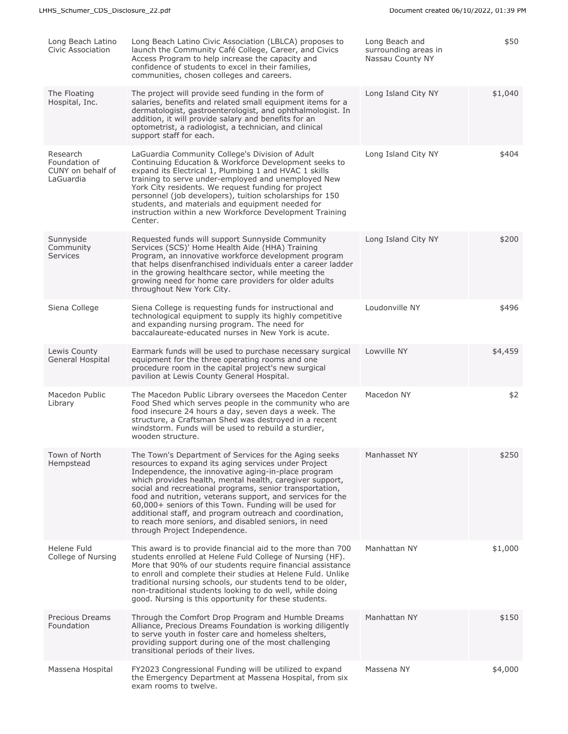| Long Beach Latino<br>Civic Association                      | Long Beach Latino Civic Association (LBLCA) proposes to<br>launch the Community Café College, Career, and Civics<br>Access Program to help increase the capacity and<br>confidence of students to excel in their families,<br>communities, chosen colleges and careers.                                                                                                                                                                                                                                                                                                   | Long Beach and<br>surrounding areas in<br>Nassau County NY | \$50    |
|-------------------------------------------------------------|---------------------------------------------------------------------------------------------------------------------------------------------------------------------------------------------------------------------------------------------------------------------------------------------------------------------------------------------------------------------------------------------------------------------------------------------------------------------------------------------------------------------------------------------------------------------------|------------------------------------------------------------|---------|
| The Floating<br>Hospital, Inc.                              | The project will provide seed funding in the form of<br>salaries, benefits and related small equipment items for a<br>dermatologist, gastroenterologist, and ophthalmologist. In<br>addition, it will provide salary and benefits for an<br>optometrist, a radiologist, a technician, and clinical<br>support staff for each.                                                                                                                                                                                                                                             | Long Island City NY                                        | \$1,040 |
| Research<br>Foundation of<br>CUNY on behalf of<br>LaGuardia | LaGuardia Community College's Division of Adult<br>Continuing Education & Workforce Development seeks to<br>expand its Electrical 1, Plumbing 1 and HVAC 1 skills<br>training to serve under-employed and unemployed New<br>York City residents. We request funding for project<br>personnel (job developers), tuition scholarships for 150<br>students, and materials and equipment needed for<br>instruction within a new Workforce Development Training<br>Center.                                                                                                     | Long Island City NY                                        | \$404   |
| Sunnyside<br>Community<br><b>Services</b>                   | Requested funds will support Sunnyside Community<br>Services (SCS)' Home Health Aide (HHA) Training<br>Program, an innovative workforce development program<br>that helps disenfranchised individuals enter a career ladder<br>in the growing healthcare sector, while meeting the<br>growing need for home care providers for older adults<br>throughout New York City.                                                                                                                                                                                                  | Long Island City NY                                        | \$200   |
| Siena College                                               | Siena College is requesting funds for instructional and<br>technological equipment to supply its highly competitive<br>and expanding nursing program. The need for<br>baccalaureate-educated nurses in New York is acute.                                                                                                                                                                                                                                                                                                                                                 | Loudonville NY                                             | \$496   |
| Lewis County<br>General Hospital                            | Earmark funds will be used to purchase necessary surgical<br>equipment for the three operating rooms and one<br>procedure room in the capital project's new surgical<br>pavilion at Lewis County General Hospital.                                                                                                                                                                                                                                                                                                                                                        | Lowville NY                                                | \$4,459 |
| Macedon Public<br>Library                                   | The Macedon Public Library oversees the Macedon Center<br>Food Shed which serves people in the community who are<br>food insecure 24 hours a day, seven days a week. The<br>structure, a Craftsman Shed was destroyed in a recent<br>windstorm. Funds will be used to rebuild a sturdier,<br>wooden structure.                                                                                                                                                                                                                                                            | Macedon NY                                                 | \$2     |
| Town of North<br>Hempstead                                  | The Town's Department of Services for the Aging seeks<br>resources to expand its aging services under Project<br>Independence, the innovative aging-in-place program<br>which provides health, mental health, caregiver support,<br>social and recreational programs, senior transportation,<br>food and nutrition, veterans support, and services for the<br>60,000+ seniors of this Town. Funding will be used for<br>additional staff, and program outreach and coordination,<br>to reach more seniors, and disabled seniors, in need<br>through Project Independence. | Manhasset NY                                               | \$250   |
| Helene Fuld<br>College of Nursing                           | This award is to provide financial aid to the more than 700<br>students enrolled at Helene Fuld College of Nursing (HF).<br>More that 90% of our students require financial assistance<br>to enroll and complete their studies at Helene Fuld. Unlike<br>traditional nursing schools, our students tend to be older,<br>non-traditional students looking to do well, while doing<br>good. Nursing is this opportunity for these students.                                                                                                                                 | Manhattan NY                                               | \$1,000 |
| Precious Dreams<br>Foundation                               | Through the Comfort Drop Program and Humble Dreams<br>Alliance, Precious Dreams Foundation is working diligently<br>to serve youth in foster care and homeless shelters,<br>providing support during one of the most challenging<br>transitional periods of their lives.                                                                                                                                                                                                                                                                                                  | Manhattan NY                                               | \$150   |
| Massena Hospital                                            | FY2023 Congressional Funding will be utilized to expand<br>the Emergency Department at Massena Hospital, from six<br>exam rooms to twelve.                                                                                                                                                                                                                                                                                                                                                                                                                                | Massena NY                                                 | \$4,000 |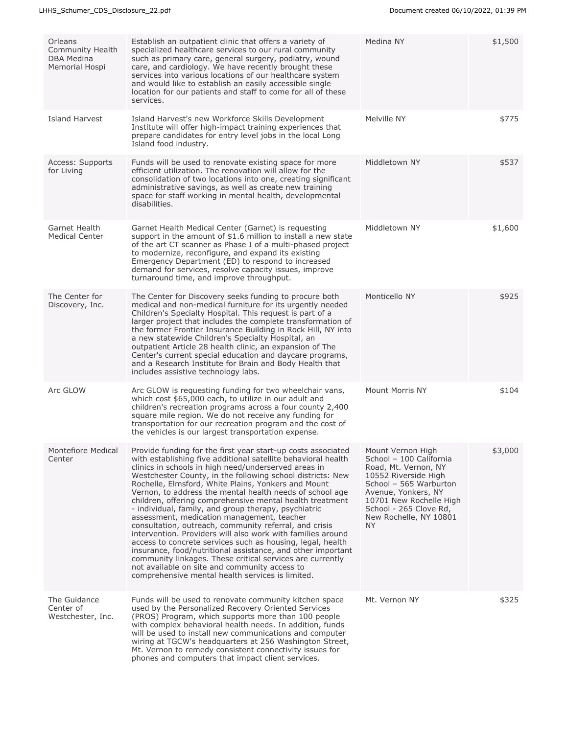| Orleans<br>Community Health<br>DBA Medina<br>Memorial Hospi | Establish an outpatient clinic that offers a variety of<br>specialized healthcare services to our rural community<br>such as primary care, general surgery, podiatry, wound<br>care, and cardiology. We have recently brought these<br>services into various locations of our healthcare system<br>and would like to establish an easily accessible single<br>location for our patients and staff to come for all of these<br>services.                                                                                                                                                                                                                                                                                                                                                                                                                                                                                                                          | Medina NY                                                                                                                                                                                                                           | \$1,500 |
|-------------------------------------------------------------|------------------------------------------------------------------------------------------------------------------------------------------------------------------------------------------------------------------------------------------------------------------------------------------------------------------------------------------------------------------------------------------------------------------------------------------------------------------------------------------------------------------------------------------------------------------------------------------------------------------------------------------------------------------------------------------------------------------------------------------------------------------------------------------------------------------------------------------------------------------------------------------------------------------------------------------------------------------|-------------------------------------------------------------------------------------------------------------------------------------------------------------------------------------------------------------------------------------|---------|
| Island Harvest                                              | Island Harvest's new Workforce Skills Development<br>Institute will offer high-impact training experiences that<br>prepare candidates for entry level jobs in the local Long<br>Island food industry.                                                                                                                                                                                                                                                                                                                                                                                                                                                                                                                                                                                                                                                                                                                                                            | Melville NY                                                                                                                                                                                                                         | \$775   |
| Access: Supports<br>for Living                              | Funds will be used to renovate existing space for more<br>efficient utilization. The renovation will allow for the<br>consolidation of two locations into one, creating significant<br>administrative savings, as well as create new training<br>space for staff working in mental health, developmental<br>disabilities.                                                                                                                                                                                                                                                                                                                                                                                                                                                                                                                                                                                                                                        | Middletown NY                                                                                                                                                                                                                       | \$537   |
| Garnet Health<br><b>Medical Center</b>                      | Garnet Health Medical Center (Garnet) is requesting<br>support in the amount of \$1.6 million to install a new state<br>of the art CT scanner as Phase I of a multi-phased project<br>to modernize, reconfigure, and expand its existing<br>Emergency Department (ED) to respond to increased<br>demand for services, resolve capacity issues, improve<br>turnaround time, and improve throughput.                                                                                                                                                                                                                                                                                                                                                                                                                                                                                                                                                               | Middletown NY                                                                                                                                                                                                                       | \$1,600 |
| The Center for<br>Discovery, Inc.                           | The Center for Discovery seeks funding to procure both<br>medical and non-medical furniture for its urgently needed<br>Children's Specialty Hospital. This request is part of a<br>larger project that includes the complete transformation of<br>the former Frontier Insurance Building in Rock Hill, NY into<br>a new statewide Children's Specialty Hospital, an<br>outpatient Article 28 health clinic, an expansion of The<br>Center's current special education and daycare programs,<br>and a Research Institute for Brain and Body Health that<br>includes assistive technology labs.                                                                                                                                                                                                                                                                                                                                                                    | Monticello NY                                                                                                                                                                                                                       | \$925   |
| Arc GLOW                                                    | Arc GLOW is requesting funding for two wheelchair vans,<br>which cost \$65,000 each, to utilize in our adult and<br>children's recreation programs across a four county 2,400<br>square mile region. We do not receive any funding for<br>transportation for our recreation program and the cost of<br>the vehicles is our largest transportation expense.                                                                                                                                                                                                                                                                                                                                                                                                                                                                                                                                                                                                       | Mount Morris NY                                                                                                                                                                                                                     | \$104   |
| Montefiore Medical<br>Center                                | Provide funding for the first year start-up costs associated<br>with establishing five additional satellite behavioral health<br>clinics in schools in high need/underserved areas in<br>Westchester County, in the following school districts: New<br>Rochelle, Elmsford, White Plains, Yonkers and Mount<br>Vernon, to address the mental health needs of school age<br>children, offering comprehensive mental health treatment<br>- individual, family, and group therapy, psychiatric<br>assessment, medication management, teacher<br>consultation, outreach, community referral, and crisis<br>intervention. Providers will also work with families around<br>access to concrete services such as housing, legal, health<br>insurance, food/nutritional assistance, and other important<br>community linkages. These critical services are currently<br>not available on site and community access to<br>comprehensive mental health services is limited. | Mount Vernon High<br>School - 100 California<br>Road, Mt. Vernon, NY<br>10552 Riverside High<br>School - 565 Warburton<br>Avenue, Yonkers, NY<br>10701 New Rochelle High<br>School - 265 Clove Rd,<br>New Rochelle, NY 10801<br>NY. | \$3,000 |
| The Guidance<br>Center of<br>Westchester, Inc.              | Funds will be used to renovate community kitchen space<br>used by the Personalized Recovery Oriented Services<br>(PROS) Program, which supports more than 100 people<br>with complex behavioral health needs. In addition, funds<br>will be used to install new communications and computer<br>wiring at TGCW's headquarters at 256 Washington Street,<br>Mt. Vernon to remedy consistent connectivity issues for<br>phones and computers that impact client services.                                                                                                                                                                                                                                                                                                                                                                                                                                                                                           | Mt. Vernon NY                                                                                                                                                                                                                       | \$325   |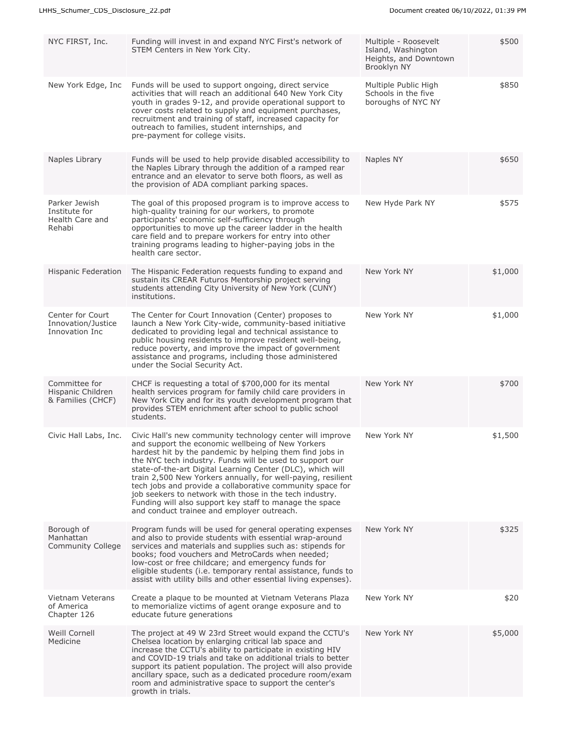| NYC FIRST, Inc.                                             | Funding will invest in and expand NYC First's network of<br>STEM Centers in New York City.                                                                                                                                                                                                                                                                                                                                                                                                                                                                                                            | Multiple - Roosevelt<br>Island, Washington<br>Heights, and Downtown<br>Brooklyn NY | \$500   |
|-------------------------------------------------------------|-------------------------------------------------------------------------------------------------------------------------------------------------------------------------------------------------------------------------------------------------------------------------------------------------------------------------------------------------------------------------------------------------------------------------------------------------------------------------------------------------------------------------------------------------------------------------------------------------------|------------------------------------------------------------------------------------|---------|
| New York Edge, Inc                                          | Funds will be used to support ongoing, direct service<br>activities that will reach an additional 640 New York City<br>youth in grades 9-12, and provide operational support to<br>cover costs related to supply and equipment purchases,<br>recruitment and training of staff, increased capacity for<br>outreach to families, student internships, and<br>pre-payment for college visits.                                                                                                                                                                                                           | Multiple Public High<br>Schools in the five<br>boroughs of NYC NY                  | \$850   |
| Naples Library                                              | Funds will be used to help provide disabled accessibility to<br>the Naples Library through the addition of a ramped rear<br>entrance and an elevator to serve both floors, as well as<br>the provision of ADA compliant parking spaces.                                                                                                                                                                                                                                                                                                                                                               | Naples NY                                                                          | \$650   |
| Parker Jewish<br>Institute for<br>Health Care and<br>Rehabi | The goal of this proposed program is to improve access to<br>high-quality training for our workers, to promote<br>participants' economic self-sufficiency through<br>opportunities to move up the career ladder in the health<br>care field and to prepare workers for entry into other<br>training programs leading to higher-paying jobs in the<br>health care sector.                                                                                                                                                                                                                              | New Hyde Park NY                                                                   | \$575   |
| <b>Hispanic Federation</b>                                  | The Hispanic Federation requests funding to expand and<br>sustain its CREAR Futuros Mentorship project serving<br>students attending City University of New York (CUNY)<br>institutions.                                                                                                                                                                                                                                                                                                                                                                                                              | New York NY                                                                        | \$1,000 |
| Center for Court<br>Innovation/Justice<br>Innovation Inc    | The Center for Court Innovation (Center) proposes to<br>launch a New York City-wide, community-based initiative<br>dedicated to providing legal and technical assistance to<br>public housing residents to improve resident well-being,<br>reduce poverty, and improve the impact of government<br>assistance and programs, including those administered<br>under the Social Security Act.                                                                                                                                                                                                            | New York NY                                                                        | \$1,000 |
| Committee for<br>Hispanic Children<br>& Families (CHCF)     | CHCF is requesting a total of \$700,000 for its mental<br>health services program for family child care providers in<br>New York City and for its youth development program that<br>provides STEM enrichment after school to public school<br>students.                                                                                                                                                                                                                                                                                                                                               | New York NY                                                                        | \$700   |
| Civic Hall Labs, Inc.                                       | Civic Hall's new community technology center will improve<br>and support the economic wellbeing of New Yorkers<br>hardest hit by the pandemic by helping them find jobs in<br>the NYC tech industry. Funds will be used to support our<br>state-of-the-art Digital Learning Center (DLC), which will<br>train 2,500 New Yorkers annually, for well-paying, resilient<br>tech jobs and provide a collaborative community space for<br>job seekers to network with those in the tech industry.<br>Funding will also support key staff to manage the space<br>and conduct trainee and employer outreach. | New York NY                                                                        | \$1,500 |
| Borough of<br>Manhattan<br><b>Community College</b>         | Program funds will be used for general operating expenses<br>and also to provide students with essential wrap-around<br>services and materials and supplies such as: stipends for<br>books; food vouchers and MetroCards when needed;<br>low-cost or free childcare; and emergency funds for<br>eligible students (i.e. temporary rental assistance, funds to<br>assist with utility bills and other essential living expenses).                                                                                                                                                                      | New York NY                                                                        | \$325   |
| Vietnam Veterans<br>of America<br>Chapter 126               | Create a plaque to be mounted at Vietnam Veterans Plaza<br>to memorialize victims of agent orange exposure and to<br>educate future generations                                                                                                                                                                                                                                                                                                                                                                                                                                                       | New York NY                                                                        | \$20    |
| Weill Cornell<br>Medicine                                   | The project at 49 W 23rd Street would expand the CCTU's<br>Chelsea location by enlarging critical lab space and<br>increase the CCTU's ability to participate in existing HIV<br>and COVID-19 trials and take on additional trials to better<br>support its patient population. The project will also provide<br>ancillary space, such as a dedicated procedure room/exam<br>room and administrative space to support the center's<br>growth in trials.                                                                                                                                               | New York NY                                                                        | \$5,000 |
|                                                             |                                                                                                                                                                                                                                                                                                                                                                                                                                                                                                                                                                                                       |                                                                                    |         |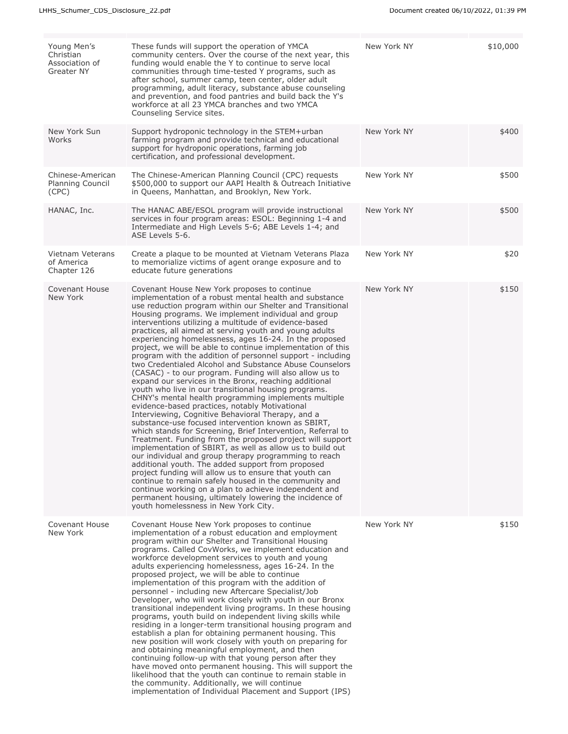| Young Men's<br>Christian<br>Association of<br><b>Greater NY</b> | These funds will support the operation of YMCA<br>community centers. Over the course of the next year, this<br>funding would enable the Y to continue to serve local<br>communities through time-tested Y programs, such as<br>after school, summer camp, teen center, older adult<br>programming, adult literacy, substance abuse counseling<br>and prevention, and food pantries and build back the Y's<br>workforce at all 23 YMCA branches and two YMCA<br>Counseling Service sites.                                                                                                                                                                                                                                                                                                                                                                                                                                                                                                                                                                                                                                                                                                                                                                                                                                                                                                                                                                                                                                                                                               | New York NY | \$10,000 |
|-----------------------------------------------------------------|----------------------------------------------------------------------------------------------------------------------------------------------------------------------------------------------------------------------------------------------------------------------------------------------------------------------------------------------------------------------------------------------------------------------------------------------------------------------------------------------------------------------------------------------------------------------------------------------------------------------------------------------------------------------------------------------------------------------------------------------------------------------------------------------------------------------------------------------------------------------------------------------------------------------------------------------------------------------------------------------------------------------------------------------------------------------------------------------------------------------------------------------------------------------------------------------------------------------------------------------------------------------------------------------------------------------------------------------------------------------------------------------------------------------------------------------------------------------------------------------------------------------------------------------------------------------------------------|-------------|----------|
| New York Sun<br>Works                                           | Support hydroponic technology in the STEM+urban<br>farming program and provide technical and educational<br>support for hydroponic operations, farming job<br>certification, and professional development.                                                                                                                                                                                                                                                                                                                                                                                                                                                                                                                                                                                                                                                                                                                                                                                                                                                                                                                                                                                                                                                                                                                                                                                                                                                                                                                                                                             | New York NY | \$400    |
| Chinese-American<br>Planning Council<br>(CPC)                   | The Chinese-American Planning Council (CPC) requests<br>\$500,000 to support our AAPI Health & Outreach Initiative<br>in Queens, Manhattan, and Brooklyn, New York.                                                                                                                                                                                                                                                                                                                                                                                                                                                                                                                                                                                                                                                                                                                                                                                                                                                                                                                                                                                                                                                                                                                                                                                                                                                                                                                                                                                                                    | New York NY | \$500    |
| HANAC, Inc.                                                     | The HANAC ABE/ESOL program will provide instructional<br>services in four program areas: ESOL: Beginning 1-4 and<br>Intermediate and High Levels 5-6; ABE Levels 1-4; and<br>ASE Levels 5-6.                                                                                                                                                                                                                                                                                                                                                                                                                                                                                                                                                                                                                                                                                                                                                                                                                                                                                                                                                                                                                                                                                                                                                                                                                                                                                                                                                                                           | New York NY | \$500    |
| Vietnam Veterans<br>of America<br>Chapter 126                   | Create a plaque to be mounted at Vietnam Veterans Plaza<br>to memorialize victims of agent orange exposure and to<br>educate future generations                                                                                                                                                                                                                                                                                                                                                                                                                                                                                                                                                                                                                                                                                                                                                                                                                                                                                                                                                                                                                                                                                                                                                                                                                                                                                                                                                                                                                                        | New York NY | \$20     |
| Covenant House<br>New York                                      | Covenant House New York proposes to continue<br>implementation of a robust mental health and substance<br>use reduction program within our Shelter and Transitional<br>Housing programs. We implement individual and group<br>interventions utilizing a multitude of evidence-based<br>practices, all aimed at serving youth and young adults<br>experiencing homelessness, ages 16-24. In the proposed<br>project, we will be able to continue implementation of this<br>program with the addition of personnel support - including<br>two Credentialed Alcohol and Substance Abuse Counselors<br>(CASAC) - to our program. Funding will also allow us to<br>expand our services in the Bronx, reaching additional<br>youth who live in our transitional housing programs.<br>CHNY's mental health programming implements multiple<br>evidence-based practices, notably Motivational<br>Interviewing, Cognitive Behavioral Therapy, and a<br>substance-use focused intervention known as SBIRT,<br>which stands for Screening, Brief Intervention, Referral to<br>Treatment. Funding from the proposed project will support<br>implementation of SBIRT, as well as allow us to build out<br>our individual and group therapy programming to reach<br>additional youth. The added support from proposed<br>project funding will allow us to ensure that youth can<br>continue to remain safely housed in the community and<br>continue working on a plan to achieve independent and<br>permanent housing, ultimately lowering the incidence of<br>youth homelessness in New York City. | New York NY | \$150    |
| Covenant House<br>New York                                      | Covenant House New York proposes to continue<br>implementation of a robust education and employment<br>program within our Shelter and Transitional Housing<br>programs. Called CovWorks, we implement education and<br>workforce development services to youth and young<br>adults experiencing homelessness, ages 16-24. In the<br>proposed project, we will be able to continue<br>implementation of this program with the addition of<br>personnel - including new Aftercare Specialist/Job<br>Developer, who will work closely with youth in our Bronx<br>transitional independent living programs. In these housing<br>programs, youth build on independent living skills while<br>residing in a longer-term transitional housing program and<br>establish a plan for obtaining permanent housing. This<br>new position will work closely with youth on preparing for<br>and obtaining meaningful employment, and then<br>continuing follow-up with that young person after they<br>have moved onto permanent housing. This will support the<br>likelihood that the youth can continue to remain stable in<br>the community. Additionally, we will continue<br>implementation of Individual Placement and Support (IPS)                                                                                                                                                                                                                                                                                                                                                           | New York NY | \$150    |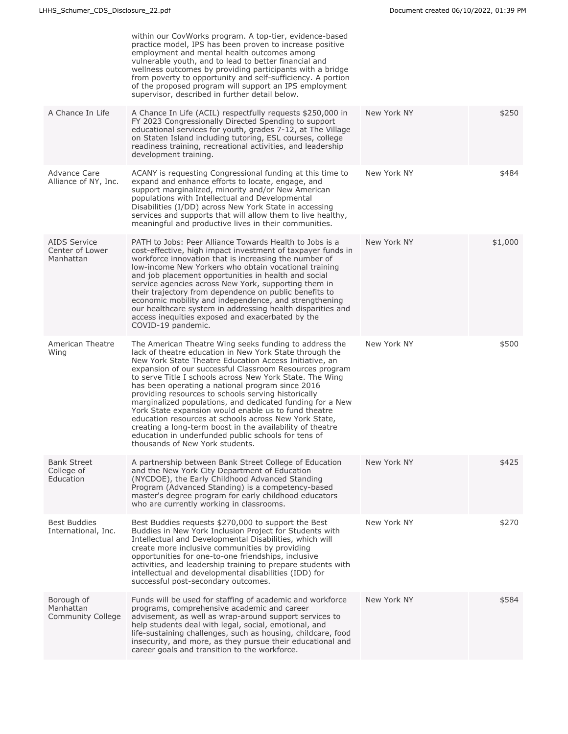|                                                     | within our CovWorks program. A top-tier, evidence-based<br>practice model, IPS has been proven to increase positive<br>employment and mental health outcomes among<br>vulnerable youth, and to lead to better financial and<br>wellness outcomes by providing participants with a bridge<br>from poverty to opportunity and self-sufficiency. A portion<br>of the proposed program will support an IPS employment<br>supervisor, described in further detail below.                                                                                                                                                                                                                                                                                |             |         |
|-----------------------------------------------------|----------------------------------------------------------------------------------------------------------------------------------------------------------------------------------------------------------------------------------------------------------------------------------------------------------------------------------------------------------------------------------------------------------------------------------------------------------------------------------------------------------------------------------------------------------------------------------------------------------------------------------------------------------------------------------------------------------------------------------------------------|-------------|---------|
| A Chance In Life                                    | A Chance In Life (ACIL) respectfully requests \$250,000 in<br>FY 2023 Congressionally Directed Spending to support<br>educational services for youth, grades 7-12, at The Village<br>on Staten Island including tutoring, ESL courses, college<br>readiness training, recreational activities, and leadership<br>development training.                                                                                                                                                                                                                                                                                                                                                                                                             | New York NY | \$250   |
| Advance Care<br>Alliance of NY, Inc.                | ACANY is requesting Congressional funding at this time to<br>expand and enhance efforts to locate, engage, and<br>support marginalized, minority and/or New American<br>populations with Intellectual and Developmental<br>Disabilities (I/DD) across New York State in accessing<br>services and supports that will allow them to live healthy,<br>meaningful and productive lives in their communities.                                                                                                                                                                                                                                                                                                                                          | New York NY | \$484   |
| <b>AIDS Service</b><br>Center of Lower<br>Manhattan | PATH to Jobs: Peer Alliance Towards Health to Jobs is a<br>cost-effective, high impact investment of taxpayer funds in<br>workforce innovation that is increasing the number of<br>low-income New Yorkers who obtain vocational training<br>and job placement opportunities in health and social<br>service agencies across New York, supporting them in<br>their trajectory from dependence on public benefits to<br>economic mobility and independence, and strengthening<br>our healthcare system in addressing health disparities and<br>access inequities exposed and exacerbated by the<br>COVID-19 pandemic.                                                                                                                                | New York NY | \$1,000 |
| American Theatre<br>Wing                            | The American Theatre Wing seeks funding to address the<br>lack of theatre education in New York State through the<br>New York State Theatre Education Access Initiative, an<br>expansion of our successful Classroom Resources program<br>to serve Title I schools across New York State. The Wing<br>has been operating a national program since 2016<br>providing resources to schools serving historically<br>marginalized populations, and dedicated funding for a New<br>York State expansion would enable us to fund theatre<br>education resources at schools across New York State,<br>creating a long-term boost in the availability of theatre<br>education in underfunded public schools for tens of<br>thousands of New York students. | New York NY | \$500   |
| <b>Bank Street</b><br>College of<br>Education       | A partnership between Bank Street College of Education<br>and the New York City Department of Education<br>(NYCDOE), the Early Childhood Advanced Standing<br>Program (Advanced Standing) is a competency-based<br>master's degree program for early childhood educators<br>who are currently working in classrooms.                                                                                                                                                                                                                                                                                                                                                                                                                               | New York NY | \$425   |
| <b>Best Buddies</b><br>International, Inc.          | Best Buddies requests \$270,000 to support the Best<br>Buddies in New York Inclusion Project for Students with<br>Intellectual and Developmental Disabilities, which will<br>create more inclusive communities by providing<br>opportunities for one-to-one friendships, inclusive<br>activities, and leadership training to prepare students with<br>intellectual and developmental disabilities (IDD) for<br>successful post-secondary outcomes.                                                                                                                                                                                                                                                                                                 | New York NY | \$270   |
| Borough of<br>Manhattan<br>Community College        | Funds will be used for staffing of academic and workforce<br>programs, comprehensive academic and career<br>advisement, as well as wrap-around support services to<br>help students deal with legal, social, emotional, and<br>life-sustaining challenges, such as housing, childcare, food<br>insecurity, and more, as they pursue their educational and<br>career goals and transition to the workforce.                                                                                                                                                                                                                                                                                                                                         | New York NY | \$584   |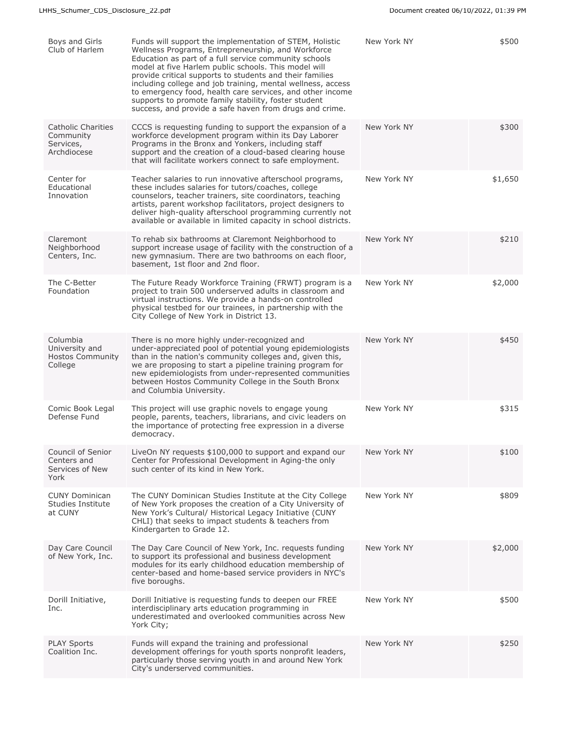| Boys and Girls<br>Club of Harlem                                   | Funds will support the implementation of STEM, Holistic<br>Wellness Programs, Entrepreneurship, and Workforce<br>Education as part of a full service community schools<br>model at five Harlem public schools. This model will<br>provide critical supports to students and their families<br>including college and job training, mental wellness, access<br>to emergency food, health care services, and other income<br>supports to promote family stability, foster student<br>success, and provide a safe haven from drugs and crime. | New York NY | \$500   |
|--------------------------------------------------------------------|-------------------------------------------------------------------------------------------------------------------------------------------------------------------------------------------------------------------------------------------------------------------------------------------------------------------------------------------------------------------------------------------------------------------------------------------------------------------------------------------------------------------------------------------|-------------|---------|
| <b>Catholic Charities</b><br>Community<br>Services,<br>Archdiocese | CCCS is requesting funding to support the expansion of a<br>workforce development program within its Day Laborer<br>Programs in the Bronx and Yonkers, including staff<br>support and the creation of a cloud-based clearing house<br>that will facilitate workers connect to safe employment.                                                                                                                                                                                                                                            | New York NY | \$300   |
| Center for<br>Educational<br>Innovation                            | Teacher salaries to run innovative afterschool programs,<br>these includes salaries for tutors/coaches, college<br>counselors, teacher trainers, site coordinators, teaching<br>artists, parent workshop facilitators, project designers to<br>deliver high-quality afterschool programming currently not<br>available or available in limited capacity in school districts.                                                                                                                                                              | New York NY | \$1,650 |
| Claremont<br>Neighborhood<br>Centers, Inc.                         | To rehab six bathrooms at Claremont Neighborhood to<br>support increase usage of facility with the construction of a<br>new gymnasium. There are two bathrooms on each floor,<br>basement, 1st floor and 2nd floor.                                                                                                                                                                                                                                                                                                                       | New York NY | \$210   |
| The C-Better<br>Foundation                                         | The Future Ready Workforce Training (FRWT) program is a<br>project to train 500 underserved adults in classroom and<br>virtual instructions. We provide a hands-on controlled<br>physical testbed for our trainees, in partnership with the<br>City College of New York in District 13.                                                                                                                                                                                                                                                   | New York NY | \$2,000 |
| Columbia<br>University and<br><b>Hostos Community</b><br>College   | There is no more highly under-recognized and<br>under-appreciated pool of potential young epidemiologists<br>than in the nation's community colleges and, given this,<br>we are proposing to start a pipeline training program for<br>new epidemiologists from under-represented communities<br>between Hostos Community College in the South Bronx<br>and Columbia University.                                                                                                                                                           | New York NY | \$450   |
| Comic Book Legal<br>Defense Fund                                   | This project will use graphic novels to engage young<br>people, parents, teachers, librarians, and civic leaders on<br>the importance of protecting free expression in a diverse<br>democracy.                                                                                                                                                                                                                                                                                                                                            | New York NY | \$315   |
| Council of Senior<br>Centers and<br>Services of New<br>York        | LiveOn NY requests \$100,000 to support and expand our<br>Center for Professional Development in Aging-the only<br>such center of its kind in New York.                                                                                                                                                                                                                                                                                                                                                                                   | New York NY | \$100   |
| <b>CUNY Dominican</b><br>Studies Institute<br>at CUNY              | The CUNY Dominican Studies Institute at the City College<br>of New York proposes the creation of a City University of<br>New York's Cultural/ Historical Legacy Initiative (CUNY<br>CHLI) that seeks to impact students & teachers from<br>Kindergarten to Grade 12.                                                                                                                                                                                                                                                                      | New York NY | \$809   |
| Day Care Council<br>of New York, Inc.                              | The Day Care Council of New York, Inc. requests funding<br>to support its professional and business development<br>modules for its early childhood education membership of<br>center-based and home-based service providers in NYC's<br>five boroughs.                                                                                                                                                                                                                                                                                    | New York NY | \$2,000 |
| Dorill Initiative,<br>Inc.                                         | Dorill Initiative is requesting funds to deepen our FREE<br>interdisciplinary arts education programming in<br>underestimated and overlooked communities across New<br>York City;                                                                                                                                                                                                                                                                                                                                                         | New York NY | \$500   |
| <b>PLAY Sports</b><br>Coalition Inc.                               | Funds will expand the training and professional<br>development offerings for youth sports nonprofit leaders,<br>particularly those serving youth in and around New York<br>City's underserved communities.                                                                                                                                                                                                                                                                                                                                | New York NY | \$250   |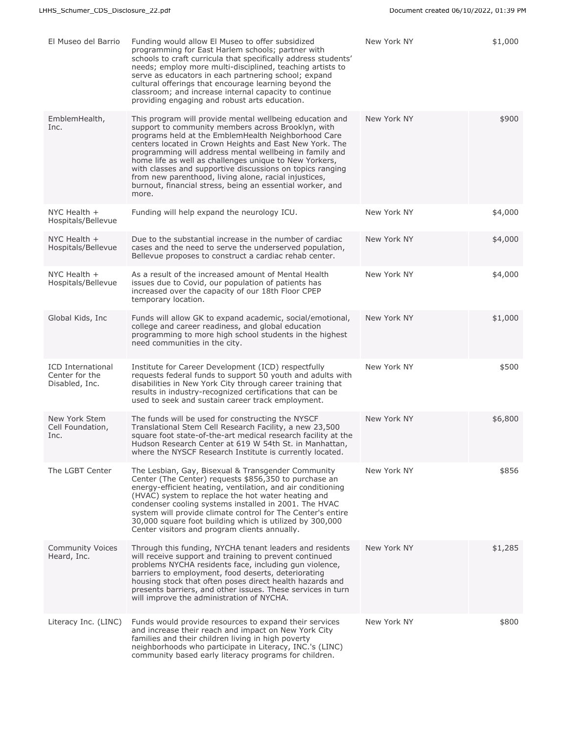| El Museo del Barrio                                          | Funding would allow El Museo to offer subsidized<br>programming for East Harlem schools; partner with<br>schools to craft curricula that specifically address students'<br>needs; employ more multi-disciplined, teaching artists to<br>serve as educators in each partnering school; expand<br>cultural offerings that encourage learning beyond the<br>classroom; and increase internal capacity to continue<br>providing engaging and robust arts education.                                                                                   | New York NY | \$1,000 |
|--------------------------------------------------------------|---------------------------------------------------------------------------------------------------------------------------------------------------------------------------------------------------------------------------------------------------------------------------------------------------------------------------------------------------------------------------------------------------------------------------------------------------------------------------------------------------------------------------------------------------|-------------|---------|
| EmblemHealth,<br>Inc.                                        | This program will provide mental wellbeing education and<br>support to community members across Brooklyn, with<br>programs held at the EmblemHealth Neighborhood Care<br>centers located in Crown Heights and East New York. The<br>programming will address mental wellbeing in family and<br>home life as well as challenges unique to New Yorkers,<br>with classes and supportive discussions on topics ranging<br>from new parenthood, living alone, racial injustices,<br>burnout, financial stress, being an essential worker, and<br>more. | New York NY | \$900   |
| NYC Health +<br>Hospitals/Bellevue                           | Funding will help expand the neurology ICU.                                                                                                                                                                                                                                                                                                                                                                                                                                                                                                       | New York NY | \$4,000 |
| NYC Health $+$<br>Hospitals/Bellevue                         | Due to the substantial increase in the number of cardiac<br>cases and the need to serve the underserved population,<br>Bellevue proposes to construct a cardiac rehab center.                                                                                                                                                                                                                                                                                                                                                                     | New York NY | \$4,000 |
| NYC Health $+$<br>Hospitals/Bellevue                         | As a result of the increased amount of Mental Health<br>issues due to Covid, our population of patients has<br>increased over the capacity of our 18th Floor CPEP<br>temporary location.                                                                                                                                                                                                                                                                                                                                                          | New York NY | \$4,000 |
| Global Kids, Inc                                             | Funds will allow GK to expand academic, social/emotional,<br>college and career readiness, and global education<br>programming to more high school students in the highest<br>need communities in the city.                                                                                                                                                                                                                                                                                                                                       | New York NY | \$1,000 |
| <b>ICD</b> International<br>Center for the<br>Disabled, Inc. | Institute for Career Development (ICD) respectfully<br>requests federal funds to support 50 youth and adults with<br>disabilities in New York City through career training that<br>results in industry-recognized certifications that can be<br>used to seek and sustain career track employment.                                                                                                                                                                                                                                                 | New York NY | \$500   |
| New York Stem<br>Cell Foundation,<br>Inc.                    | The funds will be used for constructing the NYSCF<br>Translational Stem Cell Research Facility, a new 23,500<br>square foot state-of-the-art medical research facility at the<br>Hudson Research Center at 619 W 54th St. in Manhattan,<br>where the NYSCF Research Institute is currently located.                                                                                                                                                                                                                                               | New York NY | \$6,800 |
| The LGBT Center                                              | The Lesbian, Gay, Bisexual & Transgender Community<br>Center (The Center) requests \$856,350 to purchase an<br>energy-efficient heating, ventilation, and air conditioning<br>(HVAC) system to replace the hot water heating and<br>condenser cooling systems installed in 2001. The HVAC<br>system will provide climate control for The Center's entire<br>30,000 square foot building which is utilized by 300,000<br>Center visitors and program clients annually.                                                                             | New York NY | \$856   |
| <b>Community Voices</b><br>Heard, Inc.                       | Through this funding, NYCHA tenant leaders and residents<br>will receive support and training to prevent continued<br>problems NYCHA residents face, including gun violence,<br>barriers to employment, food deserts, deteriorating<br>housing stock that often poses direct health hazards and<br>presents barriers, and other issues. These services in turn<br>will improve the administration of NYCHA.                                                                                                                                       | New York NY | \$1,285 |
| Literacy Inc. (LINC)                                         | Funds would provide resources to expand their services<br>and increase their reach and impact on New York City<br>families and their children living in high poverty<br>neighborhoods who participate in Literacy, INC.'s (LINC)<br>community based early literacy programs for children.                                                                                                                                                                                                                                                         | New York NY | \$800   |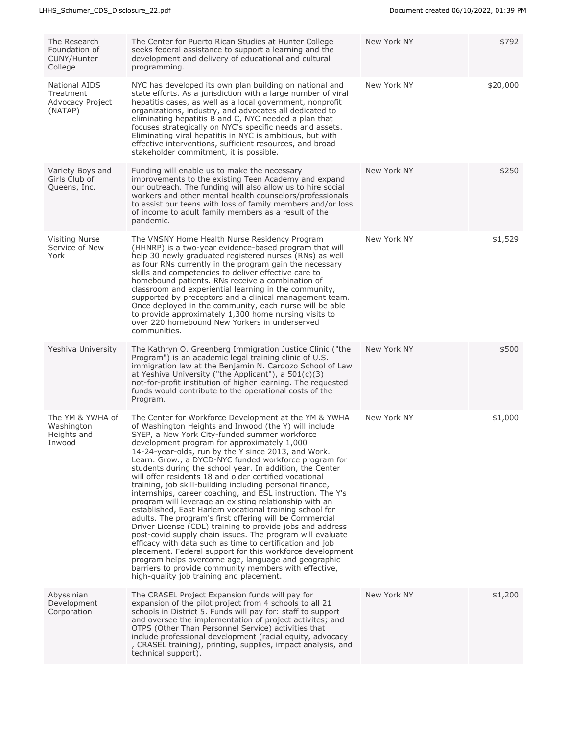| The Research<br>Foundation of<br>CUNY/Hunter<br>College          | The Center for Puerto Rican Studies at Hunter College<br>seeks federal assistance to support a learning and the<br>development and delivery of educational and cultural<br>programming.                                                                                                                                                                                                                                                                                                                                                                                                                                                                                                                                                                                                                                                                                                                                                                                                                                                                                                                                                                                       | New York NY | \$792    |
|------------------------------------------------------------------|-------------------------------------------------------------------------------------------------------------------------------------------------------------------------------------------------------------------------------------------------------------------------------------------------------------------------------------------------------------------------------------------------------------------------------------------------------------------------------------------------------------------------------------------------------------------------------------------------------------------------------------------------------------------------------------------------------------------------------------------------------------------------------------------------------------------------------------------------------------------------------------------------------------------------------------------------------------------------------------------------------------------------------------------------------------------------------------------------------------------------------------------------------------------------------|-------------|----------|
| <b>National AIDS</b><br>Treatment<br>Advocacy Project<br>(NATAP) | NYC has developed its own plan building on national and<br>state efforts. As a jurisdiction with a large number of viral<br>hepatitis cases, as well as a local government, nonprofit<br>organizations, industry, and advocates all dedicated to<br>eliminating hepatitis B and C, NYC needed a plan that<br>focuses strategically on NYC's specific needs and assets.<br>Eliminating viral hepatitis in NYC is ambitious, but with<br>effective interventions, sufficient resources, and broad<br>stakeholder commitment, it is possible.                                                                                                                                                                                                                                                                                                                                                                                                                                                                                                                                                                                                                                    | New York NY | \$20,000 |
| Variety Boys and<br>Girls Club of<br>Queens, Inc.                | Funding will enable us to make the necessary<br>improvements to the existing Teen Academy and expand<br>our outreach. The funding will also allow us to hire social<br>workers and other mental health counselors/professionals<br>to assist our teens with loss of family members and/or loss<br>of income to adult family members as a result of the<br>pandemic.                                                                                                                                                                                                                                                                                                                                                                                                                                                                                                                                                                                                                                                                                                                                                                                                           | New York NY | \$250    |
| <b>Visiting Nurse</b><br>Service of New<br>York                  | The VNSNY Home Health Nurse Residency Program<br>(HHNRP) is a two-year evidence-based program that will<br>help 30 newly graduated registered nurses (RNs) as well<br>as four RNs currently in the program gain the necessary<br>skills and competencies to deliver effective care to<br>homebound patients. RNs receive a combination of<br>classroom and experiential learning in the community,<br>supported by preceptors and a clinical management team.<br>Once deployed in the community, each nurse will be able<br>to provide approximately 1,300 home nursing visits to<br>over 220 homebound New Yorkers in underserved<br>communities.                                                                                                                                                                                                                                                                                                                                                                                                                                                                                                                            | New York NY | \$1,529  |
| Yeshiva University                                               | The Kathryn O. Greenberg Immigration Justice Clinic ("the<br>Program") is an academic legal training clinic of U.S.<br>immigration law at the Benjamin N. Cardozo School of Law<br>at Yeshiva University ("the Applicant"), a $501(c)(3)$<br>not-for-profit institution of higher learning. The requested<br>funds would contribute to the operational costs of the<br>Program.                                                                                                                                                                                                                                                                                                                                                                                                                                                                                                                                                                                                                                                                                                                                                                                               | New York NY | \$500    |
| The YM & YWHA of<br>Washington<br>Heights and<br>Inwood          | The Center for Workforce Development at the YM & YWHA<br>of Washington Heights and Inwood (the Y) will include<br>SYEP, a New York City-funded summer workforce<br>development program for approximately 1,000<br>14-24-year-olds, run by the Y since 2013, and Work.<br>Learn. Grow., a DYCD-NYC funded workforce program for<br>students during the school year. In addition, the Center<br>will offer residents 18 and older certified vocational<br>training, job skill-building including personal finance,<br>internships, career coaching, and ESL instruction. The Y's<br>program will leverage an existing relationship with an<br>established, East Harlem vocational training school for<br>adults. The program's first offering will be Commercial<br>Driver License (CDL) training to provide jobs and address<br>post-covid supply chain issues. The program will evaluate<br>efficacy with data such as time to certification and job<br>placement. Federal support for this workforce development<br>program helps overcome age, language and geographic<br>barriers to provide community members with effective,<br>high-quality job training and placement. | New York NY | \$1,000  |
| Abyssinian<br>Development<br>Corporation                         | The CRASEL Project Expansion funds will pay for<br>expansion of the pilot project from 4 schools to all 21<br>schools in District 5. Funds will pay for: staff to support<br>and oversee the implementation of project activites; and<br>OTPS (Other Than Personnel Service) activities that<br>include professional development (racial equity, advocacy<br>, CRASEL training), printing, supplies, impact analysis, and<br>technical support).                                                                                                                                                                                                                                                                                                                                                                                                                                                                                                                                                                                                                                                                                                                              | New York NY | \$1,200  |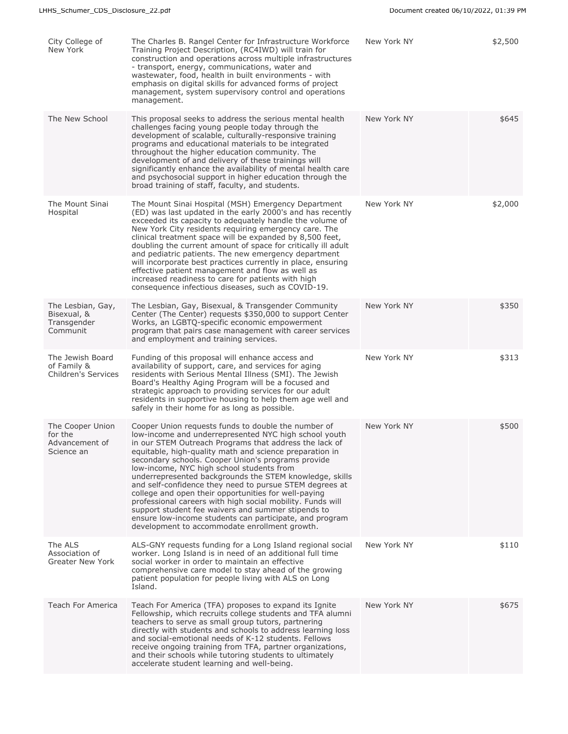| City College of<br>New York                                   | The Charles B. Rangel Center for Infrastructure Workforce<br>Training Project Description, (RC4IWD) will train for<br>construction and operations across multiple infrastructures<br>- transport, energy, communications, water and<br>wastewater, food, health in built environments - with<br>emphasis on digital skills for advanced forms of project<br>management, system supervisory control and operations<br>management.                                                                                                                                                                                                                                                                                                                   | New York NY | \$2,500 |
|---------------------------------------------------------------|----------------------------------------------------------------------------------------------------------------------------------------------------------------------------------------------------------------------------------------------------------------------------------------------------------------------------------------------------------------------------------------------------------------------------------------------------------------------------------------------------------------------------------------------------------------------------------------------------------------------------------------------------------------------------------------------------------------------------------------------------|-------------|---------|
| The New School                                                | This proposal seeks to address the serious mental health<br>challenges facing young people today through the<br>development of scalable, culturally-responsive training<br>programs and educational materials to be integrated<br>throughout the higher education community. The<br>development of and delivery of these trainings will<br>significantly enhance the availability of mental health care<br>and psychosocial support in higher education through the<br>broad training of staff, faculty, and students.                                                                                                                                                                                                                             | New York NY | \$645   |
| The Mount Sinai<br>Hospital                                   | The Mount Sinai Hospital (MSH) Emergency Department<br>(ED) was last updated in the early 2000's and has recently<br>exceeded its capacity to adequately handle the volume of<br>New York City residents requiring emergency care. The<br>clinical treatment space will be expanded by 8,500 feet,<br>doubling the current amount of space for critically ill adult<br>and pediatric patients. The new emergency department<br>will incorporate best practices currently in place, ensuring<br>effective patient management and flow as well as<br>increased readiness to care for patients with high<br>consequence infectious diseases, such as COVID-19.                                                                                        | New York NY | \$2,000 |
| The Lesbian, Gay,<br>Bisexual, &<br>Transgender<br>Communit   | The Lesbian, Gay, Bisexual, & Transgender Community<br>Center (The Center) requests \$350,000 to support Center<br>Works, an LGBTQ-specific economic empowerment<br>program that pairs case management with career services<br>and employment and training services.                                                                                                                                                                                                                                                                                                                                                                                                                                                                               | New York NY | \$350   |
| The Jewish Board<br>of Family &<br><b>Children's Services</b> | Funding of this proposal will enhance access and<br>availability of support, care, and services for aging<br>residents with Serious Mental Illness (SMI). The Jewish<br>Board's Healthy Aging Program will be a focused and<br>strategic approach to providing services for our adult<br>residents in supportive housing to help them age well and<br>safely in their home for as long as possible.                                                                                                                                                                                                                                                                                                                                                | New York NY | \$313   |
| The Cooper Union<br>for the<br>Advancement of<br>Science an   | Cooper Union requests funds to double the number of<br>low-income and underrepresented NYC high school youth<br>in our STEM Outreach Programs that address the lack of<br>equitable, high-quality math and science preparation in<br>secondary schools. Cooper Union's programs provide<br>low-income, NYC high school students from<br>underrepresented backgrounds the STEM knowledge, skills<br>and self-confidence they need to pursue STEM degrees at<br>college and open their opportunities for well-paying<br>professional careers with high social mobility. Funds will<br>support student fee waivers and summer stipends to<br>ensure low-income students can participate, and program<br>development to accommodate enrollment growth. | New York NY | \$500   |
| The ALS<br>Association of<br><b>Greater New York</b>          | ALS-GNY requests funding for a Long Island regional social<br>worker. Long Island is in need of an additional full time<br>social worker in order to maintain an effective<br>comprehensive care model to stay ahead of the growing<br>patient population for people living with ALS on Long<br>Island.                                                                                                                                                                                                                                                                                                                                                                                                                                            | New York NY | \$110   |
| Teach For America                                             | Teach For America (TFA) proposes to expand its Ignite<br>Fellowship, which recruits college students and TFA alumni<br>teachers to serve as small group tutors, partnering<br>directly with students and schools to address learning loss<br>and social-emotional needs of K-12 students. Fellows<br>receive ongoing training from TFA, partner organizations,<br>and their schools while tutoring students to ultimately<br>accelerate student learning and well-being.                                                                                                                                                                                                                                                                           | New York NY | \$675   |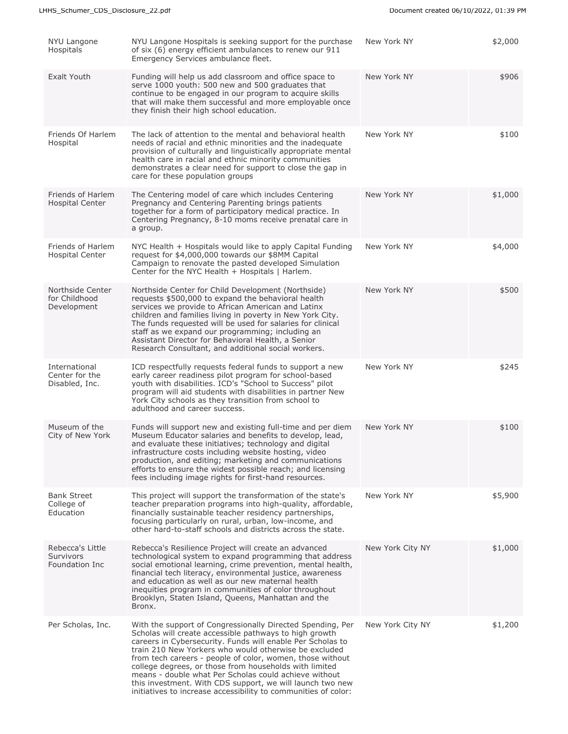| NYU Langone<br>Hospitals                               | NYU Langone Hospitals is seeking support for the purchase<br>of six (6) energy efficient ambulances to renew our 911<br>Emergency Services ambulance fleet.                                                                                                                                                                                                                                                                                                                                                                                                | New York NY      | \$2,000 |
|--------------------------------------------------------|------------------------------------------------------------------------------------------------------------------------------------------------------------------------------------------------------------------------------------------------------------------------------------------------------------------------------------------------------------------------------------------------------------------------------------------------------------------------------------------------------------------------------------------------------------|------------------|---------|
| Exalt Youth                                            | Funding will help us add classroom and office space to<br>serve 1000 youth: 500 new and 500 graduates that<br>continue to be engaged in our program to acquire skills<br>that will make them successful and more employable once<br>they finish their high school education.                                                                                                                                                                                                                                                                               | New York NY      | \$906   |
| Friends Of Harlem<br>Hospital                          | The lack of attention to the mental and behavioral health<br>needs of racial and ethnic minorities and the inadequate<br>provision of culturally and linguistically appropriate mental<br>health care in racial and ethnic minority communities<br>demonstrates a clear need for support to close the gap in<br>care for these population groups                                                                                                                                                                                                           | New York NY      | \$100   |
| Friends of Harlem<br>Hospital Center                   | The Centering model of care which includes Centering<br>Pregnancy and Centering Parenting brings patients<br>together for a form of participatory medical practice. In<br>Centering Pregnancy, 8-10 moms receive prenatal care in<br>a group.                                                                                                                                                                                                                                                                                                              | New York NY      | \$1,000 |
| Friends of Harlem<br><b>Hospital Center</b>            | NYC Health + Hospitals would like to apply Capital Funding<br>request for \$4,000,000 towards our \$8MM Capital<br>Campaign to renovate the pasted developed Simulation<br>Center for the NYC Health + Hospitals   Harlem.                                                                                                                                                                                                                                                                                                                                 | New York NY      | \$4,000 |
| Northside Center<br>for Childhood<br>Development       | Northside Center for Child Development (Northside)<br>requests \$500,000 to expand the behavioral health<br>services we provide to African American and Latinx<br>children and families living in poverty in New York City.<br>The funds requested will be used for salaries for clinical<br>staff as we expand our programming; including an<br>Assistant Director for Behavioral Health, a Senior<br>Research Consultant, and additional social workers.                                                                                                 | New York NY      | \$500   |
| International<br>Center for the<br>Disabled, Inc.      | ICD respectfully requests federal funds to support a new<br>early career readiness pilot program for school-based<br>youth with disabilities. ICD's "School to Success" pilot<br>program will aid students with disabilities in partner New<br>York City schools as they transition from school to<br>adulthood and career success.                                                                                                                                                                                                                        | New York NY      | \$245   |
| Museum of the<br>City of New York                      | Funds will support new and existing full-time and per diem<br>Museum Educator salaries and benefits to develop, lead,<br>and evaluate these initiatives; technology and digital<br>infrastructure costs including website hosting, video<br>production, and editing; marketing and communications<br>efforts to ensure the widest possible reach; and licensing<br>fees including image rights for first-hand resources.                                                                                                                                   | New York NY      | \$100   |
| <b>Bank Street</b><br>College of<br>Education          | This project will support the transformation of the state's<br>teacher preparation programs into high-quality, affordable,<br>financially sustainable teacher residency partnerships,<br>focusing particularly on rural, urban, low-income, and<br>other hard-to-staff schools and districts across the state.                                                                                                                                                                                                                                             | New York NY      | \$5,900 |
| Rebecca's Little<br><b>Survivors</b><br>Foundation Inc | Rebecca's Resilience Project will create an advanced<br>technological system to expand programming that address<br>social emotional learning, crime prevention, mental health,<br>financial tech literacy, environmental justice, awareness<br>and education as well as our new maternal health<br>inequities program in communities of color throughout<br>Brooklyn, Staten Island, Queens, Manhattan and the<br>Bronx.                                                                                                                                   | New York City NY | \$1,000 |
| Per Scholas, Inc.                                      | With the support of Congressionally Directed Spending, Per<br>Scholas will create accessible pathways to high growth<br>careers in Cybersecurity. Funds will enable Per Scholas to<br>train 210 New Yorkers who would otherwise be excluded<br>from tech careers - people of color, women, those without<br>college degrees, or those from households with limited<br>means - double what Per Scholas could achieve without<br>this investment. With CDS support, we will launch two new<br>initiatives to increase accessibility to communities of color: | New York City NY | \$1,200 |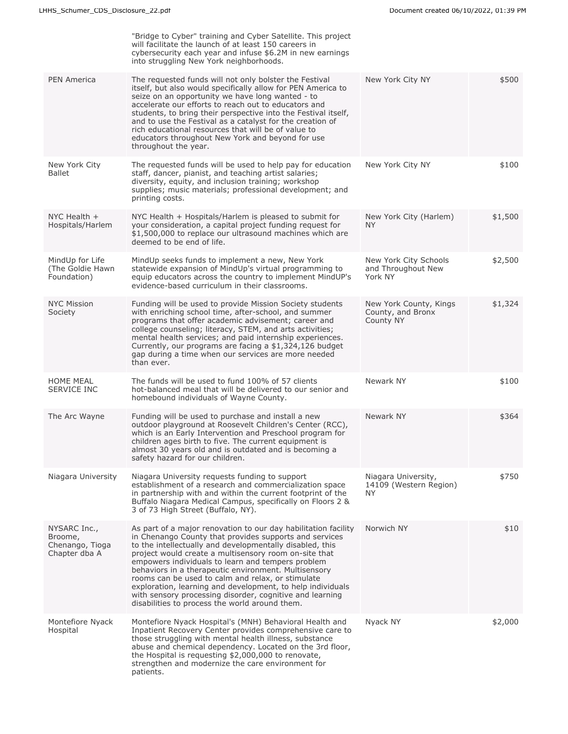|                                                             | "Bridge to Cyber" training and Cyber Satellite. This project<br>will facilitate the launch of at least 150 careers in<br>cybersecurity each year and infuse \$6.2M in new earnings<br>into struggling New York neighborhoods.                                                                                                                                                                                                                                                                                                                                                               |                                                          |         |
|-------------------------------------------------------------|---------------------------------------------------------------------------------------------------------------------------------------------------------------------------------------------------------------------------------------------------------------------------------------------------------------------------------------------------------------------------------------------------------------------------------------------------------------------------------------------------------------------------------------------------------------------------------------------|----------------------------------------------------------|---------|
| <b>PEN America</b>                                          | The requested funds will not only bolster the Festival<br>itself, but also would specifically allow for PEN America to<br>seize on an opportunity we have long wanted - to<br>accelerate our efforts to reach out to educators and<br>students, to bring their perspective into the Festival itself,<br>and to use the Festival as a catalyst for the creation of<br>rich educational resources that will be of value to<br>educators throughout New York and beyond for use<br>throughout the year.                                                                                        | New York City NY                                         | \$500   |
| New York City<br><b>Ballet</b>                              | The requested funds will be used to help pay for education<br>staff, dancer, pianist, and teaching artist salaries;<br>diversity, equity, and inclusion training; workshop<br>supplies; music materials; professional development; and<br>printing costs.                                                                                                                                                                                                                                                                                                                                   | New York City NY                                         | \$100   |
| NYC Health $+$<br>Hospitals/Harlem                          | NYC Health + Hospitals/Harlem is pleased to submit for<br>your consideration, a capital project funding request for<br>\$1,500,000 to replace our ultrasound machines which are<br>deemed to be end of life.                                                                                                                                                                                                                                                                                                                                                                                | New York City (Harlem)<br>NY.                            | \$1,500 |
| MindUp for Life<br>(The Goldie Hawn<br>Foundation)          | MindUp seeks funds to implement a new, New York<br>statewide expansion of MindUp's virtual programming to<br>equip educators across the country to implement MindUP's<br>evidence-based curriculum in their classrooms.                                                                                                                                                                                                                                                                                                                                                                     | New York City Schools<br>and Throughout New<br>York NY   | \$2,500 |
| <b>NYC Mission</b><br>Society                               | Funding will be used to provide Mission Society students<br>with enriching school time, after-school, and summer<br>programs that offer academic advisement; career and<br>college counseling; literacy, STEM, and arts activities;<br>mental health services; and paid internship experiences.<br>Currently, our programs are facing a \$1,324,126 budget<br>gap during a time when our services are more needed<br>than ever.                                                                                                                                                             | New York County, Kings<br>County, and Bronx<br>County NY | \$1,324 |
| <b>HOME MEAL</b><br>SERVICE INC                             | The funds will be used to fund 100% of 57 clients<br>hot-balanced meal that will be delivered to our senior and<br>homebound individuals of Wayne County.                                                                                                                                                                                                                                                                                                                                                                                                                                   | Newark NY                                                | \$100   |
| The Arc Wayne                                               | Funding will be used to purchase and install a new<br>outdoor playground at Roosevelt Children's Center (RCC),<br>which is an Early Intervention and Preschool program for<br>children ages birth to five. The current equipment is<br>almost 30 years old and is outdated and is becoming a<br>safety hazard for our children.                                                                                                                                                                                                                                                             | Newark NY                                                | \$364   |
| Niagara University                                          | Niagara University requests funding to support<br>establishment of a research and commercialization space<br>in partnership with and within the current footprint of the<br>Buffalo Niagara Medical Campus, specifically on Floors 2 &<br>3 of 73 High Street (Buffalo, NY).                                                                                                                                                                                                                                                                                                                | Niagara University,<br>14109 (Western Region)<br>NY.     | \$750   |
| NYSARC Inc.,<br>Broome,<br>Chenango, Tioga<br>Chapter dba A | As part of a major renovation to our day habilitation facility<br>in Chenango County that provides supports and services<br>to the intellectually and developmentally disabled, this<br>project would create a multisensory room on-site that<br>empowers individuals to learn and tempers problem<br>behaviors in a therapeutic environment. Multisensory<br>rooms can be used to calm and relax, or stimulate<br>exploration, learning and development, to help individuals<br>with sensory processing disorder, cognitive and learning<br>disabilities to process the world around them. | Norwich NY                                               | \$10    |
| Montefiore Nyack<br>Hospital                                | Montefiore Nyack Hospital's (MNH) Behavioral Health and<br>Inpatient Recovery Center provides comprehensive care to<br>those struggling with mental health illness, substance<br>abuse and chemical dependency. Located on the 3rd floor,<br>the Hospital is requesting \$2,000,000 to renovate,<br>strengthen and modernize the care environment for<br>patients.                                                                                                                                                                                                                          | Nyack NY                                                 | \$2,000 |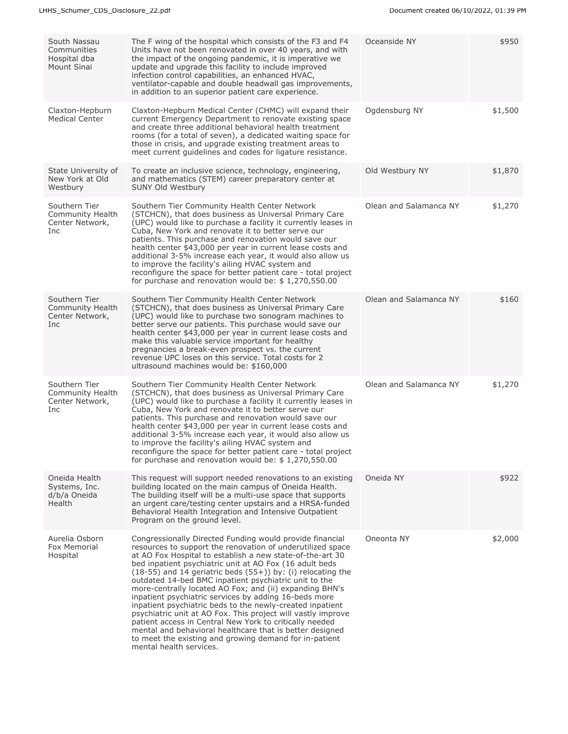| South Nassau<br>Communities<br>Hospital dba<br>Mount Sinai  | The F wing of the hospital which consists of the F3 and F4<br>Units have not been renovated in over 40 years, and with<br>the impact of the ongoing pandemic, it is imperative we<br>update and upgrade this facility to include improved<br>infection control capabilities, an enhanced HVAC,<br>ventilator-capable and double headwall gas improvements,<br>in addition to an superior patient care experience.                                                                                                                                                                                                                                                                                                                                                                                                                        | Oceanside NY           | \$950   |
|-------------------------------------------------------------|------------------------------------------------------------------------------------------------------------------------------------------------------------------------------------------------------------------------------------------------------------------------------------------------------------------------------------------------------------------------------------------------------------------------------------------------------------------------------------------------------------------------------------------------------------------------------------------------------------------------------------------------------------------------------------------------------------------------------------------------------------------------------------------------------------------------------------------|------------------------|---------|
| Claxton-Hepburn<br><b>Medical Center</b>                    | Claxton-Hepburn Medical Center (CHMC) will expand their<br>current Emergency Department to renovate existing space<br>and create three additional behavioral health treatment<br>rooms (for a total of seven), a dedicated waiting space for<br>those in crisis, and upgrade existing treatment areas to<br>meet current guidelines and codes for ligature resistance.                                                                                                                                                                                                                                                                                                                                                                                                                                                                   | Ogdensburg NY          | \$1,500 |
| State University of<br>New York at Old<br>Westbury          | To create an inclusive science, technology, engineering,<br>and mathematics (STEM) career preparatory center at<br>SUNY Old Westbury                                                                                                                                                                                                                                                                                                                                                                                                                                                                                                                                                                                                                                                                                                     | Old Westbury NY        | \$1,870 |
| Southern Tier<br>Community Health<br>Center Network,<br>Inc | Southern Tier Community Health Center Network<br>(STCHCN), that does business as Universal Primary Care<br>(UPC) would like to purchase a facility it currently leases in<br>Cuba, New York and renovate it to better serve our<br>patients. This purchase and renovation would save our<br>health center \$43,000 per year in current lease costs and<br>additional 3-5% increase each year, it would also allow us<br>to improve the facility's ailing HVAC system and<br>reconfigure the space for better patient care - total project<br>for purchase and renovation would be: $$1,270,550.00$                                                                                                                                                                                                                                       | Olean and Salamanca NY | \$1,270 |
| Southern Tier<br>Community Health<br>Center Network,<br>Inc | Southern Tier Community Health Center Network<br>(STCHCN), that does business as Universal Primary Care<br>(UPC) would like to purchase two sonogram machines to<br>better serve our patients. This purchase would save our<br>health center \$43,000 per year in current lease costs and<br>make this valuable service important for healthy<br>pregnancies a break-even prospect vs. the current<br>revenue UPC loses on this service. Total costs for 2<br>ultrasound machines would be: \$160,000                                                                                                                                                                                                                                                                                                                                    | Olean and Salamanca NY | \$160   |
| Southern Tier<br>Community Health<br>Center Network,<br>Inc | Southern Tier Community Health Center Network<br>(STCHCN), that does business as Universal Primary Care<br>(UPC) would like to purchase a facility it currently leases in<br>Cuba, New York and renovate it to better serve our<br>patients. This purchase and renovation would save our<br>health center \$43,000 per year in current lease costs and<br>additional 3-5% increase each year, it would also allow us<br>to improve the facility's ailing HVAC system and<br>reconfigure the space for better patient care - total project<br>for purchase and renovation would be: $$1,270,550.00$                                                                                                                                                                                                                                       | Olean and Salamanca NY | \$1,270 |
| Oneida Health<br>Systems, Inc.<br>d/b/a Oneida<br>Health    | This request will support needed renovations to an existing<br>building located on the main campus of Oneida Health.<br>The building itself will be a multi-use space that supports<br>an urgent care/testing center upstairs and a HRSA-funded<br>Behavioral Health Integration and Intensive Outpatient<br>Program on the ground level.                                                                                                                                                                                                                                                                                                                                                                                                                                                                                                | Oneida NY              | \$922   |
| Aurelia Osborn<br>Fox Memorial<br>Hospital                  | Congressionally Directed Funding would provide financial<br>resources to support the renovation of underutilized space<br>at AO Fox Hospital to establish a new state-of-the-art 30<br>bed inpatient psychiatric unit at AO Fox (16 adult beds<br>$(18-55)$ and 14 geriatric beds $(55+)$ ) by: (i) relocating the<br>outdated 14-bed BMC inpatient psychiatric unit to the<br>more-centrally located AO Fox; and (ii) expanding BHN's<br>inpatient psychiatric services by adding 16-beds more<br>inpatient psychiatric beds to the newly-created inpatient<br>psychiatric unit at AO Fox. This project will vastly improve<br>patient access in Central New York to critically needed<br>mental and behavioral healthcare that is better designed<br>to meet the existing and growing demand for in-patient<br>mental health services. | Oneonta NY             | \$2,000 |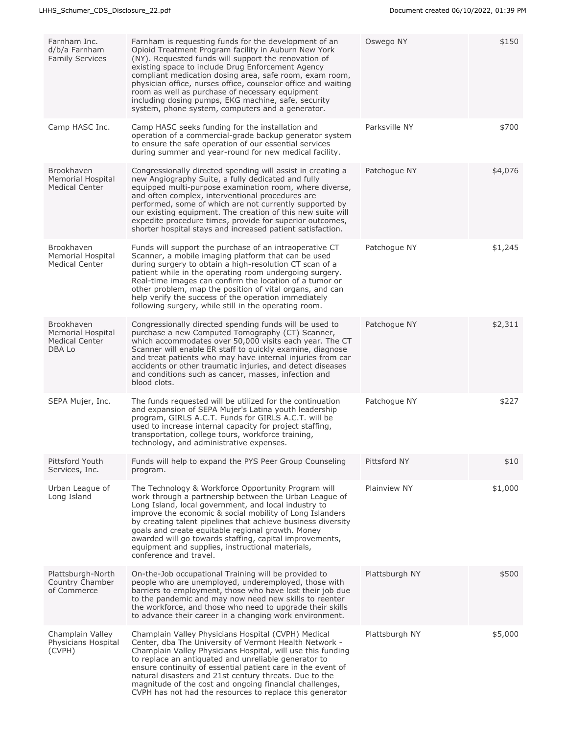| Farnham Inc.<br>d/b/a Farnham<br><b>Family Services</b>                   | Farnham is requesting funds for the development of an<br>Opioid Treatment Program facility in Auburn New York<br>(NY). Requested funds will support the renovation of<br>existing space to include Drug Enforcement Agency<br>compliant medication dosing area, safe room, exam room,<br>physician office, nurses office, counselor office and waiting<br>room as well as purchase of necessary equipment<br>including dosing pumps, EKG machine, safe, security<br>system, phone system, computers and a generator. | Oswego NY      | \$150   |
|---------------------------------------------------------------------------|----------------------------------------------------------------------------------------------------------------------------------------------------------------------------------------------------------------------------------------------------------------------------------------------------------------------------------------------------------------------------------------------------------------------------------------------------------------------------------------------------------------------|----------------|---------|
| Camp HASC Inc.                                                            | Camp HASC seeks funding for the installation and<br>operation of a commercial-grade backup generator system<br>to ensure the safe operation of our essential services<br>during summer and year-round for new medical facility.                                                                                                                                                                                                                                                                                      | Parksville NY  | \$700   |
| Brookhaven<br><b>Memorial Hospital</b><br><b>Medical Center</b>           | Congressionally directed spending will assist in creating a<br>new Angiography Suite, a fully dedicated and fully<br>equipped multi-purpose examination room, where diverse,<br>and often complex, interventional procedures are<br>performed, some of which are not currently supported by<br>our existing equipment. The creation of this new suite will<br>expedite procedure times, provide for superior outcomes,<br>shorter hospital stays and increased patient satisfaction.                                 | Patchogue NY   | \$4,076 |
| Brookhaven<br><b>Memorial Hospital</b><br><b>Medical Center</b>           | Funds will support the purchase of an intraoperative CT<br>Scanner, a mobile imaging platform that can be used<br>during surgery to obtain a high-resolution CT scan of a<br>patient while in the operating room undergoing surgery.<br>Real-time images can confirm the location of a tumor or<br>other problem, map the position of vital organs, and can<br>help verify the success of the operation immediately<br>following surgery, while still in the operating room.                                         | Patchogue NY   | \$1,245 |
| Brookhaven<br><b>Memorial Hospital</b><br><b>Medical Center</b><br>DBA Lo | Congressionally directed spending funds will be used to<br>purchase a new Computed Tomography (CT) Scanner,<br>which accommodates over 50,000 visits each year. The CT<br>Scanner will enable ER staff to quickly examine, diagnose<br>and treat patients who may have internal injuries from car<br>accidents or other traumatic injuries, and detect diseases<br>and conditions such as cancer, masses, infection and<br>blood clots.                                                                              | Patchogue NY   | \$2,311 |
| SEPA Mujer, Inc.                                                          | The funds requested will be utilized for the continuation<br>and expansion of SEPA Mujer's Latina youth leadership<br>program, GIRLS A.C.T. Funds for GIRLS A.C.T. will be<br>used to increase internal capacity for project staffing,<br>transportation, college tours, workforce training,<br>technology, and administrative expenses.                                                                                                                                                                             | Patchogue NY   | \$227   |
| Pittsford Youth<br>Services, Inc.                                         | Funds will help to expand the PYS Peer Group Counseling<br>program.                                                                                                                                                                                                                                                                                                                                                                                                                                                  | Pittsford NY   | \$10    |
| Urban League of<br>Long Island                                            | The Technology & Workforce Opportunity Program will<br>work through a partnership between the Urban League of<br>Long Island, local government, and local industry to<br>improve the economic & social mobility of Long Islanders<br>by creating talent pipelines that achieve business diversity<br>goals and create equitable regional growth. Money<br>awarded will go towards staffing, capital improvements,<br>equipment and supplies, instructional materials,<br>conference and travel.                      | Plainview NY   | \$1,000 |
| Plattsburgh-North<br>Country Chamber<br>of Commerce                       | On-the-Job occupational Training will be provided to<br>people who are unemployed, underemployed, those with<br>barriers to employment, those who have lost their job due<br>to the pandemic and may now need new skills to reenter<br>the workforce, and those who need to upgrade their skills<br>to advance their career in a changing work environment.                                                                                                                                                          | Plattsburgh NY | \$500   |
| Champlain Valley<br>Physicians Hospital<br>(CVPH)                         | Champlain Valley Physicians Hospital (CVPH) Medical<br>Center, dba The University of Vermont Health Network -<br>Champlain Valley Physicians Hospital, will use this funding<br>to replace an antiquated and unreliable generator to<br>ensure continuity of essential patient care in the event of<br>natural disasters and 21st century threats. Due to the<br>magnitude of the cost and ongoing financial challenges,<br>CVPH has not had the resources to replace this generator                                 | Plattsburgh NY | \$5,000 |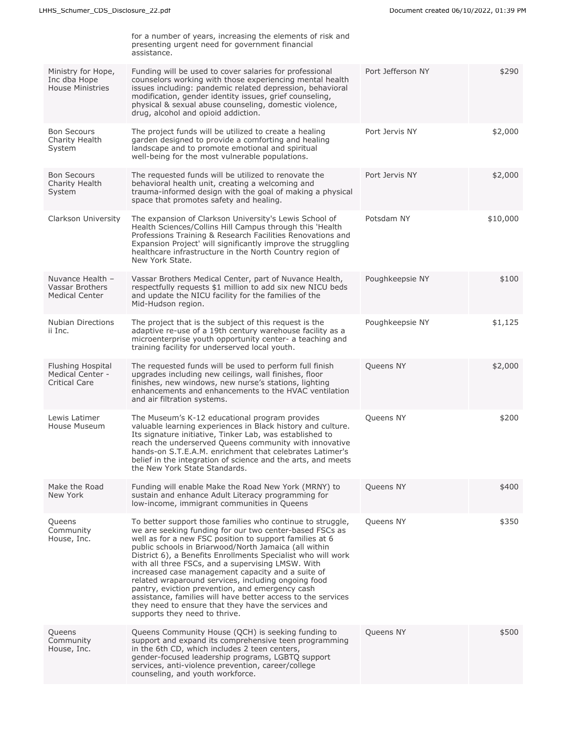|                                                                             | for a number of years, increasing the elements of risk and<br>presenting urgent need for government financial<br>assistance.                                                                                                                                                                                                                                                                                                                                                                                                                                                                                                                                                          |                   |          |
|-----------------------------------------------------------------------------|---------------------------------------------------------------------------------------------------------------------------------------------------------------------------------------------------------------------------------------------------------------------------------------------------------------------------------------------------------------------------------------------------------------------------------------------------------------------------------------------------------------------------------------------------------------------------------------------------------------------------------------------------------------------------------------|-------------------|----------|
| Ministry for Hope,<br>Inc dba Hope<br><b>House Ministries</b>               | Funding will be used to cover salaries for professional<br>counselors working with those experiencing mental health<br>issues including: pandemic related depression, behavioral<br>modification, gender identity issues, grief counseling,<br>physical & sexual abuse counseling, domestic violence,<br>drug, alcohol and opioid addiction.                                                                                                                                                                                                                                                                                                                                          | Port Jefferson NY | \$290    |
| <b>Bon Secours</b><br>Charity Health<br>System                              | The project funds will be utilized to create a healing<br>garden designed to provide a comforting and healing<br>landscape and to promote emotional and spiritual<br>well-being for the most vulnerable populations.                                                                                                                                                                                                                                                                                                                                                                                                                                                                  | Port Jervis NY    | \$2,000  |
| <b>Bon Secours</b><br>Charity Health<br>System                              | The requested funds will be utilized to renovate the<br>behavioral health unit, creating a welcoming and<br>trauma-informed design with the goal of making a physical<br>space that promotes safety and healing.                                                                                                                                                                                                                                                                                                                                                                                                                                                                      | Port Jervis NY    | \$2,000  |
| Clarkson University                                                         | The expansion of Clarkson University's Lewis School of<br>Health Sciences/Collins Hill Campus through this 'Health<br>Professions Training & Research Facilities Renovations and<br>Expansion Project' will significantly improve the struggling<br>healthcare infrastructure in the North Country region of<br>New York State.                                                                                                                                                                                                                                                                                                                                                       | Potsdam NY        | \$10,000 |
| Nuvance Health -<br>Vassar Brothers<br><b>Medical Center</b>                | Vassar Brothers Medical Center, part of Nuvance Health,<br>respectfully requests \$1 million to add six new NICU beds<br>and update the NICU facility for the families of the<br>Mid-Hudson region.                                                                                                                                                                                                                                                                                                                                                                                                                                                                                   | Poughkeepsie NY   | \$100    |
| <b>Nubian Directions</b><br>ii Inc.                                         | The project that is the subject of this request is the<br>adaptive re-use of a 19th century warehouse facility as a<br>microenterprise youth opportunity center- a teaching and<br>training facility for underserved local youth.                                                                                                                                                                                                                                                                                                                                                                                                                                                     | Poughkeepsie NY   | \$1,125  |
| <b>Flushing Hospital</b><br><b>Medical Center -</b><br><b>Critical Care</b> | The requested funds will be used to perform full finish<br>upgrades including new ceilings, wall finishes, floor<br>finishes, new windows, new nurse's stations, lighting<br>enhancements and enhancements to the HVAC ventilation<br>and air filtration systems.                                                                                                                                                                                                                                                                                                                                                                                                                     | Queens NY         | \$2,000  |
| Lewis Latimer<br>House Museum                                               | The Museum's K-12 educational program provides<br>valuable learning experiences in Black history and culture.<br>Its signature initiative, Tinker Lab, was established to<br>reach the underserved Queens community with innovative<br>hands-on S.I.E.A.M. enrichment that celebrates Latimer's<br>belief in the integration of science and the arts, and meets<br>the New York State Standards.                                                                                                                                                                                                                                                                                      | Queens NY         | \$200    |
| Make the Road<br>New York                                                   | Funding will enable Make the Road New York (MRNY) to<br>sustain and enhance Adult Literacy programming for<br>low-income, immigrant communities in Queens                                                                                                                                                                                                                                                                                                                                                                                                                                                                                                                             | Queens NY         | \$400    |
| Queens<br>Community<br>House, Inc.                                          | To better support those families who continue to struggle,<br>we are seeking funding for our two center-based FSCs as<br>well as for a new FSC position to support families at 6<br>public schools in Briarwood/North Jamaica (all within<br>District 6), a Benefits Enrollments Specialist who will work<br>with all three FSCs, and a supervising LMSW. With<br>increased case management capacity and a suite of<br>related wraparound services, including ongoing food<br>pantry, eviction prevention, and emergency cash<br>assistance, families will have better access to the services<br>they need to ensure that they have the services and<br>supports they need to thrive. | Queens NY         | \$350    |
| Queens<br>Community<br>House, Inc.                                          | Queens Community House (QCH) is seeking funding to<br>support and expand its comprehensive teen programming<br>in the 6th CD, which includes 2 teen centers,<br>gender-focused leadership programs, LGBTQ support<br>services, anti-violence prevention, career/college<br>counseling, and youth workforce.                                                                                                                                                                                                                                                                                                                                                                           | Queens NY         | \$500    |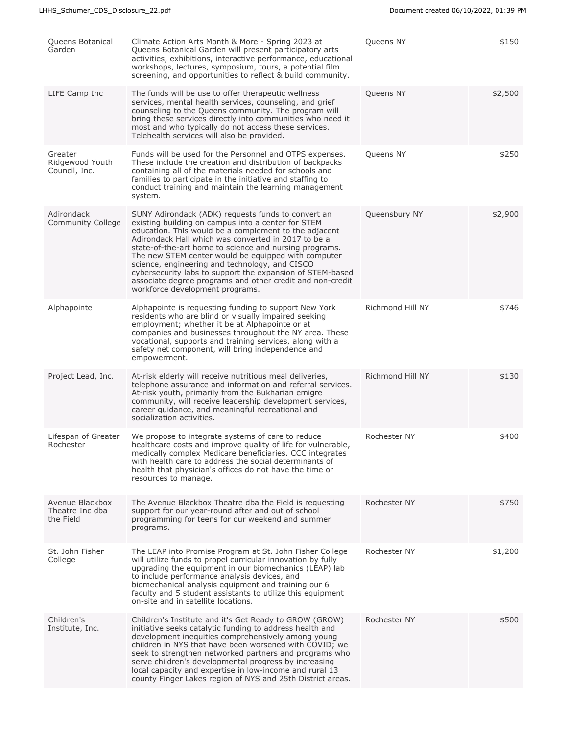| Queens Botanical<br>Garden                      | Climate Action Arts Month & More - Spring 2023 at<br>Queens Botanical Garden will present participatory arts<br>activities, exhibitions, interactive performance, educational<br>workshops, lectures, symposium, tours, a potential film<br>screening, and opportunities to reflect & build community.                                                                                                                                                                                                                                                   | Queens NY        | \$150   |
|-------------------------------------------------|----------------------------------------------------------------------------------------------------------------------------------------------------------------------------------------------------------------------------------------------------------------------------------------------------------------------------------------------------------------------------------------------------------------------------------------------------------------------------------------------------------------------------------------------------------|------------------|---------|
| LIFE Camp Inc                                   | The funds will be use to offer therapeutic wellness<br>services, mental health services, counseling, and grief<br>counseling to the Queens community. The program will<br>bring these services directly into communities who need it<br>most and who typically do not access these services.<br>Telehealth services will also be provided.                                                                                                                                                                                                               | Queens NY        | \$2,500 |
| Greater<br>Ridgewood Youth<br>Council, Inc.     | Funds will be used for the Personnel and OTPS expenses.<br>These include the creation and distribution of backpacks<br>containing all of the materials needed for schools and<br>families to participate in the initiative and staffing to<br>conduct training and maintain the learning management<br>system.                                                                                                                                                                                                                                           | Queens NY        | \$250   |
| Adirondack<br>Community College                 | SUNY Adirondack (ADK) requests funds to convert an<br>existing building on campus into a center for STEM<br>education. This would be a complement to the adjacent<br>Adirondack Hall which was converted in 2017 to be a<br>state-of-the-art home to science and nursing programs.<br>The new STEM center would be equipped with computer<br>science, engineering and technology, and CISCO<br>cybersecurity labs to support the expansion of STEM-based<br>associate degree programs and other credit and non-credit<br>workforce development programs. | Queensbury NY    | \$2,900 |
| Alphapointe                                     | Alphapointe is requesting funding to support New York<br>residents who are blind or visually impaired seeking<br>employment; whether it be at Alphapointe or at<br>companies and businesses throughout the NY area. These<br>vocational, supports and training services, along with a<br>safety net component, will bring independence and<br>empowerment.                                                                                                                                                                                               | Richmond Hill NY | \$746   |
| Project Lead, Inc.                              | At-risk elderly will receive nutritious meal deliveries,<br>telephone assurance and information and referral services.<br>At-risk youth, primarily from the Bukharian emigre<br>community, will receive leadership development services,<br>career guidance, and meaningful recreational and<br>socialization activities.                                                                                                                                                                                                                                | Richmond Hill NY | \$130   |
| Lifespan of Greater<br>Rochester                | We propose to integrate systems of care to reduce<br>healthcare costs and improve quality of life for vulnerable,<br>medically complex Medicare beneficiaries. CCC integrates<br>with health care to address the social determinants of<br>health that physician's offices do not have the time or<br>resources to manage.                                                                                                                                                                                                                               | Rochester NY     | \$400   |
| Avenue Blackbox<br>Theatre Inc dba<br>the Field | The Avenue Blackbox Theatre dba the Field is requesting<br>support for our year-round after and out of school<br>programming for teens for our weekend and summer<br>programs.                                                                                                                                                                                                                                                                                                                                                                           | Rochester NY     | \$750   |
| St. John Fisher<br>College                      | The LEAP into Promise Program at St. John Fisher College<br>will utilize funds to propel curricular innovation by fully<br>upgrading the equipment in our biomechanics (LEAP) lab<br>to include performance analysis devices, and<br>biomechanical analysis equipment and training our 6<br>faculty and 5 student assistants to utilize this equipment<br>on-site and in satellite locations.                                                                                                                                                            | Rochester NY     | \$1,200 |
| Children's<br>Institute, Inc.                   | Children's Institute and it's Get Ready to GROW (GROW)<br>initiative seeks catalytic funding to address health and<br>development inequities comprehensively among young<br>children in NYS that have been worsened with COVID; we<br>seek to strengthen networked partners and programs who<br>serve children's developmental progress by increasing<br>local capacity and expertise in low-income and rural 13<br>county Finger Lakes region of NYS and 25th District areas.                                                                           | Rochester NY     | \$500   |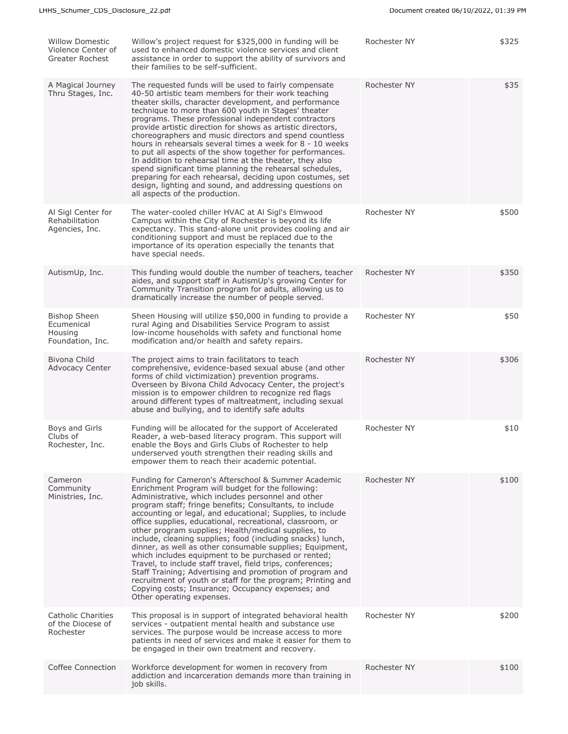| <b>Willow Domestic</b><br>Violence Center of<br>Greater Rochest  | Willow's project request for \$325,000 in funding will be<br>used to enhanced domestic violence services and client<br>assistance in order to support the ability of survivors and<br>their families to be self-sufficient.                                                                                                                                                                                                                                                                                                                                                                                                                                                                                                                                                                                                                                             | Rochester NY | \$325 |
|------------------------------------------------------------------|-------------------------------------------------------------------------------------------------------------------------------------------------------------------------------------------------------------------------------------------------------------------------------------------------------------------------------------------------------------------------------------------------------------------------------------------------------------------------------------------------------------------------------------------------------------------------------------------------------------------------------------------------------------------------------------------------------------------------------------------------------------------------------------------------------------------------------------------------------------------------|--------------|-------|
| A Magical Journey<br>Thru Stages, Inc.                           | The requested funds will be used to fairly compensate<br>40-50 artistic team members for their work teaching<br>theater skills, character development, and performance<br>technique to more than 600 youth in Stages' theater<br>programs. These professional independent contractors<br>provide artistic direction for shows as artistic directors,<br>choreographers and music directors and spend countless<br>hours in rehearsals several times a week for 8 - 10 weeks<br>to put all aspects of the show together for performances.<br>In addition to rehearsal time at the theater, they also<br>spend significant time planning the rehearsal schedules,<br>preparing for each rehearsal, deciding upon costumes, set<br>design, lighting and sound, and addressing questions on<br>all aspects of the production.                                               | Rochester NY | \$35  |
| Al Sigl Center for<br>Rehabilitation<br>Agencies, Inc.           | The water-cooled chiller HVAC at Al Sigl's Elmwood<br>Campus within the City of Rochester is beyond its life<br>expectancy. This stand-alone unit provides cooling and air<br>conditioning support and must be replaced due to the<br>importance of its operation especially the tenants that<br>have special needs.                                                                                                                                                                                                                                                                                                                                                                                                                                                                                                                                                    | Rochester NY | \$500 |
| AutismUp, Inc.                                                   | This funding would double the number of teachers, teacher<br>aides, and support staff in AutismUp's growing Center for<br>Community Transition program for adults, allowing us to<br>dramatically increase the number of people served.                                                                                                                                                                                                                                                                                                                                                                                                                                                                                                                                                                                                                                 | Rochester NY | \$350 |
| <b>Bishop Sheen</b><br>Ecumenical<br>Housing<br>Foundation, Inc. | Sheen Housing will utilize \$50,000 in funding to provide a<br>rural Aging and Disabilities Service Program to assist<br>low-income households with safety and functional home<br>modification and/or health and safety repairs.                                                                                                                                                                                                                                                                                                                                                                                                                                                                                                                                                                                                                                        | Rochester NY | \$50  |
| Bivona Child<br>Advocacy Center                                  | The project aims to train facilitators to teach<br>comprehensive, evidence-based sexual abuse (and other<br>forms of child victimization) prevention programs.<br>Overseen by Bivona Child Advocacy Center, the project's<br>mission is to empower children to recognize red flags<br>around different types of maltreatment, including sexual<br>abuse and bullying, and to identify safe adults                                                                                                                                                                                                                                                                                                                                                                                                                                                                       | Rochester NY | \$306 |
| Boys and Girls<br>Clubs of<br>Rochester, Inc.                    | Funding will be allocated for the support of Accelerated<br>Reader, a web-based literacy program. This support will<br>enable the Boys and Girls Clubs of Rochester to help<br>underserved youth strengthen their reading skills and<br>empower them to reach their academic potential.                                                                                                                                                                                                                                                                                                                                                                                                                                                                                                                                                                                 | Rochester NY | \$10  |
| Cameron<br>Community<br>Ministries, Inc.                         | Funding for Cameron's Afterschool & Summer Academic<br>Enrichment Program will budget for the following:<br>Administrative, which includes personnel and other<br>program staff; fringe benefits; Consultants, to include<br>accounting or legal, and educational; Supplies, to include<br>office supplies, educational, recreational, classroom, or<br>other program supplies; Health/medical supplies, to<br>include, cleaning supplies; food (including snacks) lunch,<br>dinner, as well as other consumable supplies; Equipment,<br>which includes equipment to be purchased or rented;<br>Travel, to include staff travel, field trips, conferences;<br>Staff Training; Advertising and promotion of program and<br>recruitment of youth or staff for the program; Printing and<br>Copying costs; Insurance; Occupancy expenses; and<br>Other operating expenses. | Rochester NY | \$100 |
| Catholic Charities<br>of the Diocese of<br>Rochester             | This proposal is in support of integrated behavioral health<br>services - outpatient mental health and substance use<br>services. The purpose would be increase access to more<br>patients in need of services and make it easier for them to<br>be engaged in their own treatment and recovery.                                                                                                                                                                                                                                                                                                                                                                                                                                                                                                                                                                        | Rochester NY | \$200 |
| Coffee Connection                                                | Workforce development for women in recovery from<br>addiction and incarceration demands more than training in<br>job skills.                                                                                                                                                                                                                                                                                                                                                                                                                                                                                                                                                                                                                                                                                                                                            | Rochester NY | \$100 |
|                                                                  |                                                                                                                                                                                                                                                                                                                                                                                                                                                                                                                                                                                                                                                                                                                                                                                                                                                                         |              |       |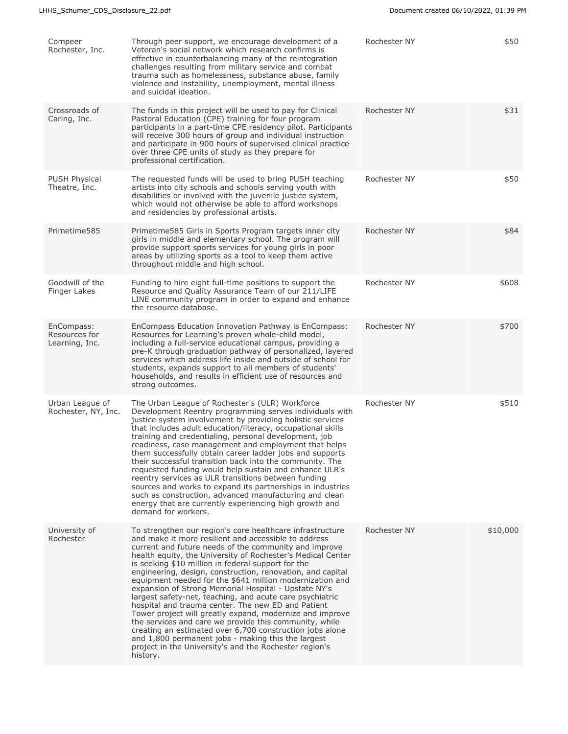| Compeer<br>Rochester, Inc.                    | Through peer support, we encourage development of a<br>Veteran's social network which research confirms is<br>effective in counterbalancing many of the reintegration<br>challenges resulting from military service and combat<br>trauma such as homelessness, substance abuse, family<br>violence and instability, unemployment, mental illness<br>and suicidal ideation.                                                                                                                                                                                                                                                                                                                                                                                                                                                                                                                                        | Rochester NY | \$50     |
|-----------------------------------------------|-------------------------------------------------------------------------------------------------------------------------------------------------------------------------------------------------------------------------------------------------------------------------------------------------------------------------------------------------------------------------------------------------------------------------------------------------------------------------------------------------------------------------------------------------------------------------------------------------------------------------------------------------------------------------------------------------------------------------------------------------------------------------------------------------------------------------------------------------------------------------------------------------------------------|--------------|----------|
| Crossroads of<br>Caring, Inc.                 | The funds in this project will be used to pay for Clinical<br>Pastoral Education (CPE) training for four program<br>participants in a part-time CPE residency pilot. Participants<br>will receive 300 hours of group and individual instruction<br>and participate in 900 hours of supervised clinical practice<br>over three CPE units of study as they prepare for<br>professional certification.                                                                                                                                                                                                                                                                                                                                                                                                                                                                                                               | Rochester NY | \$31     |
| <b>PUSH Physical</b><br>Theatre, Inc.         | The requested funds will be used to bring PUSH teaching<br>artists into city schools and schools serving youth with<br>disabilities or involved with the juvenile justice system,<br>which would not otherwise be able to afford workshops<br>and residencies by professional artists.                                                                                                                                                                                                                                                                                                                                                                                                                                                                                                                                                                                                                            | Rochester NY | \$50     |
| Primetime585                                  | Primetime585 Girls in Sports Program targets inner city<br>girls in middle and elementary school. The program will<br>provide support sports services for young girls in poor<br>areas by utilizing sports as a tool to keep them active<br>throughout middle and high school.                                                                                                                                                                                                                                                                                                                                                                                                                                                                                                                                                                                                                                    | Rochester NY | \$84     |
| Goodwill of the<br>Finger Lakes               | Funding to hire eight full-time positions to support the<br>Resource and Quality Assurance Team of our 211/LIFE<br>LINE community program in order to expand and enhance<br>the resource database.                                                                                                                                                                                                                                                                                                                                                                                                                                                                                                                                                                                                                                                                                                                | Rochester NY | \$608    |
| EnCompass:<br>Resources for<br>Learning, Inc. | EnCompass Education Innovation Pathway is EnCompass:<br>Resources for Learning's proven whole-child model,<br>including a full-service educational campus, providing a<br>pre-K through graduation pathway of personalized, layered<br>services which address life inside and outside of school for<br>students, expands support to all members of students'<br>households, and results in efficient use of resources and<br>strong outcomes.                                                                                                                                                                                                                                                                                                                                                                                                                                                                     | Rochester NY | \$700    |
| Urban League of<br>Rochester, NY, Inc.        | The Urban League of Rochester's (ULR) Workforce<br>Development Reentry programming serves individuals with<br>justice system involvement by providing holistic services<br>that includes adult education/literacy, occupational skills<br>training and credentialing, personal development, job<br>readiness, case management and employment that helps<br>them successfully obtain career ladder jobs and supports<br>their successful transition back into the community. The<br>requested funding would help sustain and enhance ULR's<br>reentry services as ULR transitions between funding<br>sources and works to expand its partnerships in industries<br>such as construction, advanced manufacturing and clean<br>energy that are currently experiencing high growth and<br>demand for workers.                                                                                                         | Rochester NY | \$510    |
| University of<br>Rochester                    | To strengthen our region's core healthcare infrastructure<br>and make it more resilient and accessible to address<br>current and future needs of the community and improve<br>health equity, the University of Rochester's Medical Center<br>is seeking \$10 million in federal support for the<br>engineering, design, construction, renovation, and capital<br>equipment needed for the \$641 million modernization and<br>expansion of Strong Memorial Hospital - Upstate NY's<br>largest safety-net, teaching, and acute care psychiatric<br>hospital and trauma center. The new ED and Patient<br>Tower project will greatly expand, modernize and improve<br>the services and care we provide this community, while<br>creating an estimated over 6,700 construction jobs alone<br>and 1,800 permanent jobs - making this the largest<br>project in the University's and the Rochester region's<br>history. | Rochester NY | \$10,000 |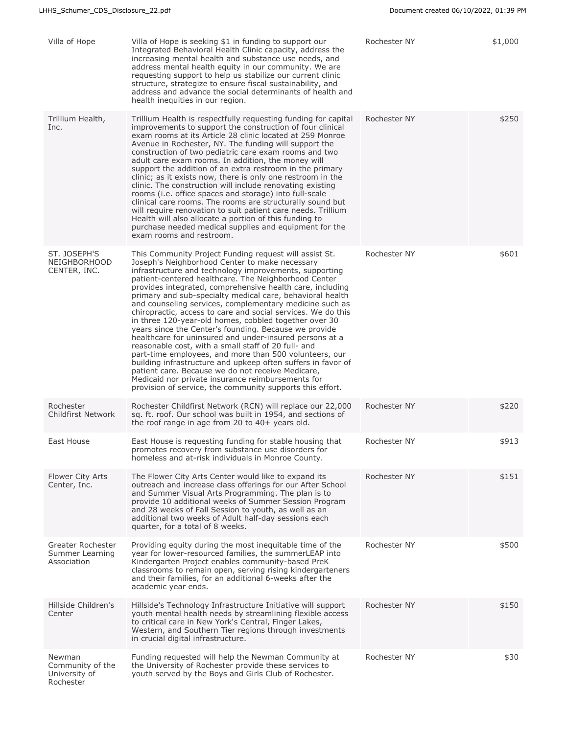| Villa of Hope                                            | Villa of Hope is seeking \$1 in funding to support our<br>Integrated Behavioral Health Clinic capacity, address the<br>increasing mental health and substance use needs, and<br>address mental health equity in our community. We are<br>requesting support to help us stabilize our current clinic<br>structure, strategize to ensure fiscal sustainability, and<br>address and advance the social determinants of health and<br>health inequities in our region.                                                                                                                                                                                                                                                                                                                                                                                                                                                                                                                                                   | Rochester NY | \$1,000 |
|----------------------------------------------------------|----------------------------------------------------------------------------------------------------------------------------------------------------------------------------------------------------------------------------------------------------------------------------------------------------------------------------------------------------------------------------------------------------------------------------------------------------------------------------------------------------------------------------------------------------------------------------------------------------------------------------------------------------------------------------------------------------------------------------------------------------------------------------------------------------------------------------------------------------------------------------------------------------------------------------------------------------------------------------------------------------------------------|--------------|---------|
| Trillium Health,<br>Inc.                                 | Trillium Health is respectfully requesting funding for capital<br>improvements to support the construction of four clinical<br>exam rooms at its Article 28 clinic located at 259 Monroe<br>Avenue in Rochester, NY. The funding will support the<br>construction of two pediatric care exam rooms and two<br>adult care exam rooms. In addition, the money will<br>support the addition of an extra restroom in the primary<br>clinic; as it exists now, there is only one restroom in the<br>clinic. The construction will include renovating existing<br>rooms (i.e. office spaces and storage) into full-scale<br>clinical care rooms. The rooms are structurally sound but<br>will require renovation to suit patient care needs. Trillium<br>Health will also allocate a portion of this funding to<br>purchase needed medical supplies and equipment for the<br>exam rooms and restroom.                                                                                                                      | Rochester NY | \$250   |
| ST. JOSEPH'S<br>NEIGHBORHOOD<br>CENTER, INC.             | This Community Project Funding request will assist St.<br>Joseph's Neighborhood Center to make necessary<br>infrastructure and technology improvements, supporting<br>patient-centered healthcare. The Neighborhood Center<br>provides integrated, comprehensive health care, including<br>primary and sub-specialty medical care, behavioral health<br>and counseling services, complementary medicine such as<br>chiropractic, access to care and social services. We do this<br>in three 120-year-old homes, cobbled together over 30<br>years since the Center's founding. Because we provide<br>healthcare for uninsured and under-insured persons at a<br>reasonable cost, with a small staff of 20 full- and<br>part-time employees, and more than 500 volunteers, our<br>building infrastructure and upkeep often suffers in favor of<br>patient care. Because we do not receive Medicare,<br>Medicaid nor private insurance reimbursements for<br>provision of service, the community supports this effort. | Rochester NY | \$601   |
| Rochester<br><b>Childfirst Network</b>                   | Rochester Childfirst Network (RCN) will replace our 22,000<br>sq. ft. roof. Our school was built in 1954, and sections of<br>the roof range in age from 20 to 40+ years old.                                                                                                                                                                                                                                                                                                                                                                                                                                                                                                                                                                                                                                                                                                                                                                                                                                         | Rochester NY | \$220   |
| East House                                               | East House is requesting funding for stable housing that<br>promotes recovery from substance use disorders for<br>homeless and at-risk individuals in Monroe County.                                                                                                                                                                                                                                                                                                                                                                                                                                                                                                                                                                                                                                                                                                                                                                                                                                                 | Rochester NY | \$913   |
| Flower City Arts<br>Center, Inc.                         | The Flower City Arts Center would like to expand its<br>outreach and increase class offerings for our After School<br>and Summer Visual Arts Programming. The plan is to<br>provide 10 additional weeks of Summer Session Program<br>and 28 weeks of Fall Session to youth, as well as an<br>additional two weeks of Adult half-day sessions each<br>quarter, for a total of 8 weeks.                                                                                                                                                                                                                                                                                                                                                                                                                                                                                                                                                                                                                                | Rochester NY | \$151   |
| Greater Rochester<br>Summer Learning<br>Association      | Providing equity during the most inequitable time of the<br>year for lower-resourced families, the summerLEAP into<br>Kindergarten Project enables community-based PreK<br>classrooms to remain open, serving rising kindergarteners<br>and their families, for an additional 6-weeks after the<br>academic year ends.                                                                                                                                                                                                                                                                                                                                                                                                                                                                                                                                                                                                                                                                                               | Rochester NY | \$500   |
| Hillside Children's<br>Center                            | Hillside's Technology Infrastructure Initiative will support<br>youth mental health needs by streamlining flexible access<br>to critical care in New York's Central, Finger Lakes,<br>Western, and Southern Tier regions through investments<br>in crucial digital infrastructure.                                                                                                                                                                                                                                                                                                                                                                                                                                                                                                                                                                                                                                                                                                                                   | Rochester NY | \$150   |
| Newman<br>Community of the<br>University of<br>Rochester | Funding requested will help the Newman Community at<br>the University of Rochester provide these services to<br>youth served by the Boys and Girls Club of Rochester.                                                                                                                                                                                                                                                                                                                                                                                                                                                                                                                                                                                                                                                                                                                                                                                                                                                | Rochester NY | \$30    |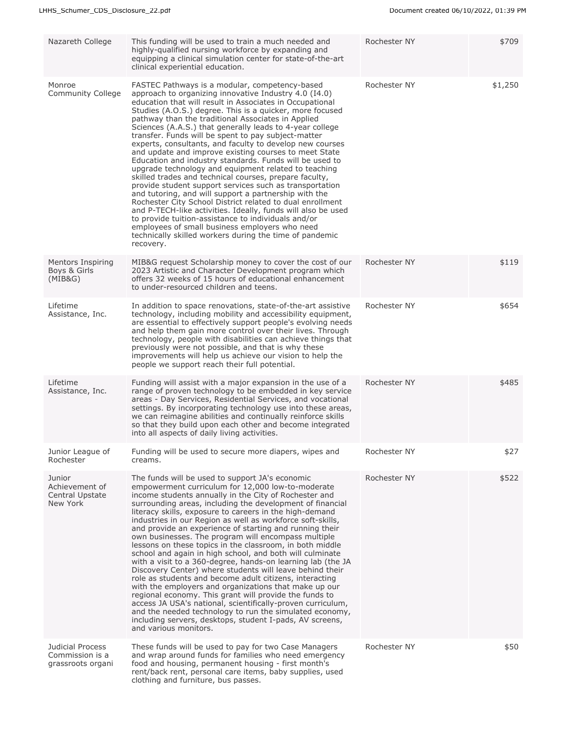| Nazareth College                                         | This funding will be used to train a much needed and<br>highly-qualified nursing workforce by expanding and<br>equipping a clinical simulation center for state-of-the-art<br>clinical experiential education.                                                                                                                                                                                                                                                                                                                                                                                                                                                                                                                                                                                                                                                                                                                                                                                                                                                                                                                               | Rochester NY | \$709   |
|----------------------------------------------------------|----------------------------------------------------------------------------------------------------------------------------------------------------------------------------------------------------------------------------------------------------------------------------------------------------------------------------------------------------------------------------------------------------------------------------------------------------------------------------------------------------------------------------------------------------------------------------------------------------------------------------------------------------------------------------------------------------------------------------------------------------------------------------------------------------------------------------------------------------------------------------------------------------------------------------------------------------------------------------------------------------------------------------------------------------------------------------------------------------------------------------------------------|--------------|---------|
| Monroe<br>Community College                              | FASTEC Pathways is a modular, competency-based<br>approach to organizing innovative Industry 4.0 (I4.0)<br>education that will result in Associates in Occupational<br>Studies (A.O.S.) degree. This is a quicker, more focused<br>pathway than the traditional Associates in Applied<br>Sciences (A.A.S.) that generally leads to 4-year college<br>transfer. Funds will be spent to pay subject-matter<br>experts, consultants, and faculty to develop new courses<br>and update and improve existing courses to meet State<br>Education and industry standards. Funds will be used to<br>upgrade technology and equipment related to teaching<br>skilled trades and technical courses, prepare faculty,<br>provide student support services such as transportation<br>and tutoring, and will support a partnership with the<br>Rochester City School District related to dual enrollment<br>and P-TECH-like activities. Ideally, funds will also be used<br>to provide tuition-assistance to individuals and/or<br>employees of small business employers who need<br>technically skilled workers during the time of pandemic<br>recovery. | Rochester NY | \$1,250 |
| Mentors Inspiring<br>Boys & Girls<br>(MIB&G)             | MIB&G request Scholarship money to cover the cost of our<br>2023 Artistic and Character Development program which<br>offers 32 weeks of 15 hours of educational enhancement<br>to under-resourced children and teens.                                                                                                                                                                                                                                                                                                                                                                                                                                                                                                                                                                                                                                                                                                                                                                                                                                                                                                                        | Rochester NY | \$119   |
| Lifetime<br>Assistance, Inc.                             | In addition to space renovations, state-of-the-art assistive<br>technology, including mobility and accessibility equipment,<br>are essential to effectively support people's evolving needs<br>and help them gain more control over their lives. Through<br>technology, people with disabilities can achieve things that<br>previously were not possible, and that is why these<br>improvements will help us achieve our vision to help the<br>people we support reach their full potential.                                                                                                                                                                                                                                                                                                                                                                                                                                                                                                                                                                                                                                                 | Rochester NY | \$654   |
| Lifetime<br>Assistance, Inc.                             | Funding will assist with a major expansion in the use of a<br>range of proven technology to be embedded in key service<br>areas - Day Services, Residential Services, and vocational<br>settings. By incorporating technology use into these areas,<br>we can reimagine abilities and continually reinforce skills<br>so that they build upon each other and become integrated<br>into all aspects of daily living activities.                                                                                                                                                                                                                                                                                                                                                                                                                                                                                                                                                                                                                                                                                                               | Rochester NY | \$485   |
| Junior League of<br>Rochester                            | Funding will be used to secure more diapers, wipes and<br>creams.                                                                                                                                                                                                                                                                                                                                                                                                                                                                                                                                                                                                                                                                                                                                                                                                                                                                                                                                                                                                                                                                            | Rochester NY | \$27    |
| Junior<br>Achievement of<br>Central Upstate<br>New York  | The funds will be used to support JA's economic<br>empowerment curriculum for 12,000 low-to-moderate<br>income students annually in the City of Rochester and<br>surrounding areas, including the development of financial<br>literacy skills, exposure to careers in the high-demand<br>industries in our Region as well as workforce soft-skills,<br>and provide an experience of starting and running their<br>own businesses. The program will encompass multiple<br>lessons on these topics in the classroom, in both middle<br>school and again in high school, and both will culminate<br>with a visit to a 360-degree, hands-on learning lab (the JA<br>Discovery Center) where students will leave behind their<br>role as students and become adult citizens, interacting<br>with the employers and organizations that make up our<br>regional economy. This grant will provide the funds to<br>access JA USA's national, scientifically-proven curriculum,<br>and the needed technology to run the simulated economy,<br>including servers, desktops, student I-pads, AV screens,<br>and various monitors.                        | Rochester NY | \$522   |
| Judicial Process<br>Commission is a<br>grassroots organi | These funds will be used to pay for two Case Managers<br>and wrap around funds for families who need emergency<br>food and housing, permanent housing - first month's<br>rent/back rent, personal care items, baby supplies, used<br>clothing and furniture, bus passes.                                                                                                                                                                                                                                                                                                                                                                                                                                                                                                                                                                                                                                                                                                                                                                                                                                                                     | Rochester NY | \$50    |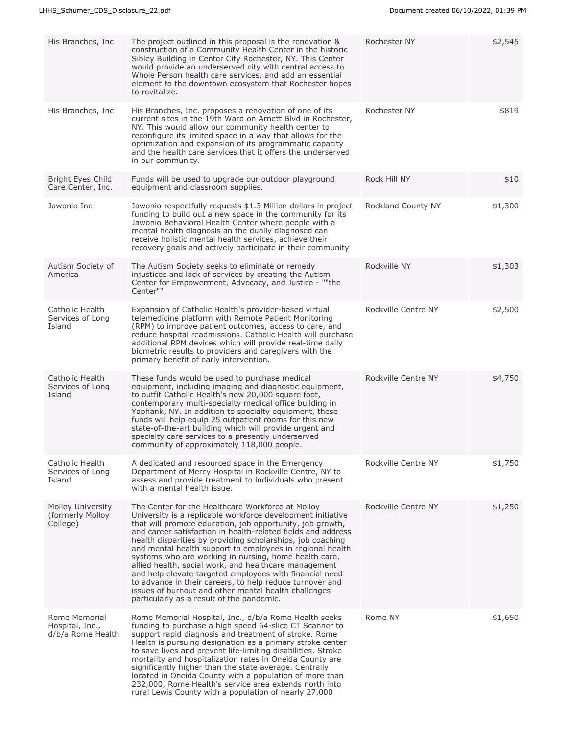| His Branches, Inc.                                       | The project outlined in this proposal is the renovation &<br>construction of a Community Health Center in the historic<br>Sibley Building in Center City Rochester, NY. This Center<br>would provide an underserved city with central access to<br>Whole Person health care services, and add an essential<br>element to the downtown ecosystem that Rochester hopes<br>to revitalize.                                                                                                                                                                                                                                                                                                                                 | Rochester NY        | \$2,545 |
|----------------------------------------------------------|------------------------------------------------------------------------------------------------------------------------------------------------------------------------------------------------------------------------------------------------------------------------------------------------------------------------------------------------------------------------------------------------------------------------------------------------------------------------------------------------------------------------------------------------------------------------------------------------------------------------------------------------------------------------------------------------------------------------|---------------------|---------|
| His Branches, Inc.                                       | His Branches, Inc. proposes a renovation of one of its<br>current sites in the 19th Ward on Arnett Blvd in Rochester,<br>NY. This would allow our community health center to<br>reconfigure its limited space in a way that allows for the<br>optimization and expansion of its programmatic capacity<br>and the health care services that it offers the underserved<br>in our community.                                                                                                                                                                                                                                                                                                                              | Rochester NY        | \$819   |
| Bright Eyes Child<br>Care Center, Inc.                   | Funds will be used to upgrade our outdoor playground<br>equipment and classroom supplies.                                                                                                                                                                                                                                                                                                                                                                                                                                                                                                                                                                                                                              | Rock Hill NY        | \$10    |
| Jawonio Inc                                              | Jawonio respectfully requests \$1.3 Million dollars in project<br>funding to build out a new space in the community for its<br>Jawonio Behavioral Health Center where people with a<br>mental health diagnosis an the dually diagnosed can<br>receive holistic mental health services, achieve their<br>recovery goals and actively participate in their community                                                                                                                                                                                                                                                                                                                                                     | Rockland County NY  | \$1,300 |
| Autism Society of<br>America                             | The Autism Society seeks to eliminate or remedy<br>injustices and lack of services by creating the Autism<br>Center for Empowerment, Advocacy, and Justice - ""the<br>Center""                                                                                                                                                                                                                                                                                                                                                                                                                                                                                                                                         | Rockville NY        | \$1,303 |
| Catholic Health<br>Services of Long<br>Island            | Expansion of Catholic Health's provider-based virtual<br>telemedicine platform with Remote Patient Monitoring<br>(RPM) to improve patient outcomes, access to care, and<br>reduce hospital readmissions. Catholic Health will purchase<br>additional RPM devices which will provide real-time daily<br>biometric results to providers and caregivers with the<br>primary benefit of early intervention.                                                                                                                                                                                                                                                                                                                | Rockville Centre NY | \$2,500 |
| Catholic Health<br>Services of Long<br>Island            | These funds would be used to purchase medical<br>equipment, including imaging and diagnostic equipment,<br>to outfit Catholic Health's new 20,000 square foot,<br>contemporary multi-specialty medical office building in<br>Yaphank, NY. In addition to specialty equipment, these<br>funds will help equip 25 outpatient rooms for this new<br>state-of-the-art building which will provide urgent and<br>specialty care services to a presently underserved<br>community of approximately 118,000 people.                                                                                                                                                                                                           | Rockville Centre NY | \$4,750 |
| Catholic Health<br>Services of Long<br>Island            | A dedicated and resourced space in the Emergency<br>Department of Mercy Hospital in Rockville Centre, NY to<br>assess and provide treatment to individuals who present<br>with a mental health issue.                                                                                                                                                                                                                                                                                                                                                                                                                                                                                                                  | Rockville Centre NY | \$1,750 |
| <b>Molloy University</b><br>(formerly Molloy<br>College) | The Center for the Healthcare Workforce at Molloy<br>University is a replicable workforce development initiative<br>that will promote education, job opportunity, job growth,<br>and career satisfaction in health-related fields and address<br>health disparities by providing scholarships, job coaching<br>and mental health support to employees in regional health<br>systems who are working in nursing, home health care,<br>allied health, social work, and healthcare management<br>and help elevate targeted employees with financial need<br>to advance in their careers, to help reduce turnover and<br>issues of burnout and other mental health challenges<br>particularly as a result of the pandemic. | Rockville Centre NY | \$1,250 |
| Rome Memorial<br>Hospital, Inc.,<br>d/b/a Rome Health    | Rome Memorial Hospital, Inc., d/b/a Rome Health seeks<br>funding to purchase a high speed 64-slice CT Scanner to<br>support rapid diagnosis and treatment of stroke. Rome<br>Health is pursuing designation as a primary stroke center<br>to save lives and prevent life-limiting disabilities. Stroke<br>mortality and hospitalization rates in Oneida County are<br>significantly higher than the state average. Centrally<br>located in Oneida County with a population of more than<br>232,000, Rome Health's service area extends north into<br>rural Lewis County with a population of nearly 27,000                                                                                                             | Rome NY             | \$1,650 |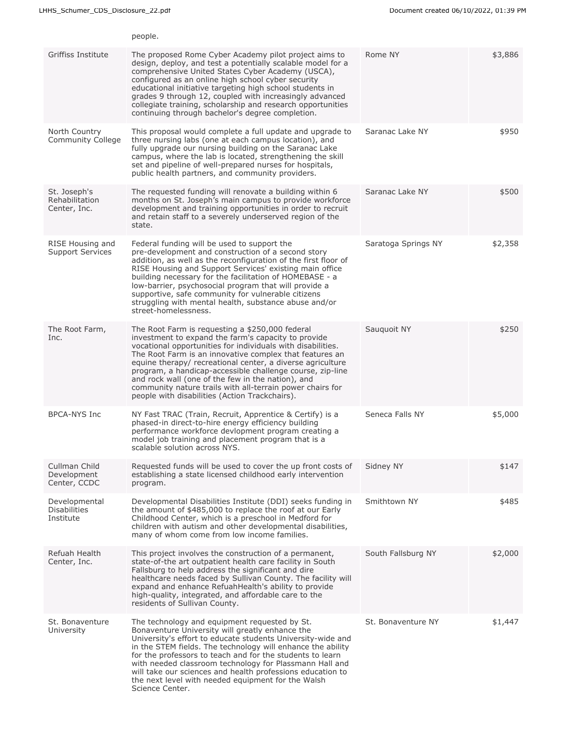|                                                   | people.                                                                                                                                                                                                                                                                                                                                                                                                                                                                                                                         |                     |         |
|---------------------------------------------------|---------------------------------------------------------------------------------------------------------------------------------------------------------------------------------------------------------------------------------------------------------------------------------------------------------------------------------------------------------------------------------------------------------------------------------------------------------------------------------------------------------------------------------|---------------------|---------|
| Griffiss Institute                                | The proposed Rome Cyber Academy pilot project aims to<br>design, deploy, and test a potentially scalable model for a<br>comprehensive United States Cyber Academy (USCA),<br>configured as an online high school cyber security<br>educational initiative targeting high school students in<br>grades 9 through 12, coupled with increasingly advanced<br>collegiate training, scholarship and research opportunities<br>continuing through bachelor's degree completion.                                                       | Rome NY             | \$3,886 |
| North Country<br>Community College                | This proposal would complete a full update and upgrade to<br>three nursing labs (one at each campus location), and<br>fully upgrade our nursing building on the Saranac Lake<br>campus, where the lab is located, strengthening the skill<br>set and pipeline of well-prepared nurses for hospitals,<br>public health partners, and community providers.                                                                                                                                                                        | Saranac Lake NY     | \$950   |
| St. Joseph's<br>Rehabilitation<br>Center, Inc.    | The requested funding will renovate a building within 6<br>months on St. Joseph's main campus to provide workforce<br>development and training opportunities in order to recruit<br>and retain staff to a severely underserved region of the<br>state.                                                                                                                                                                                                                                                                          | Saranac Lake NY     | \$500   |
| RISE Housing and<br><b>Support Services</b>       | Federal funding will be used to support the<br>pre-development and construction of a second story<br>addition, as well as the reconfiguration of the first floor of<br>RISE Housing and Support Services' existing main office<br>building necessary for the facilitation of HOMEBASE - a<br>low-barrier, psychosocial program that will provide a<br>supportive, safe community for vulnerable citizens<br>struggling with mental health, substance abuse and/or<br>street-homelessness.                                       | Saratoga Springs NY | \$2,358 |
| The Root Farm,<br>Inc.                            | The Root Farm is requesting a \$250,000 federal<br>investment to expand the farm's capacity to provide<br>vocational opportunities for individuals with disabilities.<br>The Root Farm is an innovative complex that features an<br>equine therapy/ recreational center, a diverse agriculture<br>program, a handicap-accessible challenge course, zip-line<br>and rock wall (one of the few in the nation), and<br>community nature trails with all-terrain power chairs for<br>people with disabilities (Action Trackchairs). | Sauguoit NY         | \$250   |
| <b>BPCA-NYS Inc</b>                               | NY Fast TRAC (Train, Recruit, Apprentice & Certify) is a<br>phased-in direct-to-hire energy efficiency building<br>performance workforce devlopment program creating a<br>model job training and placement program that is a<br>scalable solution across NYS.                                                                                                                                                                                                                                                                   | Seneca Falls NY     | \$5,000 |
| Cullman Child<br>Development<br>Center, CCDC      | Requested funds will be used to cover the up front costs of<br>establishing a state licensed childhood early intervention<br>program.                                                                                                                                                                                                                                                                                                                                                                                           | Sidney NY           | \$147   |
| Developmental<br><b>Disabilities</b><br>Institute | Developmental Disabilities Institute (DDI) seeks funding in<br>the amount of \$485,000 to replace the roof at our Early<br>Childhood Center, which is a preschool in Medford for<br>children with autism and other developmental disabilities,<br>many of whom come from low income families.                                                                                                                                                                                                                                   | Smithtown NY        | \$485   |
| Refuah Health<br>Center, Inc.                     | This project involves the construction of a permanent,<br>state-of-the art outpatient health care facility in South<br>Fallsburg to help address the significant and dire<br>healthcare needs faced by Sullivan County. The facility will<br>expand and enhance RefuahHealth's ability to provide<br>high-quality, integrated, and affordable care to the<br>residents of Sullivan County.                                                                                                                                      | South Fallsburg NY  | \$2,000 |
| St. Bonaventure<br>University                     | The technology and equipment requested by St.<br>Bonaventure University will greatly enhance the<br>University's effort to educate students University-wide and<br>in the STEM fields. The technology will enhance the ability<br>for the professors to teach and for the students to learn<br>with needed classroom technology for Plassmann Hall and<br>will take our sciences and health professions education to<br>the next level with needed equipment for the Walsh<br>Science Center.                                   | St. Bonaventure NY  | \$1,447 |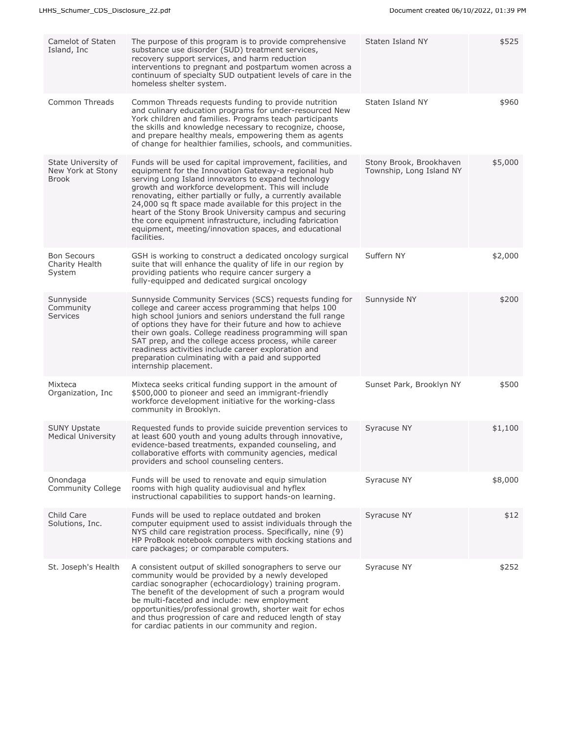| Camelot of Staten<br>Island, Inc.                        | The purpose of this program is to provide comprehensive<br>substance use disorder (SUD) treatment services,<br>recovery support services, and harm reduction<br>interventions to pregnant and postpartum women across a<br>continuum of specialty SUD outpatient levels of care in the<br>homeless shelter system.                                                                                                                                                                                                                                           | Staten Island NY                                    | \$525   |
|----------------------------------------------------------|--------------------------------------------------------------------------------------------------------------------------------------------------------------------------------------------------------------------------------------------------------------------------------------------------------------------------------------------------------------------------------------------------------------------------------------------------------------------------------------------------------------------------------------------------------------|-----------------------------------------------------|---------|
| Common Threads                                           | Common Threads requests funding to provide nutrition<br>and culinary education programs for under-resourced New<br>York children and families. Programs teach participants<br>the skills and knowledge necessary to recognize, choose,<br>and prepare healthy meals, empowering them as agents<br>of change for healthier families, schools, and communities.                                                                                                                                                                                                | Staten Island NY                                    | \$960   |
| State University of<br>New York at Stony<br><b>Brook</b> | Funds will be used for capital improvement, facilities, and<br>equipment for the Innovation Gateway-a regional hub<br>serving Long Island innovators to expand technology<br>growth and workforce development. This will include<br>renovating, either partially or fully, a currently available<br>24,000 sq ft space made available for this project in the<br>heart of the Stony Brook University campus and securing<br>the core equipment infrastructure, including fabrication<br>equipment, meeting/innovation spaces, and educational<br>facilities. | Stony Brook, Brookhaven<br>Township, Long Island NY | \$5,000 |
| <b>Bon Secours</b><br>Charity Health<br>System           | GSH is working to construct a dedicated oncology surgical<br>suite that will enhance the quality of life in our region by<br>providing patients who require cancer surgery a<br>fully-equipped and dedicated surgical oncology                                                                                                                                                                                                                                                                                                                               | Suffern NY                                          | \$2,000 |
| Sunnyside<br>Community<br><b>Services</b>                | Sunnyside Community Services (SCS) requests funding for<br>college and career access programming that helps 100<br>high school juniors and seniors understand the full range<br>of options they have for their future and how to achieve<br>their own goals. College readiness programming will span<br>SAT prep, and the college access process, while career<br>readiness activities include career exploration and<br>preparation culminating with a paid and supported<br>internship placement.                                                          | Sunnyside NY                                        | \$200   |
| Mixteca<br>Organization, Inc                             | Mixteca seeks critical funding support in the amount of<br>\$500,000 to pioneer and seed an immigrant-friendly<br>workforce development initiative for the working-class<br>community in Brooklyn.                                                                                                                                                                                                                                                                                                                                                           | Sunset Park, Brooklyn NY                            | \$500   |
| <b>SUNY Upstate</b><br><b>Medical University</b>         | Requested funds to provide suicide prevention services to<br>at least 600 youth and young adults through innovative,<br>evidence-based treatments, expanded counseling, and<br>collaborative efforts with community agencies, medical<br>providers and school counseling centers.                                                                                                                                                                                                                                                                            | Syracuse NY                                         | \$1,100 |
| Onondaga<br><b>Community College</b>                     | Funds will be used to renovate and equip simulation<br>rooms with high quality audiovisual and hyflex<br>instructional capabilities to support hands-on learning.                                                                                                                                                                                                                                                                                                                                                                                            | Syracuse NY                                         | \$8,000 |
| Child Care<br>Solutions, Inc.                            | Funds will be used to replace outdated and broken<br>computer equipment used to assist individuals through the<br>NYS child care registration process. Specifically, nine (9)<br>HP ProBook notebook computers with docking stations and<br>care packages; or comparable computers.                                                                                                                                                                                                                                                                          | Syracuse NY                                         | \$12    |
| St. Joseph's Health                                      | A consistent output of skilled sonographers to serve our<br>community would be provided by a newly developed<br>cardiac sonographer (echocardiology) training program.<br>The benefit of the development of such a program would<br>be multi-faceted and include: new employment<br>opportunities/professional growth, shorter wait for echos<br>and thus progression of care and reduced length of stay<br>for cardiac patients in our community and region.                                                                                                | Syracuse NY                                         | \$252   |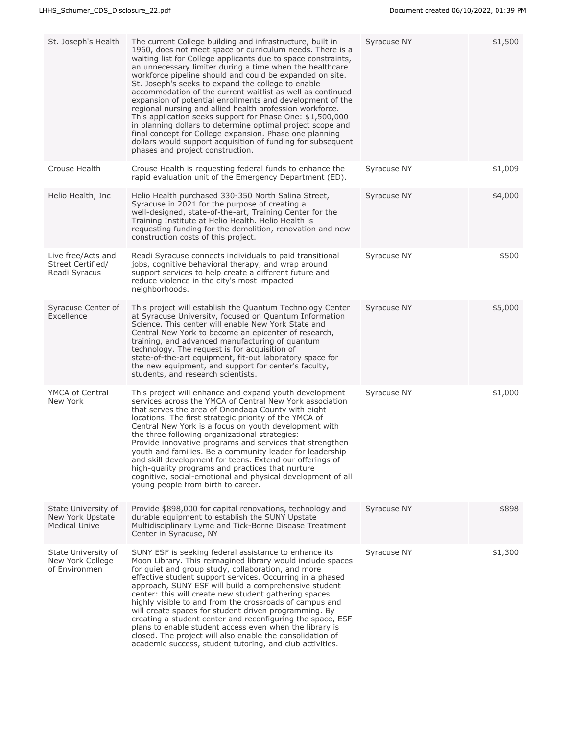| St. Joseph's Health                                             | The current College building and infrastructure, built in<br>1960, does not meet space or curriculum needs. There is a<br>waiting list for College applicants due to space constraints,<br>an unnecessary limiter during a time when the healthcare<br>workforce pipeline should and could be expanded on site.<br>St. Joseph's seeks to expand the college to enable<br>accommodation of the current waitlist as well as continued<br>expansion of potential enrollments and development of the<br>regional nursing and allied health profession workforce.<br>This application seeks support for Phase One: \$1,500,000<br>in planning dollars to determine optimal project scope and<br>final concept for College expansion. Phase one planning<br>dollars would support acquisition of funding for subsequent<br>phases and project construction. | Syracuse NY | \$1,500 |
|-----------------------------------------------------------------|-------------------------------------------------------------------------------------------------------------------------------------------------------------------------------------------------------------------------------------------------------------------------------------------------------------------------------------------------------------------------------------------------------------------------------------------------------------------------------------------------------------------------------------------------------------------------------------------------------------------------------------------------------------------------------------------------------------------------------------------------------------------------------------------------------------------------------------------------------|-------------|---------|
| Crouse Health                                                   | Crouse Health is requesting federal funds to enhance the<br>rapid evaluation unit of the Emergency Department (ED).                                                                                                                                                                                                                                                                                                                                                                                                                                                                                                                                                                                                                                                                                                                                   | Syracuse NY | \$1,009 |
| Helio Health, Inc.                                              | Helio Health purchased 330-350 North Salina Street,<br>Syracuse in 2021 for the purpose of creating a<br>well-designed, state-of-the-art, Training Center for the<br>Training Institute at Helio Health. Helio Health is<br>requesting funding for the demolition, renovation and new<br>construction costs of this project.                                                                                                                                                                                                                                                                                                                                                                                                                                                                                                                          | Syracuse NY | \$4,000 |
| Live free/Acts and<br>Street Certified/<br>Readi Syracus        | Readi Syracuse connects individuals to paid transitional<br>jobs, cognitive behavioral therapy, and wrap around<br>support services to help create a different future and<br>reduce violence in the city's most impacted<br>neighborhoods.                                                                                                                                                                                                                                                                                                                                                                                                                                                                                                                                                                                                            | Syracuse NY | \$500   |
| Syracuse Center of<br>Excellence                                | This project will establish the Quantum Technology Center<br>at Syracuse University, focused on Quantum Information<br>Science. This center will enable New York State and<br>Central New York to become an epicenter of research,<br>training, and advanced manufacturing of quantum<br>technology. The request is for acquisition of<br>state-of-the-art equipment, fit-out laboratory space for<br>the new equipment, and support for center's faculty,<br>students, and research scientists.                                                                                                                                                                                                                                                                                                                                                      | Syracuse NY | \$5,000 |
| YMCA of Central<br>New York                                     | This project will enhance and expand youth development<br>services across the YMCA of Central New York association<br>that serves the area of Onondaga County with eight<br>locations. The first strategic priority of the YMCA of<br>Central New York is a focus on youth development with<br>the three following organizational strategies:<br>Provide innovative programs and services that strengthen<br>youth and families. Be a community leader for leadership<br>and skill development for teens. Extend our offerings of<br>high-quality programs and practices that nurture<br>cognitive, social-emotional and physical development of all<br>young people from birth to career.                                                                                                                                                            | Syracuse NY | \$1,000 |
| State University of<br>New York Upstate<br><b>Medical Unive</b> | Provide \$898,000 for capital renovations, technology and<br>durable equipment to establish the SUNY Upstate<br>Multidisciplinary Lyme and Tick-Borne Disease Treatment<br>Center in Syracuse, NY                                                                                                                                                                                                                                                                                                                                                                                                                                                                                                                                                                                                                                                     | Syracuse NY | \$898   |
| State University of<br>New York College<br>of Environmen        | SUNY ESF is seeking federal assistance to enhance its<br>Moon Library. This reimagined library would include spaces<br>for quiet and group study, collaboration, and more<br>effective student support services. Occurring in a phased<br>approach, SUNY ESF will build a comprehensive student<br>center: this will create new student gathering spaces<br>highly visible to and from the crossroads of campus and<br>will create spaces for student driven programming. By<br>creating a student center and reconfiguring the space, ESF<br>plans to enable student access even when the library is<br>closed. The project will also enable the consolidation of<br>academic success, student tutoring, and club activities.                                                                                                                        | Syracuse NY | \$1,300 |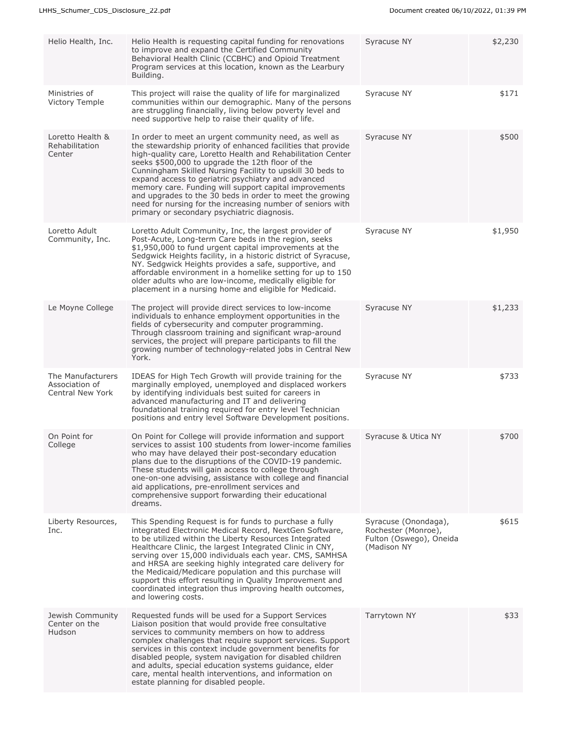| Helio Health, Inc.                                      | Helio Health is requesting capital funding for renovations<br>to improve and expand the Certified Community<br>Behavioral Health Clinic (CCBHC) and Opioid Treatment<br>Program services at this location, known as the Learbury<br>Building.                                                                                                                                                                                                                                                                                                                                                  | Syracuse NY                                                                           | \$2,230 |
|---------------------------------------------------------|------------------------------------------------------------------------------------------------------------------------------------------------------------------------------------------------------------------------------------------------------------------------------------------------------------------------------------------------------------------------------------------------------------------------------------------------------------------------------------------------------------------------------------------------------------------------------------------------|---------------------------------------------------------------------------------------|---------|
| Ministries of<br>Victory Temple                         | This project will raise the quality of life for marginalized<br>communities within our demographic. Many of the persons<br>are struggling financially, living below poverty level and<br>need supportive help to raise their quality of life.                                                                                                                                                                                                                                                                                                                                                  | Syracuse NY                                                                           | \$171   |
| Loretto Health &<br>Rehabilitation<br>Center            | In order to meet an urgent community need, as well as<br>the stewardship priority of enhanced facilities that provide<br>high-quality care, Loretto Health and Rehabilitation Center<br>seeks \$500,000 to upgrade the 12th floor of the<br>Cunningham Skilled Nursing Facility to upskill 30 beds to<br>expand access to geriatric psychiatry and advanced<br>memory care. Funding will support capital improvements<br>and upgrades to the 30 beds in order to meet the growing<br>need for nursing for the increasing number of seniors with<br>primary or secondary psychiatric diagnosis. | Syracuse NY                                                                           | \$500   |
| Loretto Adult<br>Community, Inc.                        | Loretto Adult Community, Inc, the largest provider of<br>Post-Acute, Long-term Care beds in the region, seeks<br>\$1,950,000 to fund urgent capital improvements at the<br>Sedgwick Heights facility, in a historic district of Syracuse,<br>NY. Sedgwick Heights provides a safe, supportive, and<br>affordable environment in a homelike setting for up to 150<br>older adults who are low-income, medically eligible for<br>placement in a nursing home and eligible for Medicaid.                                                                                                          | Syracuse NY                                                                           | \$1,950 |
| Le Moyne College                                        | The project will provide direct services to low-income<br>individuals to enhance employment opportunities in the<br>fields of cybersecurity and computer programming.<br>Through classroom training and significant wrap-around<br>services, the project will prepare participants to fill the<br>growing number of technology-related jobs in Central New<br>York.                                                                                                                                                                                                                            | Syracuse NY                                                                           | \$1,233 |
| The Manufacturers<br>Association of<br>Central New York | IDEAS for High Tech Growth will provide training for the<br>marginally employed, unemployed and displaced workers<br>by identifying individuals best suited for careers in<br>advanced manufacturing and IT and delivering<br>foundational training required for entry level Technician<br>positions and entry level Software Development positions.                                                                                                                                                                                                                                           | Syracuse NY                                                                           | \$733   |
| On Point for<br>College                                 | On Point for College will provide information and support<br>services to assist 100 students from lower-income families<br>who may have delayed their post-secondary education<br>plans due to the disruptions of the COVID-19 pandemic.<br>These students will gain access to college through<br>one-on-one advising, assistance with college and financial<br>aid applications, pre-enrollment services and<br>comprehensive support forwarding their educational<br>dreams.                                                                                                                 | Syracuse & Utica NY                                                                   | \$700   |
| Liberty Resources,<br>Inc.                              | This Spending Request is for funds to purchase a fully<br>integrated Electronic Medical Record, NextGen Software,<br>to be utilized within the Liberty Resources Integrated<br>Healthcare Clinic, the largest Integrated Clinic in CNY,<br>serving over 15,000 individuals each year. CMS, SAMHSA<br>and HRSA are seeking highly integrated care delivery for<br>the Medicaid/Medicare population and this purchase will<br>support this effort resulting in Quality Improvement and<br>coordinated integration thus improving health outcomes,<br>and lowering costs.                         | Syracuse (Onondaga),<br>Rochester (Monroe),<br>Fulton (Oswego), Oneida<br>(Madison NY | \$615   |
| Jewish Community<br>Center on the<br>Hudson             | Requested funds will be used for a Support Services<br>Liaison position that would provide free consultative<br>services to community members on how to address<br>complex challenges that require support services. Support<br>services in this context include government benefits for<br>disabled people, system navigation for disabled children<br>and adults, special education systems guidance, elder<br>care, mental health interventions, and information on<br>estate planning for disabled people.                                                                                 | Tarrytown NY                                                                          | \$33    |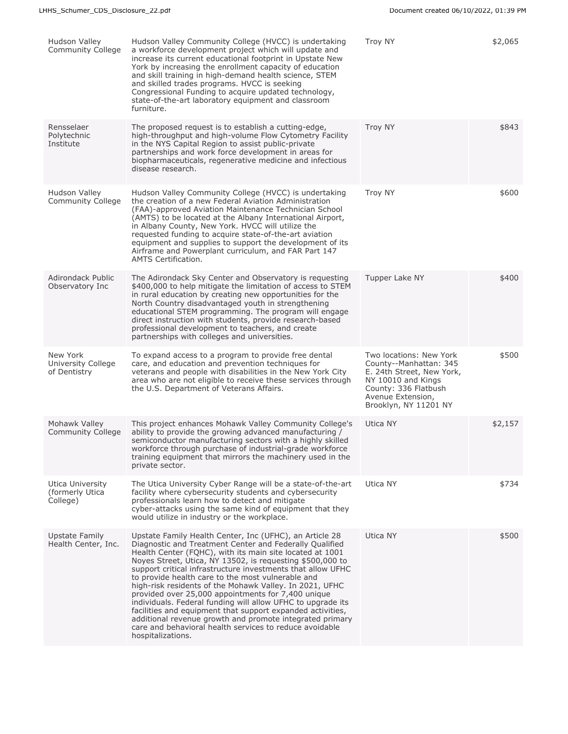| Hudson Valley<br>Community College              | Hudson Valley Community College (HVCC) is undertaking<br>a workforce development project which will update and<br>increase its current educational footprint in Upstate New<br>York by increasing the enrollment capacity of education<br>and skill training in high-demand health science, STEM<br>and skilled trades programs. HVCC is seeking<br>Congressional Funding to acquire updated technology,<br>state-of-the-art laboratory equipment and classroom<br>furniture.                                                                                                                                                                                                                                                                             | <b>Troy NY</b>                                                                                                                                                             | \$2,065 |
|-------------------------------------------------|-----------------------------------------------------------------------------------------------------------------------------------------------------------------------------------------------------------------------------------------------------------------------------------------------------------------------------------------------------------------------------------------------------------------------------------------------------------------------------------------------------------------------------------------------------------------------------------------------------------------------------------------------------------------------------------------------------------------------------------------------------------|----------------------------------------------------------------------------------------------------------------------------------------------------------------------------|---------|
| Rensselaer<br>Polytechnic<br>Institute          | The proposed request is to establish a cutting-edge,<br>high-throughput and high-volume Flow Cytometry Facility<br>in the NYS Capital Region to assist public-private<br>partnerships and work force development in areas for<br>biopharmaceuticals, regenerative medicine and infectious<br>disease research.                                                                                                                                                                                                                                                                                                                                                                                                                                            | <b>Troy NY</b>                                                                                                                                                             | \$843   |
| Hudson Valley<br>Community College              | Hudson Valley Community College (HVCC) is undertaking<br>the creation of a new Federal Aviation Administration<br>(FAA)-approved Aviation Maintenance Technician School<br>(AMTS) to be located at the Albany International Airport,<br>in Albany County, New York. HVCC will utilize the<br>requested funding to acquire state-of-the-art aviation<br>equipment and supplies to support the development of its<br>Airframe and Powerplant curriculum, and FAR Part 147<br><b>AMTS Certification.</b>                                                                                                                                                                                                                                                     | <b>Troy NY</b>                                                                                                                                                             | \$600   |
| <b>Adirondack Public</b><br>Observatory Inc     | The Adirondack Sky Center and Observatory is requesting<br>\$400,000 to help mitigate the limitation of access to STEM<br>in rural education by creating new opportunities for the<br>North Country disadvantaged youth in strengthening<br>educational STEM programming. The program will engage<br>direct instruction with students, provide research-based<br>professional development to teachers, and create<br>partnerships with colleges and universities.                                                                                                                                                                                                                                                                                         | Tupper Lake NY                                                                                                                                                             | \$400   |
| New York<br>University College<br>of Dentistry  | To expand access to a program to provide free dental<br>care, and education and prevention techniques for<br>veterans and people with disabilities in the New York City<br>area who are not eligible to receive these services through<br>the U.S. Department of Veterans Affairs.                                                                                                                                                                                                                                                                                                                                                                                                                                                                        | Two locations: New York<br>County--Manhattan: 345<br>E. 24th Street, New York,<br>NY 10010 and Kings<br>County: 336 Flatbush<br>Avenue Extension,<br>Brooklyn, NY 11201 NY | \$500   |
| Mohawk Valley<br><b>Community College</b>       | This project enhances Mohawk Valley Community College's<br>ability to provide the growing advanced manufacturing /<br>semiconductor manufacturing sectors with a highly skilled<br>workforce through purchase of industrial-grade workforce<br>training equipment that mirrors the machinery used in the<br>private sector.                                                                                                                                                                                                                                                                                                                                                                                                                               | Utica NY                                                                                                                                                                   | \$2,157 |
| Utica University<br>(formerly Utica<br>College) | The Utica University Cyber Range will be a state-of-the-art<br>facility where cybersecurity students and cybersecurity<br>professionals learn how to detect and mitigate<br>cyber-attacks using the same kind of equipment that they<br>would utilize in industry or the workplace.                                                                                                                                                                                                                                                                                                                                                                                                                                                                       | Utica NY                                                                                                                                                                   | \$734   |
| Upstate Family<br>Health Center, Inc.           | Upstate Family Health Center, Inc (UFHC), an Article 28<br>Diagnostic and Treatment Center and Federally Qualified<br>Health Center (FOHC), with its main site located at 1001<br>Noyes Street, Utica, NY 13502, is requesting \$500,000 to<br>support critical infrastructure investments that allow UFHC<br>to provide health care to the most vulnerable and<br>high-risk residents of the Mohawk Valley. In 2021, UFHC<br>provided over 25,000 appointments for 7,400 unique<br>individuals. Federal funding will allow UFHC to upgrade its<br>facilities and equipment that support expanded activities,<br>additional revenue growth and promote integrated primary<br>care and behavioral health services to reduce avoidable<br>hospitalizations. | Utica NY                                                                                                                                                                   | \$500   |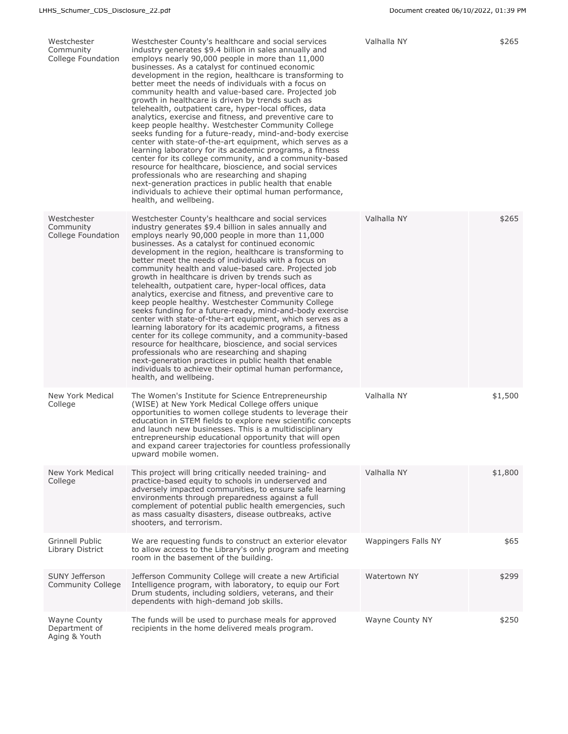| Westchester<br>Community<br>College Foundation        | Westchester County's healthcare and social services<br>industry generates \$9.4 billion in sales annually and<br>employs nearly 90,000 people in more than 11,000<br>businesses. As a catalyst for continued economic<br>development in the region, healthcare is transforming to<br>better meet the needs of individuals with a focus on<br>community health and value-based care. Projected job<br>growth in healthcare is driven by trends such as<br>telehealth, outpatient care, hyper-local offices, data<br>analytics, exercise and fitness, and preventive care to<br>keep people healthy. Westchester Community College<br>seeks funding for a future-ready, mind-and-body exercise<br>center with state-of-the-art equipment, which serves as a<br>learning laboratory for its academic programs, a fitness<br>center for its college community, and a community-based<br>resource for healthcare, bioscience, and social services<br>professionals who are researching and shaping<br>next-generation practices in public health that enable<br>individuals to achieve their optimal human performance,<br>health, and wellbeing. | Valhalla NY         | \$265   |
|-------------------------------------------------------|----------------------------------------------------------------------------------------------------------------------------------------------------------------------------------------------------------------------------------------------------------------------------------------------------------------------------------------------------------------------------------------------------------------------------------------------------------------------------------------------------------------------------------------------------------------------------------------------------------------------------------------------------------------------------------------------------------------------------------------------------------------------------------------------------------------------------------------------------------------------------------------------------------------------------------------------------------------------------------------------------------------------------------------------------------------------------------------------------------------------------------------------|---------------------|---------|
| Westchester<br>Community<br>College Foundation        | Westchester County's healthcare and social services<br>industry generates \$9.4 billion in sales annually and<br>employs nearly 90,000 people in more than 11,000<br>businesses. As a catalyst for continued economic<br>development in the region, healthcare is transforming to<br>better meet the needs of individuals with a focus on<br>community health and value-based care. Projected job<br>growth in healthcare is driven by trends such as<br>telehealth, outpatient care, hyper-local offices, data<br>analytics, exercise and fitness, and preventive care to<br>keep people healthy. Westchester Community College<br>seeks funding for a future-ready, mind-and-body exercise<br>center with state-of-the-art equipment, which serves as a<br>learning laboratory for its academic programs, a fitness<br>center for its college community, and a community-based<br>resource for healthcare, bioscience, and social services<br>professionals who are researching and shaping<br>next-generation practices in public health that enable<br>individuals to achieve their optimal human performance,<br>health, and wellbeing. | Valhalla NY         | \$265   |
| New York Medical<br>College                           | The Women's Institute for Science Entrepreneurship<br>(WISE) at New York Medical College offers unique<br>opportunities to women college students to leverage their<br>education in STEM fields to explore new scientific concepts<br>and launch new businesses. This is a multidisciplinary<br>entrepreneurship educational opportunity that will open<br>and expand career trajectories for countless professionally<br>upward mobile women.                                                                                                                                                                                                                                                                                                                                                                                                                                                                                                                                                                                                                                                                                               | Valhalla NY         | \$1,500 |
| New York Medical<br>College                           | This project will bring critically needed training- and<br>practice-based equity to schools in underserved and<br>adversely impacted communities, to ensure safe learning<br>environments through preparedness against a full<br>complement of potential public health emergencies, such<br>as mass casualty disasters, disease outbreaks, active<br>shooters, and terrorism.                                                                                                                                                                                                                                                                                                                                                                                                                                                                                                                                                                                                                                                                                                                                                                | Valhalla NY         | \$1,800 |
| <b>Grinnell Public</b><br>Library District            | We are requesting funds to construct an exterior elevator<br>to allow access to the Library's only program and meeting<br>room in the basement of the building.                                                                                                                                                                                                                                                                                                                                                                                                                                                                                                                                                                                                                                                                                                                                                                                                                                                                                                                                                                              | Wappingers Falls NY | \$65    |
| <b>SUNY Jefferson</b><br>Community College            | Jefferson Community College will create a new Artificial<br>Intelligence program, with laboratory, to equip our Fort<br>Drum students, including soldiers, veterans, and their<br>dependents with high-demand job skills.                                                                                                                                                                                                                                                                                                                                                                                                                                                                                                                                                                                                                                                                                                                                                                                                                                                                                                                    | Watertown NY        | \$299   |
| <b>Wayne County</b><br>Department of<br>Aging & Youth | The funds will be used to purchase meals for approved<br>recipients in the home delivered meals program.                                                                                                                                                                                                                                                                                                                                                                                                                                                                                                                                                                                                                                                                                                                                                                                                                                                                                                                                                                                                                                     | Wayne County NY     | \$250   |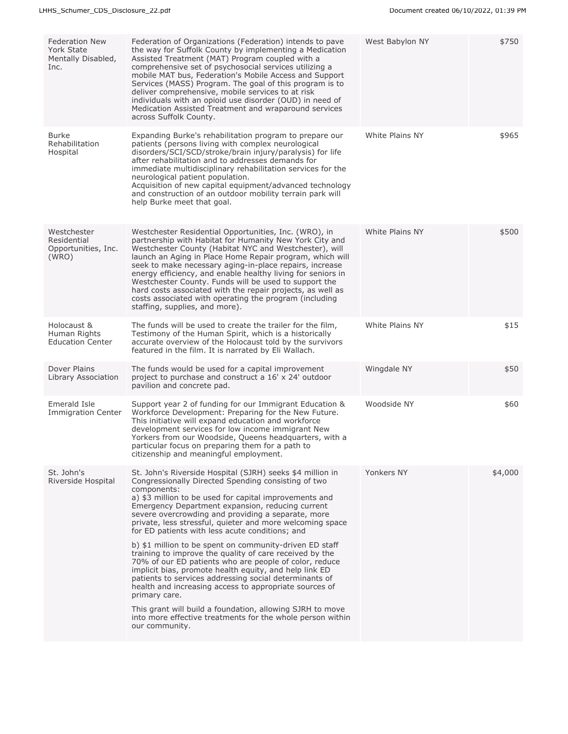| <b>Federation New</b><br>York State<br>Mentally Disabled,<br>Inc. | Federation of Organizations (Federation) intends to pave<br>the way for Suffolk County by implementing a Medication<br>Assisted Treatment (MAT) Program coupled with a<br>comprehensive set of psychosocial services utilizing a<br>mobile MAT bus, Federation's Mobile Access and Support<br>Services (MASS) Program. The goal of this program is to<br>deliver comprehensive, mobile services to at risk<br>individuals with an opioid use disorder (OUD) in need of<br>Medication Assisted Treatment and wraparound services<br>across Suffolk County.                                                                                                                                                                                                                                                                                                                                                                                       | West Babylon NY | \$750   |
|-------------------------------------------------------------------|-------------------------------------------------------------------------------------------------------------------------------------------------------------------------------------------------------------------------------------------------------------------------------------------------------------------------------------------------------------------------------------------------------------------------------------------------------------------------------------------------------------------------------------------------------------------------------------------------------------------------------------------------------------------------------------------------------------------------------------------------------------------------------------------------------------------------------------------------------------------------------------------------------------------------------------------------|-----------------|---------|
| <b>Burke</b><br>Rehabilitation<br>Hospital                        | Expanding Burke's rehabilitation program to prepare our<br>patients (persons living with complex neurological<br>disorders/SCI/SCD/stroke/brain injury/paralysis) for life<br>after rehabilitation and to addresses demands for<br>immediate multidisciplinary rehabilitation services for the<br>neurological patient population.<br>Acquisition of new capital equipment/advanced technology<br>and construction of an outdoor mobility terrain park will<br>help Burke meet that goal.                                                                                                                                                                                                                                                                                                                                                                                                                                                       | White Plains NY | \$965   |
| Westchester<br>Residential<br>Opportunities, Inc.<br>(WRO)        | Westchester Residential Opportunities, Inc. (WRO), in<br>partnership with Habitat for Humanity New York City and<br>Westchester County (Habitat NYC and Westchester), will<br>launch an Aging in Place Home Repair program, which will<br>seek to make necessary aging-in-place repairs, increase<br>energy efficiency, and enable healthy living for seniors in<br>Westchester County. Funds will be used to support the<br>hard costs associated with the repair projects, as well as<br>costs associated with operating the program (including<br>staffing, supplies, and more).                                                                                                                                                                                                                                                                                                                                                             | White Plains NY | \$500   |
| Holocaust &<br>Human Rights<br><b>Education Center</b>            | The funds will be used to create the trailer for the film,<br>Testimony of the Human Spirit, which is a historically<br>accurate overview of the Holocaust told by the survivors<br>featured in the film. It is narrated by Eli Wallach.                                                                                                                                                                                                                                                                                                                                                                                                                                                                                                                                                                                                                                                                                                        | White Plains NY | \$15    |
| Dover Plains<br>Library Association                               | The funds would be used for a capital improvement<br>project to purchase and construct a 16' x 24' outdoor<br>pavilion and concrete pad.                                                                                                                                                                                                                                                                                                                                                                                                                                                                                                                                                                                                                                                                                                                                                                                                        | Wingdale NY     | \$50    |
| Emerald Isle<br><b>Immigration Center</b>                         | Support year 2 of funding for our Immigrant Education &<br>Workforce Development: Preparing for the New Future.<br>This initiative will expand education and workforce<br>development services for low income immigrant New<br>Yorkers from our Woodside, Queens headquarters, with a<br>particular focus on preparing them for a path to<br>citizenship and meaningful employment.                                                                                                                                                                                                                                                                                                                                                                                                                                                                                                                                                             | Woodside NY     | \$60    |
| St. John's<br>Riverside Hospital                                  | St. John's Riverside Hospital (SJRH) seeks \$4 million in<br>Congressionally Directed Spending consisting of two<br>components:<br>a) \$3 million to be used for capital improvements and<br>Emergency Department expansion, reducing current<br>severe overcrowding and providing a separate, more<br>private, less stressful, quieter and more welcoming space<br>for ED patients with less acute conditions; and<br>b) \$1 million to be spent on community-driven ED staff<br>training to improve the quality of care received by the<br>70% of our ED patients who are people of color, reduce<br>implicit bias, promote health equity, and help link ED<br>patients to services addressing social determinants of<br>health and increasing access to appropriate sources of<br>primary care.<br>This grant will build a foundation, allowing SJRH to move<br>into more effective treatments for the whole person within<br>our community. | Yonkers NY      | \$4,000 |
|                                                                   |                                                                                                                                                                                                                                                                                                                                                                                                                                                                                                                                                                                                                                                                                                                                                                                                                                                                                                                                                 |                 |         |